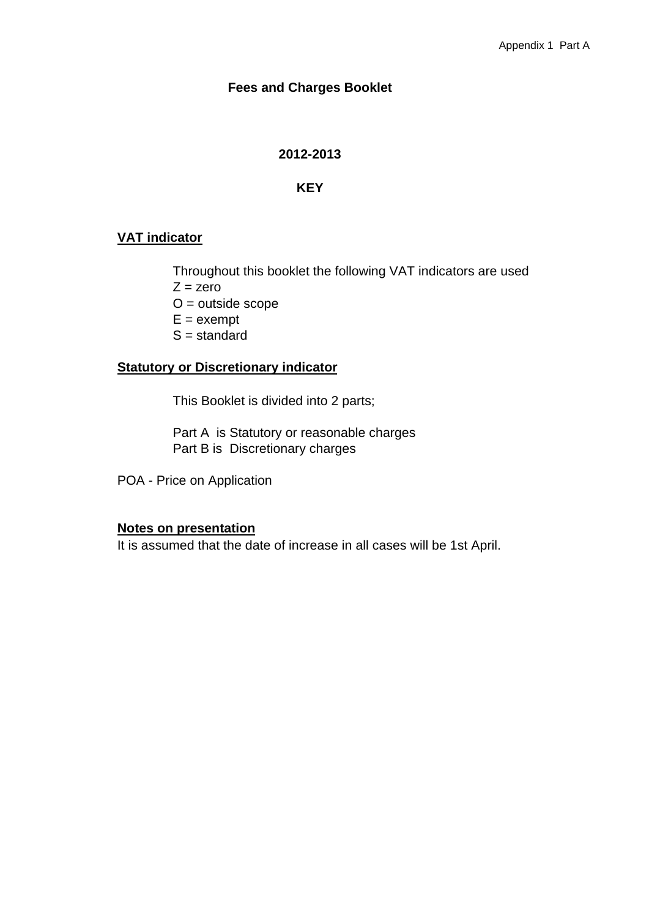## **2012-2013**

#### **KEY**

## **VAT indicator**

Throughout this booklet the following VAT indicators are used  $Z = zero$ O = outside scope  $E =$  exempt S = standard

#### **Statutory or Discretionary indicator**

This Booklet is divided into 2 parts;

Part A is Statutory or reasonable charges Part B is Discretionary charges

POA - Price on Application

## **Notes on presentation**

It is assumed that the date of increase in all cases will be 1st April.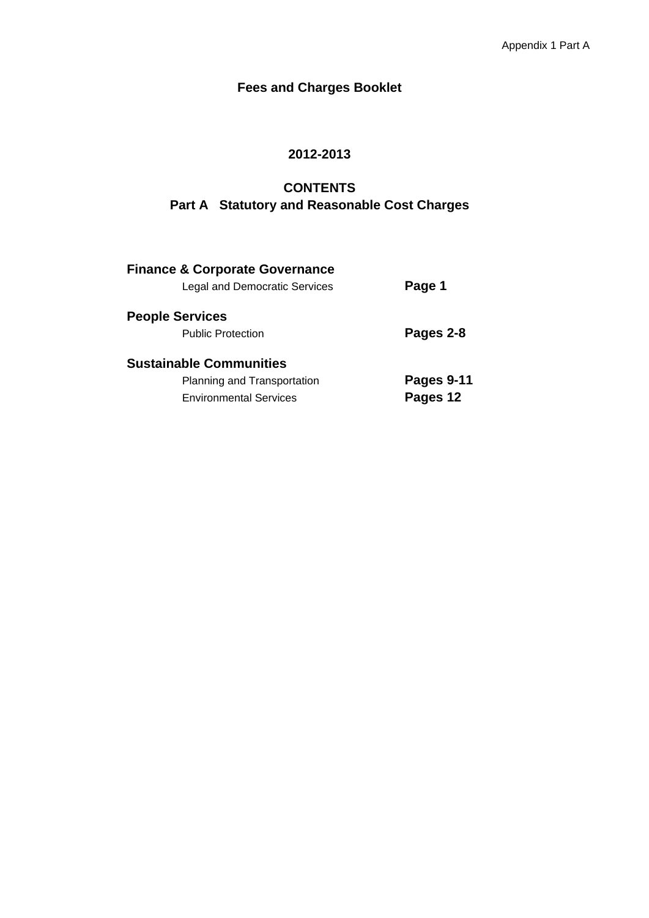# **2012-2013**

# **CONTENTS Part A Statutory and Reasonable Cost Charges**

| <b>Finance &amp; Corporate Governance</b> |                   |
|-------------------------------------------|-------------------|
| <b>Legal and Democratic Services</b>      | Page 1            |
| <b>People Services</b>                    |                   |
| <b>Public Protection</b>                  | Pages 2-8         |
| <b>Sustainable Communities</b>            |                   |
| Planning and Transportation               | <b>Pages 9-11</b> |
| <b>Environmental Services</b>             | Pages 12          |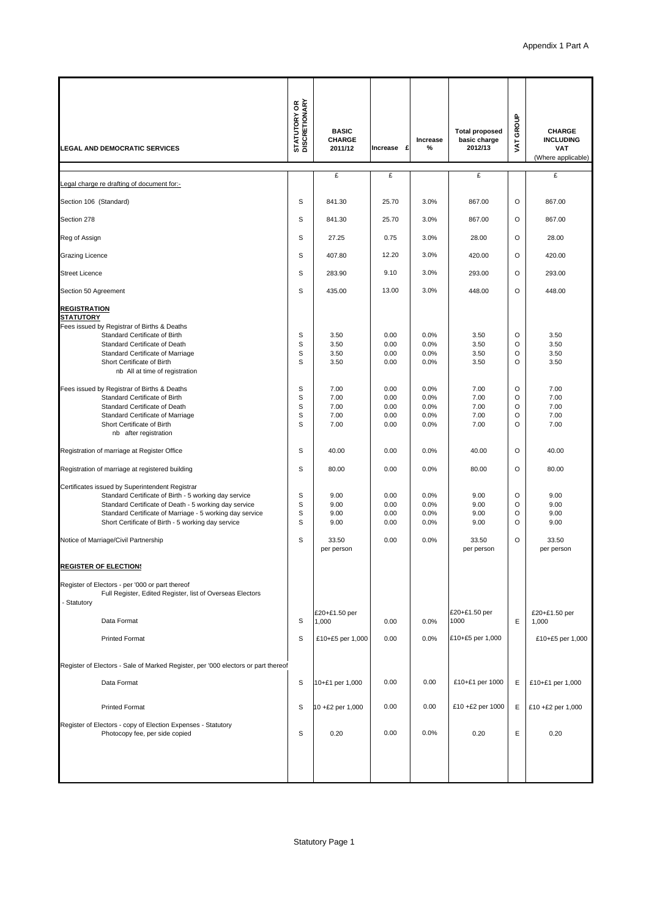| <b>LEGAL AND DEMOCRATIC SERVICES</b>                                                                                                                                                                                                                                                                                        | <b>STATUTORY OR<br/>DISCRETIONARY</b>     | <b>BASIC</b><br><b>CHARGE</b><br>2011/12 | Increase<br>£                        | Increase<br>%                        | <b>Total proposed</b><br>basic charge<br>2012/13 | GROUP<br><b>TAV</b>               | <b>CHARGE</b><br><b>INCLUDING</b><br><b>VAT</b><br>(Where applicable) |
|-----------------------------------------------------------------------------------------------------------------------------------------------------------------------------------------------------------------------------------------------------------------------------------------------------------------------------|-------------------------------------------|------------------------------------------|--------------------------------------|--------------------------------------|--------------------------------------------------|-----------------------------------|-----------------------------------------------------------------------|
|                                                                                                                                                                                                                                                                                                                             |                                           | £                                        | £                                    |                                      | £                                                |                                   | £                                                                     |
| Legal charge re drafting of document for:-                                                                                                                                                                                                                                                                                  |                                           |                                          |                                      |                                      |                                                  |                                   |                                                                       |
| Section 106 (Standard)                                                                                                                                                                                                                                                                                                      | S                                         | 841.30                                   | 25.70                                | 3.0%                                 | 867.00                                           | O                                 | 867.00                                                                |
| Section 278                                                                                                                                                                                                                                                                                                                 | S                                         | 841.30                                   | 25.70                                | 3.0%                                 | 867.00                                           | O                                 | 867.00                                                                |
| Reg of Assign                                                                                                                                                                                                                                                                                                               | S                                         | 27.25                                    | 0.75                                 | 3.0%                                 | 28.00                                            | $\circ$                           | 28.00                                                                 |
| Grazing Licence                                                                                                                                                                                                                                                                                                             | S                                         | 407.80                                   | 12.20                                | 3.0%                                 | 420.00                                           | O                                 | 420.00                                                                |
| <b>Street Licence</b>                                                                                                                                                                                                                                                                                                       | S                                         | 283.90                                   | 9.10                                 | 3.0%                                 | 293.00                                           | $\circ$                           | 293.00                                                                |
| Section 50 Agreement                                                                                                                                                                                                                                                                                                        | S                                         | 435.00                                   | 13.00                                | 3.0%                                 | 448.00                                           | $\circ$                           | 448.00                                                                |
| <b>REGISTRATION</b><br><b>STATUTORY</b><br>Fees issued by Registrar of Births & Deaths<br>Standard Certificate of Birth<br>Standard Certificate of Death                                                                                                                                                                    | S<br>S                                    | 3.50<br>3.50                             | 0.00<br>0.00                         | 0.0%<br>0.0%                         | 3.50<br>3.50                                     | $\circ$<br>O                      | 3.50<br>3.50                                                          |
| Standard Certificate of Marriage<br>Short Certificate of Birth<br>nb All at time of registration                                                                                                                                                                                                                            | S<br>S                                    | 3.50<br>3.50                             | 0.00<br>0.00                         | 0.0%<br>0.0%                         | 3.50<br>3.50                                     | $\circ$<br>O                      | 3.50<br>3.50                                                          |
| Fees issued by Registrar of Births & Deaths<br>Standard Certificate of Birth<br>Standard Certificate of Death<br>Standard Certificate of Marriage<br>Short Certificate of Birth<br>nb after registration                                                                                                                    | S<br>S<br>$\mathbf S$<br>$\mathbf S$<br>S | 7.00<br>7.00<br>7.00<br>7.00<br>7.00     | 0.00<br>0.00<br>0.00<br>0.00<br>0.00 | 0.0%<br>0.0%<br>0.0%<br>0.0%<br>0.0% | 7.00<br>7.00<br>7.00<br>7.00<br>7.00             | O<br>$\circ$<br>$\circ$<br>O<br>O | 7.00<br>7.00<br>7.00<br>7.00<br>7.00                                  |
| Registration of marriage at Register Office                                                                                                                                                                                                                                                                                 | S                                         | 40.00                                    | 0.00                                 | 0.0%                                 | 40.00                                            | $\circ$                           | 40.00                                                                 |
| Registration of marriage at registered building                                                                                                                                                                                                                                                                             | S                                         | 80.00                                    | 0.00                                 | 0.0%                                 | 80.00                                            | $\circ$                           | 80.00                                                                 |
| Certificates issued by Superintendent Registrar<br>Standard Certificate of Birth - 5 working day service<br>Standard Certificate of Death - 5 working day service<br>Standard Certificate of Marriage - 5 working day service<br>Short Certificate of Birth - 5 working day service<br>Notice of Marriage/Civil Partnership | S<br>S<br>S<br>S<br>S                     | 9.00<br>9.00<br>9.00<br>9.00<br>33.50    | 0.00<br>0.00<br>0.00<br>0.00<br>0.00 | 0.0%<br>0.0%<br>0.0%<br>0.0%<br>0.0% | 9.00<br>9.00<br>9.00<br>9.00<br>33.50            | $\circ$<br>O<br>O<br>O<br>$\circ$ | 9.00<br>9.00<br>9.00<br>9.00<br>33.50                                 |
|                                                                                                                                                                                                                                                                                                                             |                                           | per person                               |                                      |                                      | per person                                       |                                   | per person                                                            |
| <b>REGISTER OF ELECTIONS</b>                                                                                                                                                                                                                                                                                                |                                           |                                          |                                      |                                      |                                                  |                                   |                                                                       |
| Register of Electors - per '000 or part thereof<br>Full Register, Edited Register, list of Overseas Electors<br>- Statutory                                                                                                                                                                                                 |                                           | £20+£1.50 per                            |                                      |                                      | £20+£1.50 per                                    |                                   | £20+£1.50 per                                                         |
| Data Format                                                                                                                                                                                                                                                                                                                 | S                                         | 1,000                                    | 0.00                                 | 0.0%                                 | 1000                                             | E                                 | 1,000                                                                 |
| <b>Printed Format</b>                                                                                                                                                                                                                                                                                                       | S                                         | £10+£5 per 1,000                         | 0.00                                 | 0.0%                                 | £10+£5 per 1,000                                 |                                   | £10+£5 per 1,000                                                      |
| Register of Electors - Sale of Marked Register, per '000 electors or part thereof                                                                                                                                                                                                                                           |                                           |                                          |                                      |                                      |                                                  |                                   |                                                                       |
| Data Format                                                                                                                                                                                                                                                                                                                 | S                                         | 10+£1 per 1,000                          | 0.00                                 | 0.00                                 | £10+£1 per 1000                                  | Ε                                 | £10+£1 per 1,000                                                      |
| <b>Printed Format</b>                                                                                                                                                                                                                                                                                                       | S                                         | 10+£2 per 1,000                          | 0.00                                 | 0.00                                 | £10 +£2 per 1000                                 | Е                                 | £10 +£2 per 1,000                                                     |
| Register of Electors - copy of Election Expenses - Statutory<br>Photocopy fee, per side copied                                                                                                                                                                                                                              | S                                         | 0.20                                     | 0.00                                 | 0.0%                                 | 0.20                                             | E                                 | 0.20                                                                  |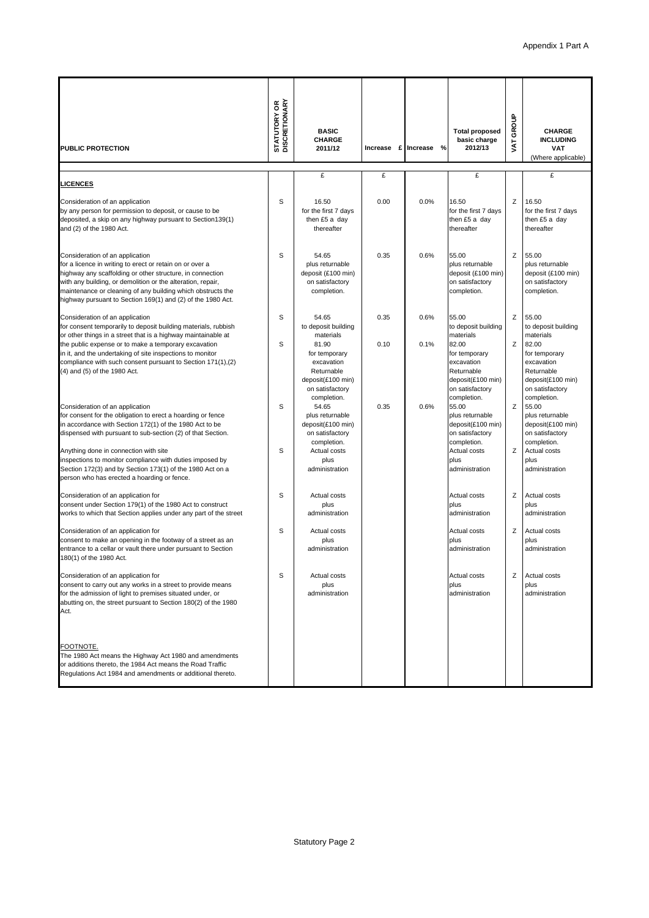| <b>PUBLIC PROTECTION</b>                                                                                                                                                                                                                                                                                                                              | <b>STATUTORY OR<br/>DISCRETIONARY</b> | <b>BASIC</b><br><b>CHARGE</b><br>2011/12                                                         | Increase £ | Increase % | <b>Total proposed</b><br>basic charge<br>2012/13                                                 | GROUP<br>Š | <b>CHARGE</b><br><b>INCLUDING</b><br><b>VAT</b><br>(Where applicable)                            |
|-------------------------------------------------------------------------------------------------------------------------------------------------------------------------------------------------------------------------------------------------------------------------------------------------------------------------------------------------------|---------------------------------------|--------------------------------------------------------------------------------------------------|------------|------------|--------------------------------------------------------------------------------------------------|------------|--------------------------------------------------------------------------------------------------|
|                                                                                                                                                                                                                                                                                                                                                       |                                       | £                                                                                                | £          |            | £                                                                                                |            | £                                                                                                |
| <b>LICENCES</b>                                                                                                                                                                                                                                                                                                                                       |                                       |                                                                                                  |            |            |                                                                                                  |            |                                                                                                  |
| Consideration of an application<br>by any person for permission to deposit, or cause to be<br>deposited, a skip on any highway pursuant to Section139(1)<br>and (2) of the 1980 Act.                                                                                                                                                                  | S                                     | 16.50<br>for the first 7 days<br>then £5 a day<br>thereafter                                     | 0.00       | 0.0%       | 16.50<br>for the first 7 days<br>then £5 a day<br>thereafter                                     | Ζ          | 16.50<br>for the first 7 days<br>then £5 a day<br>thereafter                                     |
| Consideration of an application<br>for a licence in writing to erect or retain on or over a<br>highway any scaffolding or other structure, in connection<br>with any building, or demolition or the alteration, repair,<br>maintenance or cleaning of any building which obstructs the<br>highway pursuant to Section 169(1) and (2) of the 1980 Act. | S                                     | 54.65<br>plus returnable<br>deposit (£100 min)<br>on satisfactory<br>completion.                 | 0.35       | 0.6%       | 55.00<br>plus returnable<br>deposit (£100 min)<br>on satisfactory<br>completion.                 | Z          | 55.00<br>plus returnable<br>deposit (£100 min)<br>on satisfactory<br>completion.                 |
| Consideration of an application                                                                                                                                                                                                                                                                                                                       | S                                     | 54.65                                                                                            | 0.35       | 0.6%       | 55.00                                                                                            | Ζ          | 55.00                                                                                            |
| for consent temporarily to deposit building materials, rubbish<br>or other things in a street that is a highway maintainable at<br>the public expense or to make a temporary excavation                                                                                                                                                               | S                                     | to deposit building<br>materials<br>81.90                                                        | 0.10       | 0.1%       | to deposit building<br>materials<br>82.00                                                        | Z          | to deposit building<br>materials<br>82.00                                                        |
| in it, and the undertaking of site inspections to monitor<br>compliance with such consent pursuant to Section 171(1),(2)<br>(4) and (5) of the 1980 Act.                                                                                                                                                                                              |                                       | for temporary<br>excavation<br>Returnable<br>deposit(£100 min)<br>on satisfactory<br>completion. |            |            | for temporary<br>excavation<br>Returnable<br>deposit(£100 min)<br>on satisfactory<br>completion. |            | for temporary<br>excavation<br>Returnable<br>deposit(£100 min)<br>on satisfactory<br>completion. |
| Consideration of an application<br>for consent for the obligation to erect a hoarding or fence<br>in accordance with Section 172(1) of the 1980 Act to be<br>dispensed with pursuant to sub-section (2) of that Section.                                                                                                                              | S                                     | 54.65<br>plus returnable<br>deposit(£100 min)<br>on satisfactory<br>completion.                  | 0.35       | 0.6%       | 55.00<br>plus returnable<br>deposit(£100 min)<br>on satisfactory<br>completion.                  | Ζ          | 55.00<br>plus returnable<br>deposit(£100 min)<br>on satisfactory<br>completion.                  |
| Anything done in connection with site<br>inspections to monitor compliance with duties imposed by<br>Section 172(3) and by Section 173(1) of the 1980 Act on a<br>person who has erected a hoarding or fence.                                                                                                                                         | S                                     | Actual costs<br>plus<br>administration                                                           |            |            | <b>Actual costs</b><br>plus<br>administration                                                    | Z          | Actual costs<br>plus<br>administration                                                           |
| Consideration of an application for<br>consent under Section 179(1) of the 1980 Act to construct<br>works to which that Section applies under any part of the street                                                                                                                                                                                  | S                                     | Actual costs<br>plus<br>administration                                                           |            |            | Actual costs<br>plus<br>administration                                                           | Z          | Actual costs<br>plus<br>administration                                                           |
| Consideration of an application for<br>consent to make an opening in the footway of a street as an<br>entrance to a cellar or vault there under pursuant to Section<br>180(1) of the 1980 Act.                                                                                                                                                        | S                                     | Actual costs<br>plus<br>administration                                                           |            |            | Actual costs<br>plus<br>administration                                                           | Z          | Actual costs<br>plus<br>administration                                                           |
| Consideration of an application for<br>consent to carry out any works in a street to provide means<br>for the admission of light to premises situated under, or<br>abutting on, the street pursuant to Section 180(2) of the 1980<br>Act.                                                                                                             | S                                     | Actual costs<br>plus<br>administration                                                           |            |            | Actual costs<br>plus<br>administration                                                           | Ζ          | Actual costs<br>plus<br>administration                                                           |
| FOOTNOTE.<br>The 1980 Act means the Highway Act 1980 and amendments<br>or additions thereto, the 1984 Act means the Road Traffic<br>Regulations Act 1984 and amendments or additional thereto.                                                                                                                                                        |                                       |                                                                                                  |            |            |                                                                                                  |            |                                                                                                  |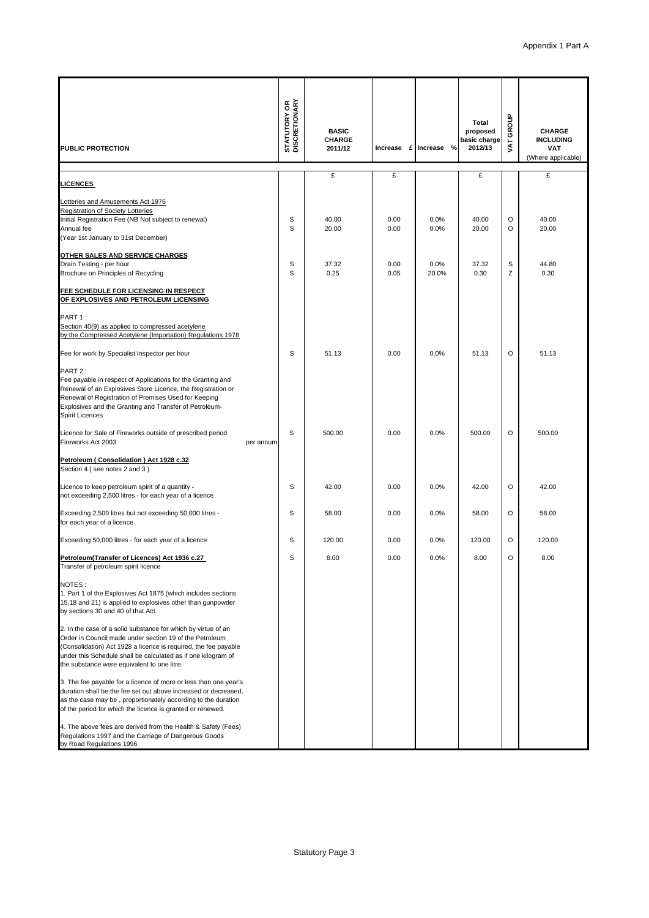| PUBLIC PROTECTION                                                                                                                                                                                                                                                                                                                  | <b>STATUTORY OR<br/>DISCRETIONARY</b> | <b>BASIC</b><br><b>CHARGE</b><br>2011/12 | Increase £ Increase | %             | Total<br>proposed<br>basic charge<br>2012/13 | GROUP<br><b>LYAT</b> | <b>CHARGE</b><br><b>INCLUDING</b><br><b>VAT</b><br>(Where applicable) |
|------------------------------------------------------------------------------------------------------------------------------------------------------------------------------------------------------------------------------------------------------------------------------------------------------------------------------------|---------------------------------------|------------------------------------------|---------------------|---------------|----------------------------------------------|----------------------|-----------------------------------------------------------------------|
| <b>LICENCES</b>                                                                                                                                                                                                                                                                                                                    |                                       | £                                        | £                   |               | £                                            |                      | £                                                                     |
| Lotteries and Amusements Act 1976<br>Registration of Society Lotteries<br>Initial Registration Fee (NB Not subject to renewal)<br>Annual fee<br>(Year 1st January to 31st December)                                                                                                                                                | S<br>S                                | 40.00<br>20.00                           | 0.00<br>0.00        | 0.0%<br>0.0%  | 40.00<br>20.00                               | O<br>O               | 40.00<br>20.00                                                        |
| OTHER SALES AND SERVICE CHARGES<br>Drain Testing - per hour<br>Brochure on Principles of Recycling                                                                                                                                                                                                                                 | S<br>S                                | 37.32<br>0.25                            | 0.00<br>0.05        | 0.0%<br>20.0% | 37.32<br>0.30                                | S<br>Z               | 44.80<br>0.30                                                         |
| FEE SCHEDULE FOR LICENSING IN RESPECT<br>OF EXPLOSIVES AND PETROLEUM LICENSING<br>PART 1:<br>Section 40(9) as applied to compressed acetylene<br>by the Compressed Acetylene (Importation) Regulations 1978                                                                                                                        |                                       |                                          |                     |               |                                              |                      |                                                                       |
| Fee for work by Specialist Inspector per hour<br>PART 2:<br>Fee payable in respect of Applications for the Granting and<br>Renewal of an Explosives Store Licence, the Registration or<br>Renewal of Registration of Premises Used for Keeping<br>Explosives and the Granting and Transfer of Petroleum-<br><b>Spirit Licences</b> | S                                     | 51.13                                    | 0.00                | 0.0%          | 51.13                                        | O                    | 51.13                                                                 |
| Licence for Sale of Fireworks outside of prescribed period<br>Fireworks Act 2003<br>per annum<br>Petroleum (Consolidation) Act 1928 c.32<br>Section 4 (see notes 2 and 3)                                                                                                                                                          | S                                     | 500.00                                   | 0.00                | 0.0%          | 500.00                                       | O                    | 500.00                                                                |
| Licence to keep petroleum spirit of a quantity -<br>not exceeding 2,500 litres - for each year of a licence                                                                                                                                                                                                                        | S                                     | 42.00                                    | 0.00                | 0.0%          | 42.00                                        | O                    | 42.00                                                                 |
| Exceeding 2,500 litres but not exceeding 50,000 litres -<br>for each year of a licence                                                                                                                                                                                                                                             | S                                     | 58.00                                    | 0.00                | 0.0%          | 58.00                                        | O                    | 58.00                                                                 |
| Exceeding 50,000 litres - for each year of a licence                                                                                                                                                                                                                                                                               | S                                     | 120.00                                   | 0.00                | 0.0%          | 120.00                                       | O                    | 120.00                                                                |
| Petroleum (Transfer of Licences) Act 1936 c.27<br>Transfer of petroleum spirit licence                                                                                                                                                                                                                                             | S                                     | 8.00                                     | 0.00                | 0.0%          | 8.00                                         | O                    | 8.00                                                                  |
| NOTES:<br>1. Part 1 of the Explosives Act 1875 (which includes sections<br>15,18 and 21) is applied to explosives other than gunpowder<br>by sections 30 and 40 of that Act.<br>2. In the case of a solid substance for which by virtue of an                                                                                      |                                       |                                          |                     |               |                                              |                      |                                                                       |
| Order in Council made under section 19 of the Petroleum<br>(Consolidation) Act 1928 a licence is required, the fee payable<br>under this Schedule shall be calculated as if one kilogram of<br>the substance were equivalent to one litre.                                                                                         |                                       |                                          |                     |               |                                              |                      |                                                                       |
| 3. The fee payable for a licence of more or less than one year's<br>duration shall be the fee set out above increased or decreased,<br>as the case may be, proportionately according to the duration<br>of the period for which the licence is granted or renewed.                                                                 |                                       |                                          |                     |               |                                              |                      |                                                                       |
| 4. The above fees are derived from the Health & Safety (Fees)<br>Regulations 1997 and the Carriage of Dangerous Goods<br>by Road Regulations 1996                                                                                                                                                                                  |                                       |                                          |                     |               |                                              |                      |                                                                       |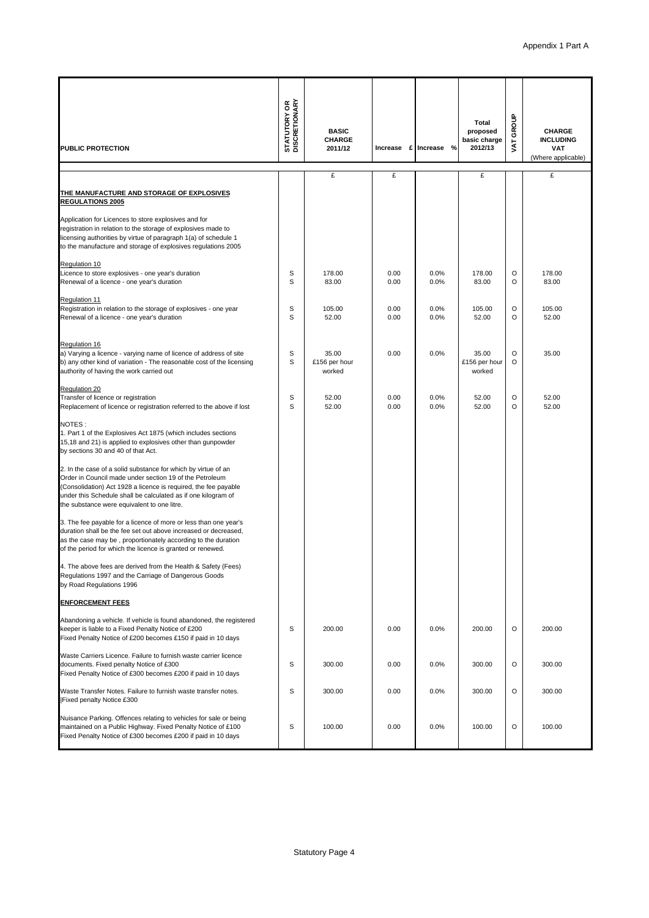| PUBLIC PROTECTION                                                                                                                                                                                                                                                                                           | <b>STATUTORY OR<br/>DISCRETIONARY</b> | <b>BASIC</b><br><b>CHARGE</b><br>2011/12 | Increase<br>£ | $\%$<br>Increase | Total<br>proposed<br>basic charge<br>2012/13 | GROUP<br><b>TAT</b> | CHARGE<br><b>INCLUDING</b><br><b>VAT</b><br>(Where applicable) |
|-------------------------------------------------------------------------------------------------------------------------------------------------------------------------------------------------------------------------------------------------------------------------------------------------------------|---------------------------------------|------------------------------------------|---------------|------------------|----------------------------------------------|---------------------|----------------------------------------------------------------|
|                                                                                                                                                                                                                                                                                                             |                                       | £                                        | £             |                  | £                                            |                     | £                                                              |
| THE MANUFACTURE AND STORAGE OF EXPLOSIVES<br><b>REGULATIONS 2005</b>                                                                                                                                                                                                                                        |                                       |                                          |               |                  |                                              |                     |                                                                |
| Application for Licences to store explosives and for<br>registration in relation to the storage of explosives made to<br>licensing authorities by virtue of paragraph 1(a) of schedule 1<br>to the manufacture and storage of explosives regulations 2005                                                   |                                       |                                          |               |                  |                                              |                     |                                                                |
| Regulation 10<br>Licence to store explosives - one year's duration<br>Renewal of a licence - one year's duration                                                                                                                                                                                            | S<br>S                                | 178.00<br>83.00                          | 0.00<br>0.00  | 0.0%<br>0.0%     | 178.00<br>83.00                              | O<br>O              | 178.00<br>83.00                                                |
| Regulation 11<br>Registration in relation to the storage of explosives - one year<br>Renewal of a licence - one year's duration                                                                                                                                                                             | S<br>S                                | 105.00<br>52.00                          | 0.00<br>0.00  | 0.0%<br>0.0%     | 105.00<br>52.00                              | O<br>O              | 105.00<br>52.00                                                |
| Regulation 16<br>a) Varying a licence - varying name of licence of address of site<br>b) any other kind of variation - The reasonable cost of the licensing<br>authority of having the work carried out                                                                                                     | S<br>S                                | 35.00<br>£156 per hour<br>worked         | 0.00          | 0.0%             | 35.00<br>£156 per hour<br>worked             | O<br>O              | 35.00                                                          |
| Regulation 20<br>Transfer of licence or registration<br>Replacement of licence or registration referred to the above if lost                                                                                                                                                                                | S<br>S                                | 52.00<br>52.00                           | 0.00<br>0.00  | 0.0%<br>0.0%     | 52.00<br>52.00                               | O<br>O              | 52.00<br>52.00                                                 |
| NOTES:<br>1. Part 1 of the Explosives Act 1875 (which includes sections<br>15,18 and 21) is applied to explosives other than gunpowder<br>by sections 30 and 40 of that Act.                                                                                                                                |                                       |                                          |               |                  |                                              |                     |                                                                |
| 2. In the case of a solid substance for which by virtue of an<br>Order in Council made under section 19 of the Petroleum<br>(Consolidation) Act 1928 a licence is required, the fee payable<br>under this Schedule shall be calculated as if one kilogram of<br>the substance were equivalent to one litre. |                                       |                                          |               |                  |                                              |                     |                                                                |
| 3. The fee payable for a licence of more or less than one year's<br>duration shall be the fee set out above increased or decreased,<br>as the case may be, proportionately according to the duration<br>of the period for which the licence is granted or renewed.                                          |                                       |                                          |               |                  |                                              |                     |                                                                |
| 4. The above fees are derived from the Health & Safety (Fees)<br>Regulations 1997 and the Carriage of Dangerous Goods<br>by Road Regulations 1996                                                                                                                                                           |                                       |                                          |               |                  |                                              |                     |                                                                |
| <b>ENFORCEMENT FEES</b>                                                                                                                                                                                                                                                                                     |                                       |                                          |               |                  |                                              |                     |                                                                |
| Abandoning a vehicle. If vehicle is found abandoned, the registered<br>keeper is liable to a Fixed Penalty Notice of £200<br>Fixed Penalty Notice of £200 becomes £150 if paid in 10 days                                                                                                                   | S                                     | 200.00                                   | 0.00          | 0.0%             | 200.00                                       | O                   | 200.00                                                         |
| Waste Carriers Licence. Failure to furnish waste carrier licence<br>documents. Fixed penalty Notice of £300<br>Fixed Penalty Notice of £300 becomes £200 if paid in 10 days                                                                                                                                 | S                                     | 300.00                                   | 0.00          | 0.0%             | 300.00                                       | O                   | 300.00                                                         |
| Waste Transfer Notes. Failure to furnish waste transfer notes.<br>Fixed penalty Notice £300                                                                                                                                                                                                                 | S                                     | 300.00                                   | 0.00          | 0.0%             | 300.00                                       | O                   | 300.00                                                         |
| Nuisance Parking. Offences relating to vehicles for sale or being<br>maintained on a Public Highway. Fixed Penalty Notice of £100<br>Fixed Penalty Notice of £300 becomes £200 if paid in 10 days                                                                                                           | S                                     | 100.00                                   | 0.00          | 0.0%             | 100.00                                       | O                   | 100.00                                                         |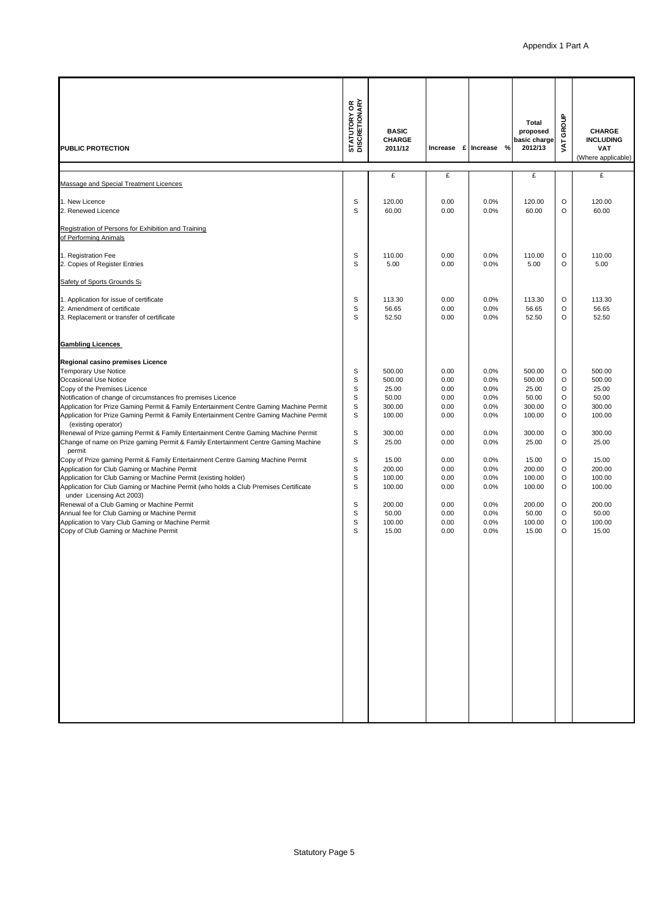| <b>PUBLIC PROTECTION</b>                                                                                                                                                                                                                                                                                                                                                                                                                                                                                                                                                                                                                                                                                                                                                                                                                                                                                                                                                                                                                                                        | <b>STATUTORY OR<br/>DISCRETIONARY</b>                                                                                                                                  | <b>BASIC</b><br>CHARGE<br>2011/12                                                                                                             |                                                                                                                      | Increase £ Increase %                                                                                                | <b>Total</b><br>proposed<br>basic charge<br>2012/13                                                                                           | GROUP<br><b>TYA</b>                                                                      | <b>CHARGE</b><br><b>INCLUDING</b><br><b>VAT</b><br>(Where applicable)                                                                         |
|---------------------------------------------------------------------------------------------------------------------------------------------------------------------------------------------------------------------------------------------------------------------------------------------------------------------------------------------------------------------------------------------------------------------------------------------------------------------------------------------------------------------------------------------------------------------------------------------------------------------------------------------------------------------------------------------------------------------------------------------------------------------------------------------------------------------------------------------------------------------------------------------------------------------------------------------------------------------------------------------------------------------------------------------------------------------------------|------------------------------------------------------------------------------------------------------------------------------------------------------------------------|-----------------------------------------------------------------------------------------------------------------------------------------------|----------------------------------------------------------------------------------------------------------------------|----------------------------------------------------------------------------------------------------------------------|-----------------------------------------------------------------------------------------------------------------------------------------------|------------------------------------------------------------------------------------------|-----------------------------------------------------------------------------------------------------------------------------------------------|
| Massage and Special Treatment Licences                                                                                                                                                                                                                                                                                                                                                                                                                                                                                                                                                                                                                                                                                                                                                                                                                                                                                                                                                                                                                                          |                                                                                                                                                                        | £                                                                                                                                             | £                                                                                                                    |                                                                                                                      | £                                                                                                                                             |                                                                                          | £                                                                                                                                             |
| 1. New Licence<br>2. Renewed Licence                                                                                                                                                                                                                                                                                                                                                                                                                                                                                                                                                                                                                                                                                                                                                                                                                                                                                                                                                                                                                                            | S<br>S                                                                                                                                                                 | 120.00<br>60.00                                                                                                                               | 0.00<br>0.00                                                                                                         | 0.0%<br>0.0%                                                                                                         | 120.00<br>60.00                                                                                                                               | O<br>O                                                                                   | 120.00<br>60.00                                                                                                                               |
| Registration of Persons for Exhibition and Training<br>of Performing Animals                                                                                                                                                                                                                                                                                                                                                                                                                                                                                                                                                                                                                                                                                                                                                                                                                                                                                                                                                                                                    |                                                                                                                                                                        |                                                                                                                                               |                                                                                                                      |                                                                                                                      |                                                                                                                                               |                                                                                          |                                                                                                                                               |
| 1. Registration Fee<br>2. Copies of Register Entries                                                                                                                                                                                                                                                                                                                                                                                                                                                                                                                                                                                                                                                                                                                                                                                                                                                                                                                                                                                                                            | S<br>S                                                                                                                                                                 | 110.00<br>5.00                                                                                                                                | 0.00<br>0.00                                                                                                         | 0.0%<br>0.0%                                                                                                         | 110.00<br>5.00                                                                                                                                | O<br>O                                                                                   | 110.00<br>5.00                                                                                                                                |
| Safety of Sports Grounds Sa                                                                                                                                                                                                                                                                                                                                                                                                                                                                                                                                                                                                                                                                                                                                                                                                                                                                                                                                                                                                                                                     |                                                                                                                                                                        |                                                                                                                                               |                                                                                                                      |                                                                                                                      |                                                                                                                                               |                                                                                          |                                                                                                                                               |
| 1. Application for issue of certificate<br>2. Amendment of certificate<br>3. Replacement or transfer of certificate                                                                                                                                                                                                                                                                                                                                                                                                                                                                                                                                                                                                                                                                                                                                                                                                                                                                                                                                                             | $\mathbb S$<br>S<br>S                                                                                                                                                  | 113.30<br>56.65<br>52.50                                                                                                                      | 0.00<br>0.00<br>0.00                                                                                                 | 0.0%<br>0.0%<br>0.0%                                                                                                 | 113.30<br>56.65<br>52.50                                                                                                                      | O<br>O<br>O                                                                              | 113.30<br>56.65<br>52.50                                                                                                                      |
| <b>Gambling Licences</b>                                                                                                                                                                                                                                                                                                                                                                                                                                                                                                                                                                                                                                                                                                                                                                                                                                                                                                                                                                                                                                                        |                                                                                                                                                                        |                                                                                                                                               |                                                                                                                      |                                                                                                                      |                                                                                                                                               |                                                                                          |                                                                                                                                               |
| <b>Temporary Use Notice</b><br>Occasional Use Notice<br>Copy of the Premises Licence<br>Notification of change of circumstances fro premises Licence<br>Application for Prize Gaming Permit & Family Entertainment Centre Gaming Machine Permit<br>Application for Prize Gaming Permit & Family Entertainment Centre Gaming Machine Permit<br>(existing operator)<br>Renewal of Prize gaming Permit & Family Entertainment Centre Gaming Machine Permit<br>Change of name on Prize gaming Permit & Family Entertainment Centre Gaming Machine<br>permit<br>Copy of Prize gaming Permit & Family Entertainment Centre Gaming Machine Permit<br>Application for Club Gaming or Machine Permit<br>Application for Club Gaming or Machine Permit (existing holder)<br>Application for Club Gaming or Machine Permit (who holds a Club Premises Certificate<br>under Licensing Act 2003)<br>Renewal of a Club Gaming or Machine Permit<br>Annual fee for Club Gaming or Machine Permit<br>Application to Vary Club Gaming or Machine Permit<br>Copy of Club Gaming or Machine Permit | S<br>$\mathbf S$<br>$\mathbb S$<br>$\mathbb S$<br>S<br>$\mathbf S$<br>$\mathbb S$<br>$\mathbb S$<br>S<br>$\mathbb S$<br>$\mathbb S$<br>S<br>S<br>$\mathbf S$<br>S<br>S | 500.00<br>500.00<br>25.00<br>50.00<br>300.00<br>100.00<br>300.00<br>25.00<br>15.00<br>200.00<br>100.00<br>100.00<br>200.00<br>50.00<br>100.00 | 0.00<br>0.00<br>0.00<br>0.00<br>0.00<br>0.00<br>0.00<br>0.00<br>0.00<br>0.00<br>0.00<br>0.00<br>0.00<br>0.00<br>0.00 | 0.0%<br>0.0%<br>0.0%<br>0.0%<br>0.0%<br>0.0%<br>0.0%<br>0.0%<br>0.0%<br>0.0%<br>0.0%<br>0.0%<br>0.0%<br>0.0%<br>0.0% | 500.00<br>500.00<br>25.00<br>50.00<br>300.00<br>100.00<br>300.00<br>25.00<br>15.00<br>200.00<br>100.00<br>100.00<br>200.00<br>50.00<br>100.00 | O<br>O<br>O<br>O<br>O<br>O<br>O<br>$\circ$<br>O<br>O<br>O<br>O<br>O<br>O<br>O<br>$\circ$ | 500.00<br>500.00<br>25.00<br>50.00<br>300.00<br>100.00<br>300.00<br>25.00<br>15.00<br>200.00<br>100.00<br>100.00<br>200.00<br>50.00<br>100.00 |
|                                                                                                                                                                                                                                                                                                                                                                                                                                                                                                                                                                                                                                                                                                                                                                                                                                                                                                                                                                                                                                                                                 |                                                                                                                                                                        | 15.00                                                                                                                                         | 0.00                                                                                                                 | 0.0%                                                                                                                 | 15.00                                                                                                                                         |                                                                                          | 15.00                                                                                                                                         |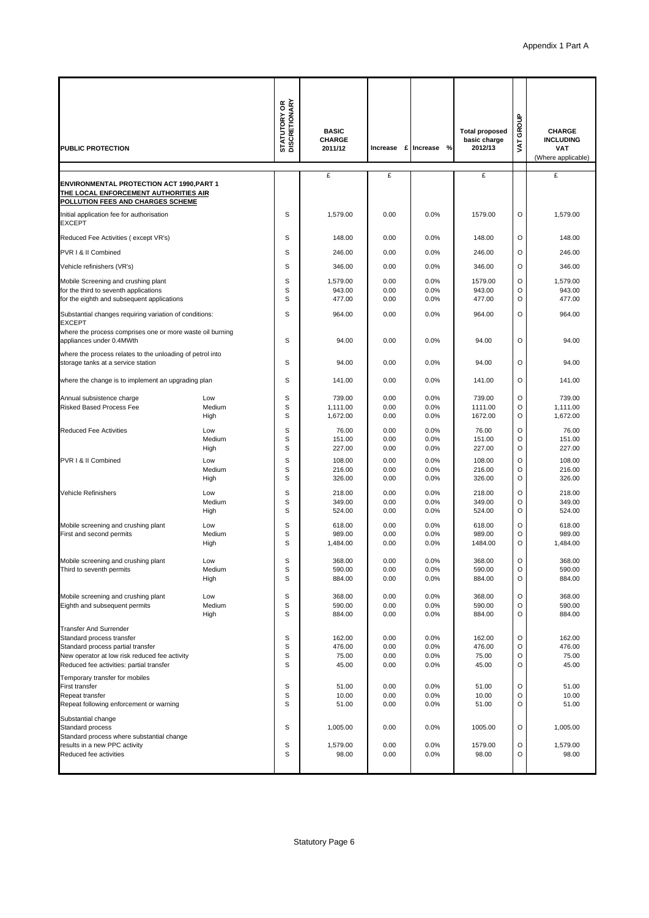| PUBLIC PROTECTION                                                                                                              |                | <b>STATUTORY OR<br/>DISCRETIONARY</b> | <b>BASIC</b><br><b>CHARGE</b><br>2011/12 |              | Increase £ Increase % | <b>Total proposed</b><br>basic charge<br>2012/13 | GROUP<br><b>TYA</b> | <b>CHARGE</b><br><b>INCLUDING</b><br><b>VAT</b><br>(Where applicable) |
|--------------------------------------------------------------------------------------------------------------------------------|----------------|---------------------------------------|------------------------------------------|--------------|-----------------------|--------------------------------------------------|---------------------|-----------------------------------------------------------------------|
|                                                                                                                                |                |                                       | £                                        | £            |                       | £                                                |                     | £                                                                     |
| <b>ENVIRONMENTAL PROTECTION ACT 1990, PART 1</b><br>THE LOCAL ENFORCEMENT AUTHORITIES AIR<br>POLLUTION FEES AND CHARGES SCHEME |                |                                       |                                          |              |                       |                                                  |                     |                                                                       |
| Initial application fee for authorisation<br><b>EXCEPT</b>                                                                     |                | S                                     | 1,579.00                                 | 0.00         | 0.0%                  | 1579.00                                          | $\circ$             | 1,579.00                                                              |
| Reduced Fee Activities (except VR's)                                                                                           |                | S                                     | 148.00                                   | 0.00         | 0.0%                  | 148.00                                           | $\circ$             | 148.00                                                                |
| PVR I & II Combined                                                                                                            |                | S                                     | 246.00                                   | 0.00         | 0.0%                  | 246.00                                           | $\circ$             | 246.00                                                                |
| Vehicle refinishers (VR's)                                                                                                     |                | S                                     | 346.00                                   | 0.00         | 0.0%                  | 346.00                                           | $\circ$             | 346.00                                                                |
| Mobile Screening and crushing plant                                                                                            |                | S                                     | 1,579.00                                 | 0.00         | 0.0%                  | 1579.00                                          | $\circ$             | 1,579.00                                                              |
| for the third to seventh applications                                                                                          |                | S                                     | 943.00                                   | 0.00         | 0.0%                  | 943.00                                           | $\circ$             | 943.00                                                                |
| for the eighth and subsequent applications                                                                                     |                | S                                     | 477.00                                   | 0.00         | 0.0%                  | 477.00                                           | $\circ$             | 477.00                                                                |
| Substantial changes requiring variation of conditions:<br><b>EXCEPT</b>                                                        |                | S                                     | 964.00                                   | 0.00         | 0.0%                  | 964.00                                           | $\circ$             | 964.00                                                                |
| where the process comprises one or more waste oil burning<br>appliances under 0.4MWth                                          |                | S                                     | 94.00                                    | 0.00         | 0.0%                  | 94.00                                            | $\circ$             | 94.00                                                                 |
| where the process relates to the unloading of petrol into<br>storage tanks at a service station                                |                | S                                     | 94.00                                    | 0.00         | 0.0%                  | 94.00                                            | $\circ$             | 94.00                                                                 |
| where the change is to implement an upgrading plan                                                                             |                | S                                     | 141.00                                   | 0.00         | 0.0%                  | 141.00                                           | $\circ$             | 141.00                                                                |
| Annual subsistence charge                                                                                                      | Low            | S                                     | 739.00                                   | 0.00         | 0.0%                  | 739.00                                           | $\circ$             | 739.00                                                                |
| <b>Risked Based Process Fee</b>                                                                                                | Medium<br>High | S<br>S                                | 1,111.00<br>1,672.00                     | 0.00<br>0.00 | 0.0%<br>0.0%          | 1111.00<br>1672.00                               | $\circ$<br>$\circ$  | 1,111.00<br>1,672.00                                                  |
| <b>Reduced Fee Activities</b>                                                                                                  | Low            | S                                     | 76.00                                    | 0.00         | 0.0%                  | 76.00                                            | $\circ$             | 76.00                                                                 |
|                                                                                                                                | Medium         | S                                     | 151.00                                   | 0.00         | 0.0%                  | 151.00                                           | $\circ$             | 151.00                                                                |
|                                                                                                                                | High           | S                                     | 227.00                                   | 0.00         | 0.0%                  | 227.00                                           | $\circ$             | 227.00                                                                |
| PVR I & II Combined                                                                                                            | Low            | S                                     | 108.00                                   | 0.00         | 0.0%                  | 108.00                                           | $\circ$             | 108.00                                                                |
|                                                                                                                                | Medium<br>High | S<br>S                                | 216.00<br>326.00                         | 0.00<br>0.00 | 0.0%<br>0.0%          | 216.00<br>326.00                                 | $\circ$<br>$\circ$  | 216.00<br>326.00                                                      |
| Vehicle Refinishers                                                                                                            | Low            | S                                     | 218.00                                   | 0.00         | 0.0%                  | 218.00                                           | $\circ$             | 218.00                                                                |
|                                                                                                                                | Medium<br>High | S<br>S                                | 349.00<br>524.00                         | 0.00<br>0.00 | 0.0%<br>0.0%          | 349.00<br>524.00                                 | O<br>$\circ$        | 349.00<br>524.00                                                      |
| Mobile screening and crushing plant                                                                                            | Low            | S                                     | 618.00                                   | 0.00         | 0.0%                  | 618.00                                           | $\circ$             | 618.00                                                                |
| First and second permits                                                                                                       | Medium<br>High | S<br>S                                | 989.00<br>1,484.00                       | 0.00<br>0.00 | 0.0%<br>0.0%          | 989.00<br>1484.00                                | O<br>O              | 989.00<br>1,484.00                                                    |
| Mobile screening and crushing plant                                                                                            | Low            | S                                     | 368.00                                   | 0.00         | 0.0%                  | 368.00                                           | $\circ$             | 368.00                                                                |
| Third to seventh permits                                                                                                       | Medium         | S                                     | 590.00                                   | 0.00         | 0.0%                  | 590.00                                           | $\circ$             | 590.00                                                                |
|                                                                                                                                | High           | S                                     | 884.00                                   | 0.00         | 0.0%                  | 884.00                                           | O                   | 884.00                                                                |
| Mobile screening and crushing plant                                                                                            | Low            | S                                     | 368.00                                   | 0.00         | 0.0%                  | 368.00                                           | O                   | 368.00                                                                |
| Eighth and subsequent permits                                                                                                  | Medium<br>High | S<br>S                                | 590.00<br>884.00                         | 0.00<br>0.00 | 0.0%<br>0.0%          | 590.00<br>884.00                                 | O<br>O              | 590.00<br>884.00                                                      |
| <b>Transfer And Surrender</b>                                                                                                  |                |                                       |                                          |              |                       |                                                  |                     |                                                                       |
| Standard process transfer                                                                                                      |                | S                                     | 162.00                                   | 0.00         | 0.0%                  | 162.00                                           | O                   | 162.00                                                                |
| Standard process partial transfer<br>New operator at low risk reduced fee activity                                             |                | S<br>S                                | 476.00<br>75.00                          | 0.00<br>0.00 | 0.0%<br>0.0%          | 476.00<br>75.00                                  | O<br>O              | 476.00<br>75.00                                                       |
| Reduced fee activities: partial transfer                                                                                       |                | S                                     | 45.00                                    | 0.00         | 0.0%                  | 45.00                                            | O                   | 45.00                                                                 |
| Temporary transfer for mobiles                                                                                                 |                |                                       |                                          |              |                       |                                                  |                     |                                                                       |
| <b>First transfer</b>                                                                                                          |                | S                                     | 51.00                                    | 0.00         | 0.0%                  | 51.00                                            | O                   | 51.00                                                                 |
| Repeat transfer<br>Repeat following enforcement or warning                                                                     |                | S<br>S                                | 10.00<br>51.00                           | 0.00<br>0.00 | 0.0%<br>0.0%          | 10.00<br>51.00                                   | O<br>O              | 10.00<br>51.00                                                        |
| Substantial change<br>Standard process                                                                                         |                | S                                     | 1,005.00                                 | 0.00         | 0.0%                  | 1005.00                                          | O                   | 1,005.00                                                              |
| Standard process where substantial change                                                                                      |                |                                       |                                          |              |                       |                                                  |                     |                                                                       |
| results in a new PPC activity<br>Reduced fee activities                                                                        |                | S<br>S                                | 1,579.00<br>98.00                        | 0.00<br>0.00 | 0.0%<br>0.0%          | 1579.00<br>98.00                                 | O<br>O              | 1,579.00<br>98.00                                                     |
|                                                                                                                                |                |                                       |                                          |              |                       |                                                  |                     |                                                                       |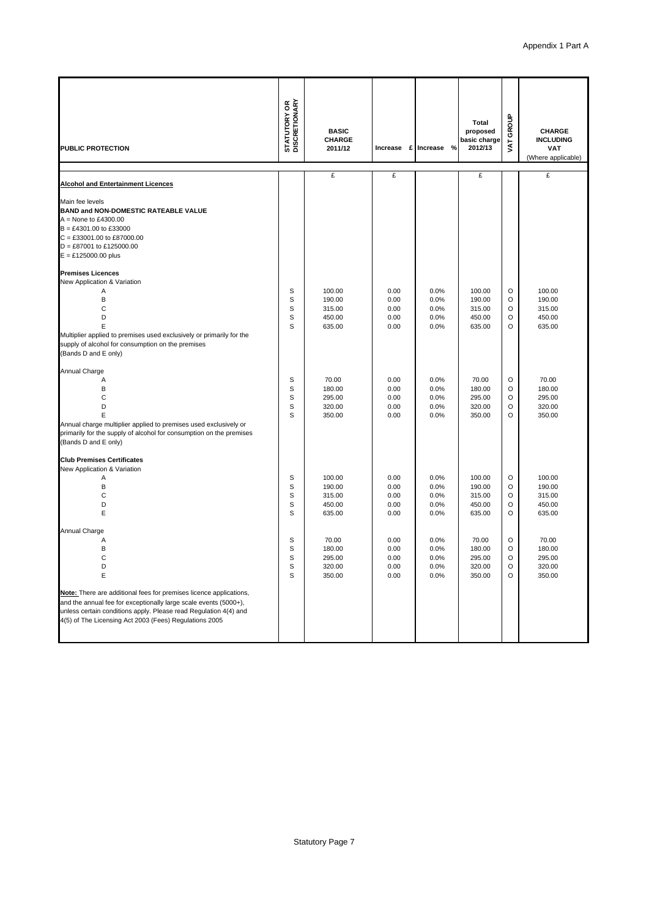| PUBLIC PROTECTION                                                                                                                                                                                                                                                    | <b>STATUTORY OR<br/>DISCRETIONARY</b>     | <b>BASIC</b><br>CHARGE<br>2011/12              |                                      | Increase £ Increase %                | <b>Total</b><br>proposed<br>basic charge<br>2012/13 | GROUP<br>$\frac{1}{2}$      | <b>CHARGE</b><br><b>INCLUDING</b><br><b>VAT</b><br>(Where applicable) |
|----------------------------------------------------------------------------------------------------------------------------------------------------------------------------------------------------------------------------------------------------------------------|-------------------------------------------|------------------------------------------------|--------------------------------------|--------------------------------------|-----------------------------------------------------|-----------------------------|-----------------------------------------------------------------------|
|                                                                                                                                                                                                                                                                      |                                           | £                                              | £                                    |                                      | £                                                   |                             | £                                                                     |
| <b>Alcohol and Entertainment Licences</b>                                                                                                                                                                                                                            |                                           |                                                |                                      |                                      |                                                     |                             |                                                                       |
| Main fee levels<br>BAND and NON-DOMESTIC RATEABLE VALUE<br>$A = None$ to £4300.00<br>B = £4301.00 to £33000<br>$C = £33001.00$ to £87000.00<br>$D = \text{\pounds}87001$ to £125000.00<br>$E = £125000.00$ plus                                                      |                                           |                                                |                                      |                                      |                                                     |                             |                                                                       |
| <b>Premises Licences</b>                                                                                                                                                                                                                                             |                                           |                                                |                                      |                                      |                                                     |                             |                                                                       |
| New Application & Variation<br>Α<br>B<br>$\mathsf{C}$<br>D<br>Ε<br>Multiplier applied to premises used exclusively or primarily for the<br>supply of alcohol for consumption on the premises<br>(Bands D and E only)                                                 | S<br>$\mathbf S$<br>$\mathbf S$<br>S<br>S | 100.00<br>190.00<br>315.00<br>450.00<br>635.00 | 0.00<br>0.00<br>0.00<br>0.00<br>0.00 | 0.0%<br>0.0%<br>0.0%<br>0.0%<br>0.0% | 100.00<br>190.00<br>315.00<br>450.00<br>635.00      | O<br>O<br>O<br>O<br>$\circ$ | 100.00<br>190.00<br>315.00<br>450.00<br>635.00                        |
| Annual Charge                                                                                                                                                                                                                                                        |                                           |                                                |                                      |                                      |                                                     |                             |                                                                       |
| Α                                                                                                                                                                                                                                                                    | S                                         | 70.00                                          | 0.00                                 | 0.0%                                 | 70.00                                               | O                           | 70.00                                                                 |
| B                                                                                                                                                                                                                                                                    | S                                         | 180.00                                         | 0.00                                 | 0.0%                                 | 180.00                                              | $\circ$                     | 180.00                                                                |
| C<br>D                                                                                                                                                                                                                                                               | S<br>S                                    | 295.00<br>320.00                               | 0.00<br>0.00                         | 0.0%<br>0.0%                         | 295.00<br>320.00                                    | $\circ$<br>O                | 295.00<br>320.00                                                      |
| E                                                                                                                                                                                                                                                                    | S                                         | 350.00                                         | 0.00                                 | 0.0%                                 | 350.00                                              | $\circ$                     | 350.00                                                                |
| Annual charge multiplier applied to premises used exclusively or<br>primarily for the supply of alcohol for consumption on the premises<br>(Bands D and E only)                                                                                                      |                                           |                                                |                                      |                                      |                                                     |                             |                                                                       |
| <b>Club Premises Certificates</b>                                                                                                                                                                                                                                    |                                           |                                                |                                      |                                      |                                                     |                             |                                                                       |
| New Application & Variation                                                                                                                                                                                                                                          |                                           |                                                |                                      |                                      |                                                     |                             |                                                                       |
| A<br>B                                                                                                                                                                                                                                                               | S                                         | 100.00                                         | 0.00                                 | 0.0%                                 | 100.00                                              | $\circ$                     | 100.00                                                                |
| $\mathsf C$                                                                                                                                                                                                                                                          | S<br>$\mathbf S$                          | 190.00<br>315.00                               | 0.00<br>0.00                         | 0.0%<br>0.0%                         | 190.00<br>315.00                                    | O<br>O                      | 190.00<br>315.00                                                      |
| D                                                                                                                                                                                                                                                                    | $\mathbf S$                               | 450.00                                         | 0.00                                 | 0.0%                                 | 450.00                                              | O                           | 450.00                                                                |
| E                                                                                                                                                                                                                                                                    | S                                         | 635.00                                         | 0.00                                 | 0.0%                                 | 635.00                                              | O                           | 635.00                                                                |
| Annual Charge                                                                                                                                                                                                                                                        |                                           |                                                |                                      |                                      |                                                     |                             |                                                                       |
| Α                                                                                                                                                                                                                                                                    | S                                         | 70.00                                          | 0.00                                 | 0.0%                                 | 70.00                                               | $\circ$                     | 70.00                                                                 |
| В                                                                                                                                                                                                                                                                    | S                                         | 180.00                                         | 0.00                                 | 0.0%                                 | 180.00                                              | O                           | 180.00                                                                |
| $\mathsf C$                                                                                                                                                                                                                                                          | S                                         | 295.00                                         | 0.00                                 | 0.0%                                 | 295.00                                              | $\circ$                     | 295.00                                                                |
| D<br>E                                                                                                                                                                                                                                                               | S<br>S                                    | 320.00<br>350.00                               | 0.00<br>0.00                         | 0.0%<br>0.0%                         | 320.00<br>350.00                                    | O<br>O                      | 320.00<br>350.00                                                      |
| Note: There are additional fees for premises licence applications,<br>and the annual fee for exceptionally large scale events (5000+),<br>unless certain conditions apply. Please read Regulation 4(4) and<br>4(5) of The Licensing Act 2003 (Fees) Regulations 2005 |                                           |                                                |                                      |                                      |                                                     |                             |                                                                       |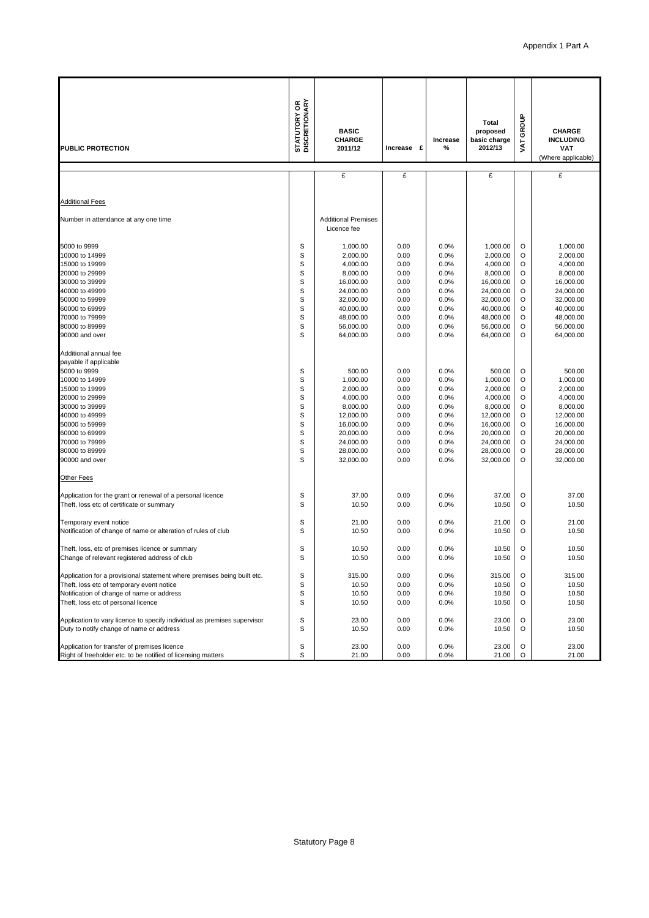|                                                                                                                      | <b>STATUTORY OR<br/>DISCRETIONARY</b> |                                           |              |               |                                              |              |                                                                |
|----------------------------------------------------------------------------------------------------------------------|---------------------------------------|-------------------------------------------|--------------|---------------|----------------------------------------------|--------------|----------------------------------------------------------------|
| <b>PUBLIC PROTECTION</b>                                                                                             |                                       | <b>BASIC</b><br><b>CHARGE</b><br>2011/12  | Increase £   | Increase<br>% | Total<br>proposed<br>basic charge<br>2012/13 | GROUP<br>JAT | <b>CHARGE</b><br><b>INCLUDING</b><br>VAT<br>(Where applicable) |
|                                                                                                                      |                                       | £                                         | £            |               | £                                            |              | £                                                              |
| <b>Additional Fees</b>                                                                                               |                                       |                                           |              |               |                                              |              |                                                                |
|                                                                                                                      |                                       |                                           |              |               |                                              |              |                                                                |
| Number in attendance at any one time                                                                                 |                                       | <b>Additional Premises</b><br>Licence fee |              |               |                                              |              |                                                                |
| 5000 to 9999                                                                                                         | S                                     | 1,000.00                                  | 0.00         | 0.0%          | 1,000.00                                     | O            | 1,000.00                                                       |
| 10000 to 14999                                                                                                       | $\mathbb S$                           | 2,000.00                                  | 0.00         | 0.0%          | 2,000.00                                     | O            | 2,000.00                                                       |
| 15000 to 19999                                                                                                       | $\mathbf S$                           | 4,000.00                                  | 0.00         | 0.0%          | 4,000.00                                     | O            | 4,000.00                                                       |
| 20000 to 29999                                                                                                       | S                                     | 8,000.00                                  | 0.00         | 0.0%          | 8,000.00                                     | O            | 8,000.00                                                       |
| 30000 to 39999                                                                                                       | $\mathbf S$                           | 16,000.00                                 | 0.00         | 0.0%          | 16,000.00                                    | O            | 16,000.00                                                      |
| 40000 to 49999                                                                                                       | S                                     | 24,000.00                                 | 0.00         | 0.0%          | 24,000.00                                    | O            | 24,000.00                                                      |
| 50000 to 59999                                                                                                       | S                                     | 32,000.00                                 | 0.00         | 0.0%          | 32,000.00                                    | O            | 32,000.00                                                      |
| 60000 to 69999                                                                                                       | $\mathbf S$                           | 40,000.00                                 | 0.00         | 0.0%          | 40,000.00                                    | O            | 40,000.00                                                      |
| 70000 to 79999                                                                                                       | $\mathbf S$<br>S                      | 48,000.00                                 | 0.00         | 0.0%          | 48,000.00                                    | O<br>O       | 48,000.00                                                      |
| 80000 to 89999<br>90000 and over                                                                                     | S                                     | 56,000.00<br>64,000.00                    | 0.00<br>0.00 | 0.0%<br>0.0%  | 56,000.00<br>64,000.00                       | O            | 56,000.00<br>64,000.00                                         |
| Additional annual fee                                                                                                |                                       |                                           |              |               |                                              |              |                                                                |
| payable if applicable                                                                                                |                                       |                                           |              |               |                                              |              |                                                                |
| 5000 to 9999                                                                                                         | S                                     | 500.00                                    | 0.00         | 0.0%          | 500.00                                       | O            | 500.00                                                         |
| 10000 to 14999                                                                                                       | S                                     | 1,000.00                                  | 0.00         | 0.0%          | 1,000.00                                     | O            | 1,000.00                                                       |
| 15000 to 19999                                                                                                       | $\mathbf S$                           | 2,000.00                                  | 0.00         | 0.0%          | 2,000.00                                     | O            | 2,000.00                                                       |
| 20000 to 29999                                                                                                       | S                                     | 4,000.00                                  | 0.00         | 0.0%          | 4,000.00                                     | O            | 4,000.00                                                       |
| 30000 to 39999                                                                                                       | S                                     | 8,000.00                                  | 0.00         | 0.0%          | 8,000.00                                     | O            | 8,000.00                                                       |
| 40000 to 49999                                                                                                       | S                                     | 12,000.00                                 | 0.00         | 0.0%          | 12,000.00                                    | O            | 12,000.00                                                      |
| 50000 to 59999                                                                                                       | S                                     | 16,000.00                                 | 0.00         | 0.0%          | 16,000.00                                    | O            | 16,000.00                                                      |
| 60000 to 69999                                                                                                       | S                                     | 20,000.00                                 | 0.00         | 0.0%          | 20,000.00                                    | O            | 20,000.00                                                      |
| 70000 to 79999                                                                                                       | S                                     | 24,000.00                                 | 0.00         | 0.0%          | 24,000.00                                    | O            | 24,000.00                                                      |
| 80000 to 89999<br>90000 and over                                                                                     | S<br>S                                | 28,000.00<br>32,000.00                    | 0.00<br>0.00 | 0.0%<br>0.0%  | 28,000.00<br>32,000.00                       | O<br>O       | 28,000.00<br>32,000.00                                         |
| Other Fees                                                                                                           |                                       |                                           |              |               |                                              |              |                                                                |
|                                                                                                                      |                                       |                                           |              |               |                                              |              |                                                                |
| Application for the grant or renewal of a personal licence<br>Theft, loss etc of certificate or summary              | S<br>S                                | 37.00<br>10.50                            | 0.00<br>0.00 | 0.0%<br>0.0%  | 37.00<br>10.50                               | O<br>O       | 37.00<br>10.50                                                 |
| Temporary event notice                                                                                               | S                                     | 21.00                                     | 0.00         | 0.0%          | 21.00                                        | O            | 21.00                                                          |
| Notification of change of name or alteration of rules of club                                                        | S                                     | 10.50                                     | 0.00         | 0.0%          | 10.50                                        | O            | 10.50                                                          |
| Theft, loss, etc of premises licence or summary                                                                      | S                                     | 10.50                                     | 0.00         | 0.0%          | 10.50                                        | O            | 10.50                                                          |
| Change of relevant registered address of club                                                                        | S                                     | 10.50                                     | 0.00         | 0.0%          | 10.50                                        | O            | 10.50                                                          |
| Application for a provisional statement where premises being built etc.                                              | S                                     | 315.00                                    | 0.00         | 0.0%          | 315.00                                       | O            | 315.00                                                         |
| Theft, loss etc of temporary event notice                                                                            | $\mathbb S$                           | 10.50                                     | 0.00         | 0.0%          | 10.50                                        | O            | 10.50                                                          |
| Notification of change of name or address                                                                            | S                                     | 10.50                                     | 0.00         | 0.0%          | 10.50                                        | O            | 10.50                                                          |
| Theft, loss etc of personal licence                                                                                  | S                                     | 10.50                                     | 0.00         | 0.0%          | 10.50                                        | O            | 10.50                                                          |
|                                                                                                                      |                                       |                                           |              |               |                                              |              |                                                                |
| Application to vary licence to specify individual as premises supervisor<br>Duty to notify change of name or address | $\mathbf S$<br>S                      | 23.00<br>10.50                            | 0.00<br>0.00 | 0.0%<br>0.0%  | 23.00<br>10.50                               | O<br>O       | 23.00<br>10.50                                                 |
| Application for transfer of premises licence                                                                         | S                                     | 23.00                                     | 0.00         | 0.0%          | 23.00                                        | O            | 23.00                                                          |
| Right of freeholder etc. to be notified of licensing matters                                                         | $\mathsf S$                           | 21.00                                     | 0.00         | 0.0%          | 21.00                                        | O            | 21.00                                                          |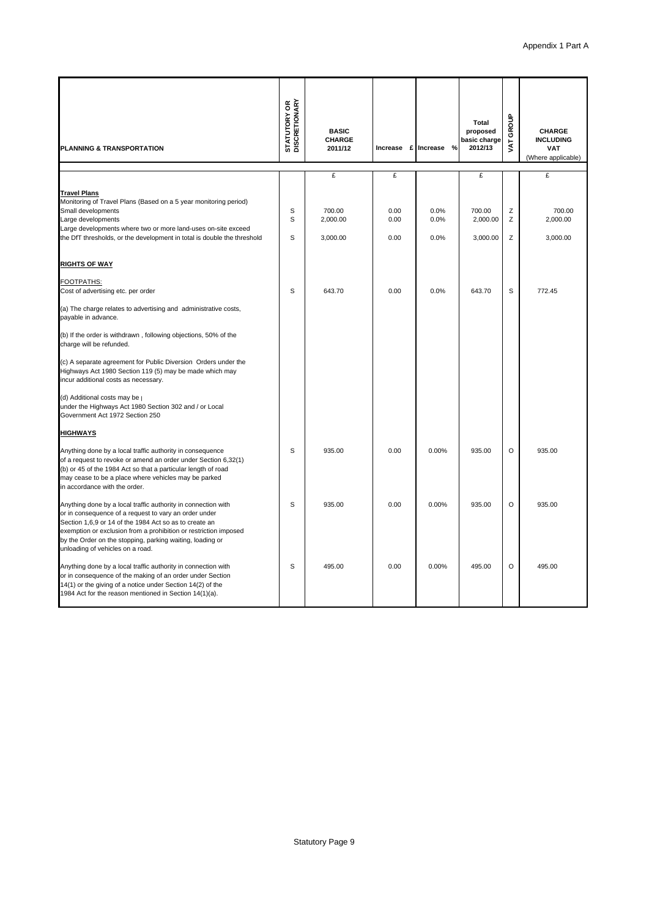| <b>PLANNING &amp; TRANSPORTATION</b>                                                                                                                                                                                                                                                                                                                  | <b>STATUTORY OR<br/>DISCRETIONARY</b> | <b>BASIC</b><br><b>CHARGE</b><br>2011/12 | Increase             | £ Increase<br>%      | <b>Total</b><br>proposed<br>basic charge<br>2012/13 | VAT GROUP   | <b>CHARGE</b><br><b>INCLUDING</b><br><b>VAT</b><br>(Where applicable) |
|-------------------------------------------------------------------------------------------------------------------------------------------------------------------------------------------------------------------------------------------------------------------------------------------------------------------------------------------------------|---------------------------------------|------------------------------------------|----------------------|----------------------|-----------------------------------------------------|-------------|-----------------------------------------------------------------------|
|                                                                                                                                                                                                                                                                                                                                                       |                                       | £                                        | £                    |                      | £                                                   |             | £                                                                     |
| <b>Travel Plans</b><br>Monitoring of Travel Plans (Based on a 5 year monitoring period)<br>Small developments<br>Large developments<br>Large developments where two or more land-uses on-site exceed<br>the DfT thresholds, or the development in total is double the threshold                                                                       | S<br>S<br>S                           | 700.00<br>2,000.00<br>3,000.00           | 0.00<br>0.00<br>0.00 | 0.0%<br>0.0%<br>0.0% | 700.00<br>2,000.00<br>3,000.00                      | Z<br>Z<br>Z | 700.00<br>2,000.00<br>3,000.00                                        |
| <b>RIGHTS OF WAY</b>                                                                                                                                                                                                                                                                                                                                  |                                       |                                          |                      |                      |                                                     |             |                                                                       |
| FOOTPATHS:<br>Cost of advertising etc. per order<br>(a) The charge relates to advertising and administrative costs,                                                                                                                                                                                                                                   | S                                     | 643.70                                   | 0.00                 | 0.0%                 | 643.70                                              | S           | 772.45                                                                |
| payable in advance.                                                                                                                                                                                                                                                                                                                                   |                                       |                                          |                      |                      |                                                     |             |                                                                       |
| (b) If the order is withdrawn, following objections, 50% of the<br>charge will be refunded.                                                                                                                                                                                                                                                           |                                       |                                          |                      |                      |                                                     |             |                                                                       |
| (c) A separate agreement for Public Diversion Orders under the<br>Highways Act 1980 Section 119 (5) may be made which may<br>incur additional costs as necessary.                                                                                                                                                                                     |                                       |                                          |                      |                      |                                                     |             |                                                                       |
| (d) Additional costs may be  <br>under the Highways Act 1980 Section 302 and / or Local<br>Government Act 1972 Section 250                                                                                                                                                                                                                            |                                       |                                          |                      |                      |                                                     |             |                                                                       |
| <b>HIGHWAYS</b>                                                                                                                                                                                                                                                                                                                                       |                                       |                                          |                      |                      |                                                     |             |                                                                       |
| Anything done by a local traffic authority in consequence<br>of a request to revoke or amend an order under Section 6,32(1)<br>(b) or 45 of the 1984 Act so that a particular length of road<br>may cease to be a place where vehicles may be parked<br>in accordance with the order.                                                                 | S                                     | 935.00                                   | 0.00                 | 0.00%                | 935.00                                              | $\circ$     | 935.00                                                                |
| Anything done by a local traffic authority in connection with<br>or in consequence of a request to vary an order under<br>Section 1,6,9 or 14 of the 1984 Act so as to create an<br>exemption or exclusion from a prohibition or restriction imposed<br>by the Order on the stopping, parking waiting, loading or<br>unloading of vehicles on a road. | S                                     | 935.00                                   | 0.00                 | 0.00%                | 935.00                                              | $\circ$     | 935.00                                                                |
| Anything done by a local traffic authority in connection with<br>or in consequence of the making of an order under Section<br>14(1) or the giving of a notice under Section 14(2) of the<br>1984 Act for the reason mentioned in Section 14(1)(a).                                                                                                    | S                                     | 495.00                                   | 0.00                 | 0.00%                | 495.00                                              | O           | 495.00                                                                |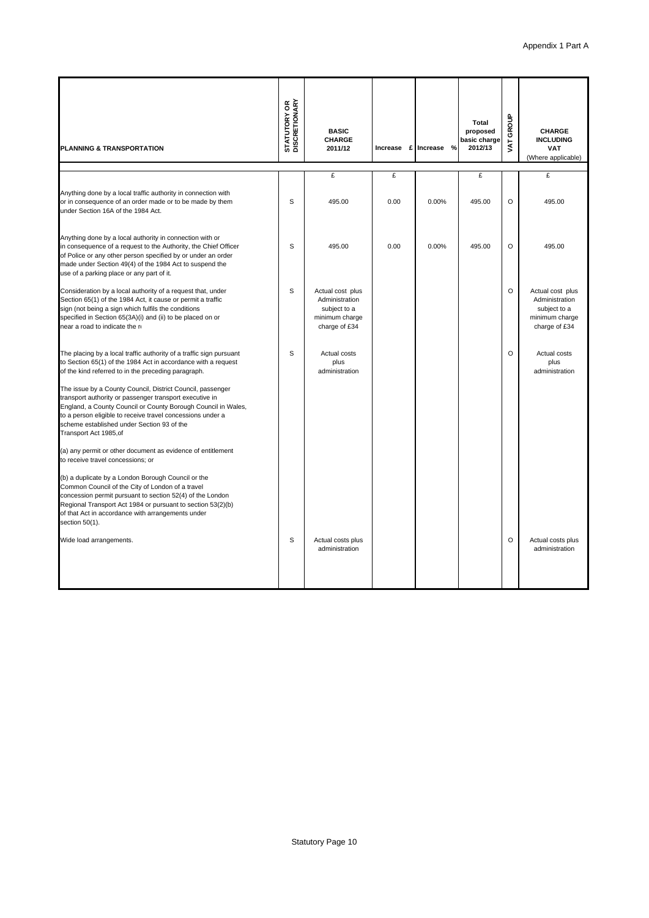| <b>PLANNING &amp; TRANSPORTATION</b>                                                                                                                                                                                                                                                                                                                                                                                                                                                                                        | <b>STATUTORY OR<br/>DISCRETIONARY</b> | <b>BASIC</b><br><b>CHARGE</b><br>2011/12                                              | Increase | £ Increase<br>% | <b>Total</b><br>proposed<br>basic charge<br>2012/13 |          | <b>CHARGE</b><br><b>INCLUDING</b><br><b>VAT</b><br>(Where applicable)                 |  |
|-----------------------------------------------------------------------------------------------------------------------------------------------------------------------------------------------------------------------------------------------------------------------------------------------------------------------------------------------------------------------------------------------------------------------------------------------------------------------------------------------------------------------------|---------------------------------------|---------------------------------------------------------------------------------------|----------|-----------------|-----------------------------------------------------|----------|---------------------------------------------------------------------------------------|--|
|                                                                                                                                                                                                                                                                                                                                                                                                                                                                                                                             |                                       | £                                                                                     | £        |                 | £                                                   |          | £                                                                                     |  |
| Anything done by a local traffic authority in connection with<br>or in consequence of an order made or to be made by them<br>under Section 16A of the 1984 Act.                                                                                                                                                                                                                                                                                                                                                             | S                                     | 495.00                                                                                | 0.00     | 0.00%           | 495.00                                              | O        | 495.00                                                                                |  |
| Anything done by a local authority in connection with or<br>in consequence of a request to the Authority, the Chief Officer<br>of Police or any other person specified by or under an order<br>made under Section 49(4) of the 1984 Act to suspend the<br>use of a parking place or any part of it.                                                                                                                                                                                                                         | S                                     | 495.00                                                                                | 0.00     | 0.00%           | 495.00                                              | O        | 495.00                                                                                |  |
| Consideration by a local authority of a request that, under<br>Section 65(1) of the 1984 Act, it cause or permit a traffic<br>sign (not being a sign which fulfils the conditions<br>specified in Section 65(3A)(i) and (ii) to be placed on or<br>near a road to indicate the re                                                                                                                                                                                                                                           | S                                     | Actual cost plus<br>Administration<br>subject to a<br>minimum charge<br>charge of £34 |          |                 |                                                     | $\Omega$ | Actual cost plus<br>Administration<br>subject to a<br>minimum charge<br>charge of £34 |  |
| The placing by a local traffic authority of a traffic sign pursuant<br>to Section 65(1) of the 1984 Act in accordance with a request<br>of the kind referred to in the preceding paragraph.<br>The issue by a County Council, District Council, passenger<br>transport authority or passenger transport executive in<br>England, a County Council or County Borough Council in Wales,<br>to a person eligible to receive travel concessions under a<br>scheme established under Section 93 of the<br>Transport Act 1985, of | S                                     | Actual costs<br>plus<br>administration                                                |          |                 |                                                     | $\Omega$ | Actual costs<br>plus<br>administration                                                |  |
| (a) any permit or other document as evidence of entitlement<br>to receive travel concessions; or<br>(b) a duplicate by a London Borough Council or the<br>Common Council of the City of London of a travel<br>concession permit pursuant to section 52(4) of the London<br>Regional Transport Act 1984 or pursuant to section 53(2)(b)<br>of that Act in accordance with arrangements under<br>section $50(1)$ .                                                                                                            |                                       |                                                                                       |          |                 |                                                     |          |                                                                                       |  |
| Wide load arrangements.                                                                                                                                                                                                                                                                                                                                                                                                                                                                                                     | S                                     | Actual costs plus<br>administration                                                   |          |                 |                                                     | O        | Actual costs plus<br>administration                                                   |  |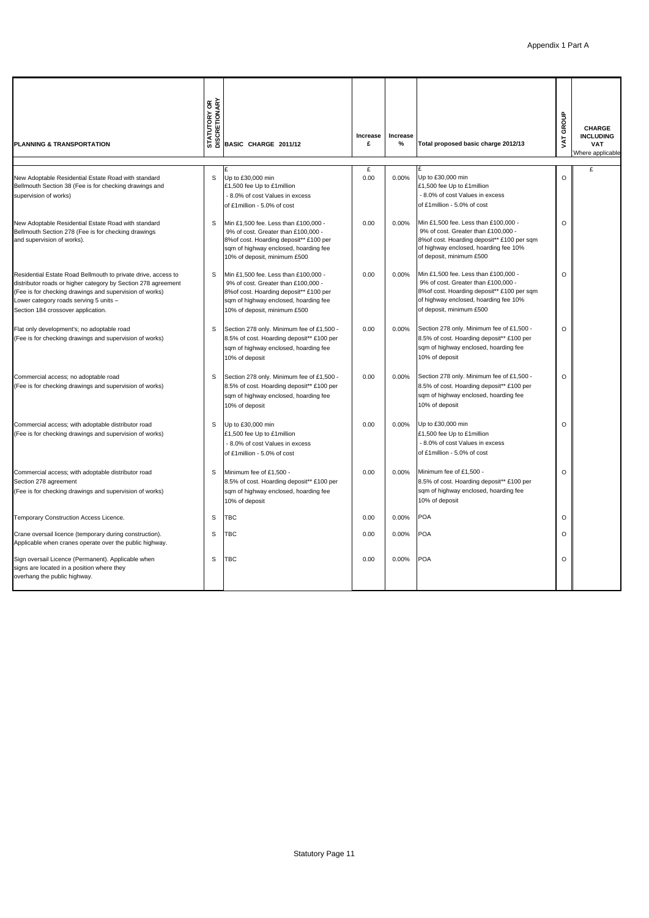| <b>PLANNING &amp; TRANSPORTATION</b>                                                                                                                                                                                                                                    | <b>STATUTORY OR</b><br>DISCRETIONARY | BASIC CHARGE 2011/12                                                                                                                                                                            | Increase<br>£ | Increase<br>% | Total proposed basic charge 2012/13                                                                                                                                                             | GROUP<br>Š | <b>CHARGE</b><br><b>INCLUDING</b><br><b>VAT</b><br>Where applicable |
|-------------------------------------------------------------------------------------------------------------------------------------------------------------------------------------------------------------------------------------------------------------------------|--------------------------------------|-------------------------------------------------------------------------------------------------------------------------------------------------------------------------------------------------|---------------|---------------|-------------------------------------------------------------------------------------------------------------------------------------------------------------------------------------------------|------------|---------------------------------------------------------------------|
| New Adoptable Residential Estate Road with standard<br>Bellmouth Section 38 (Fee is for checking drawings and<br>supervision of works)                                                                                                                                  | S                                    | Up to £30,000 min<br>£1,500 fee Up to £1 million<br>- 8.0% of cost Values in excess                                                                                                             | £<br>0.00     | 0.00%         | Up to £30,000 min<br>£1,500 fee Up to £1 million<br>- 8.0% of cost Values in excess                                                                                                             | $\circ$    | £                                                                   |
|                                                                                                                                                                                                                                                                         |                                      | of £1million - 5.0% of cost                                                                                                                                                                     |               |               | of £1million - 5.0% of cost                                                                                                                                                                     |            |                                                                     |
| New Adoptable Residential Estate Road with standard<br>Bellmouth Section 278 (Fee is for checking drawings<br>and supervision of works).                                                                                                                                | S                                    | Min £1,500 fee. Less than £100,000 -<br>9% of cost. Greater than £100,000 -<br>8% of cost. Hoarding deposit** £100 per<br>sqm of highway enclosed, hoarding fee<br>10% of deposit, minimum £500 | 0.00          | 0.00%         | Min £1,500 fee. Less than £100,000 -<br>9% of cost. Greater than £100,000 -<br>8% of cost. Hoarding deposit** £100 per sqm<br>of highway enclosed, hoarding fee 10%<br>of deposit, minimum £500 | $\circ$    |                                                                     |
| Residential Estate Road Bellmouth to private drive, access to<br>distributor roads or higher category by Section 278 agreement<br>(Fee is for checking drawings and supervision of works)<br>-ower category roads serving 5 units<br>Section 184 crossover application. | S                                    | Min £1,500 fee. Less than £100,000 -<br>9% of cost. Greater than £100,000 -<br>8% of cost. Hoarding deposit** £100 per<br>sqm of highway enclosed, hoarding fee<br>10% of deposit, minimum £500 | 0.00          | 0.00%         | Min £1.500 fee. Less than £100.000 -<br>9% of cost. Greater than £100,000 -<br>8% of cost. Hoarding deposit** £100 per sqm<br>of highway enclosed, hoarding fee 10%<br>of deposit, minimum £500 | $\circ$    |                                                                     |
| Flat only development's; no adoptable road<br>(Fee is for checking drawings and supervision of works)                                                                                                                                                                   | S                                    | Section 278 only. Minimum fee of £1,500 -<br>8.5% of cost. Hoarding deposit** £100 per<br>sqm of highway enclosed, hoarding fee<br>10% of deposit                                               | 0.00          | 0.00%         | Section 278 only. Minimum fee of £1,500 -<br>8.5% of cost. Hoarding deposit** £100 per<br>sqm of highway enclosed, hoarding fee<br>10% of deposit                                               | O          |                                                                     |
| Commercial access; no adoptable road<br>(Fee is for checking drawings and supervision of works)                                                                                                                                                                         | S                                    | Section 278 only. Minimum fee of £1,500 -<br>8.5% of cost. Hoarding deposit** £100 per<br>sqm of highway enclosed, hoarding fee<br>10% of deposit                                               | 0.00          | 0.00%         | Section 278 only. Minimum fee of £1,500 -<br>8.5% of cost. Hoarding deposit** £100 per<br>sqm of highway enclosed, hoarding fee<br>10% of deposit                                               | $\circ$    |                                                                     |
| Commercial access; with adoptable distributor road<br>(Fee is for checking drawings and supervision of works)                                                                                                                                                           | S                                    | Up to £30,000 min<br>£1,500 fee Up to £1million<br>- 8.0% of cost Values in excess<br>of £1million - 5.0% of cost                                                                               | 0.00          | 0.00%         | Up to £30,000 min<br>£1,500 fee Up to £1 million<br>- 8.0% of cost Values in excess<br>of £1million - 5.0% of cost                                                                              | $\circ$    |                                                                     |
| Commercial access; with adoptable distributor road<br>Section 278 agreement<br>(Fee is for checking drawings and supervision of works)                                                                                                                                  | S                                    | Minimum fee of £1,500 -<br>8.5% of cost. Hoarding deposit** £100 per<br>sqm of highway enclosed, hoarding fee<br>10% of deposit                                                                 | 0.00          | 0.00%         | Minimum fee of £1,500 -<br>8.5% of cost. Hoarding deposit** £100 per<br>sqm of highway enclosed, hoarding fee<br>10% of deposit                                                                 | $\circ$    |                                                                     |
| Temporary Construction Access Licence.                                                                                                                                                                                                                                  | S                                    | <b>TBC</b>                                                                                                                                                                                      | 0.00          | 0.00%         | POA                                                                                                                                                                                             | $\circ$    |                                                                     |
| Crane oversail licence (temporary during construction).<br>Applicable when cranes operate over the public highway.                                                                                                                                                      | S                                    | <b>TBC</b>                                                                                                                                                                                      | 0.00          | 0.00%         | POA                                                                                                                                                                                             | $\circ$    |                                                                     |
| Sign oversail Licence (Permanent). Applicable when<br>signs are located in a position where they<br>overhang the public highway.                                                                                                                                        | S                                    | TBC                                                                                                                                                                                             | 0.00          | 0.00%         | <b>POA</b>                                                                                                                                                                                      | $\circ$    |                                                                     |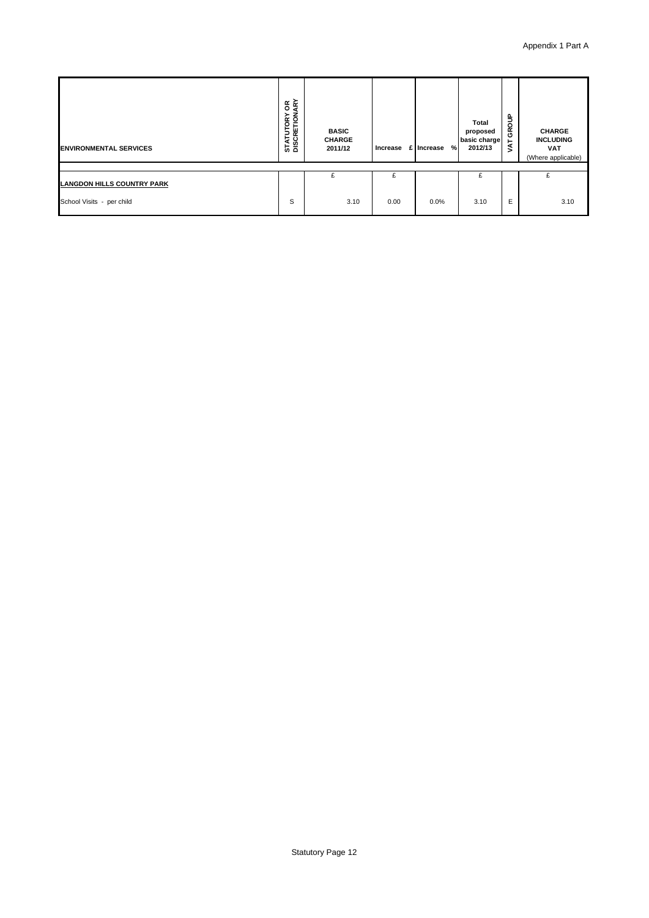| <b>ENVIRONMENTAL SERVICES</b>     | <b>STATUTORY OR<br/>DISCRETIONARY</b> | <b>BASIC</b><br><b>CHARGE</b><br>2011/12 | Increase | %<br>£ Increase | Total<br>proposed<br>basic charge<br>2012/13 | GROUP<br>ŠΣ | <b>CHARGE</b><br><b>INCLUDING</b><br><b>VAT</b><br>(Where applicable) |
|-----------------------------------|---------------------------------------|------------------------------------------|----------|-----------------|----------------------------------------------|-------------|-----------------------------------------------------------------------|
|                                   |                                       |                                          |          |                 |                                              |             |                                                                       |
| <b>LANGDON HILLS COUNTRY PARK</b> |                                       | £                                        |          |                 | £                                            |             |                                                                       |
| School Visits - per child         | S                                     | 3.10                                     | 0.00     | 0.0%            | 3.10                                         | Ε           | 3.10                                                                  |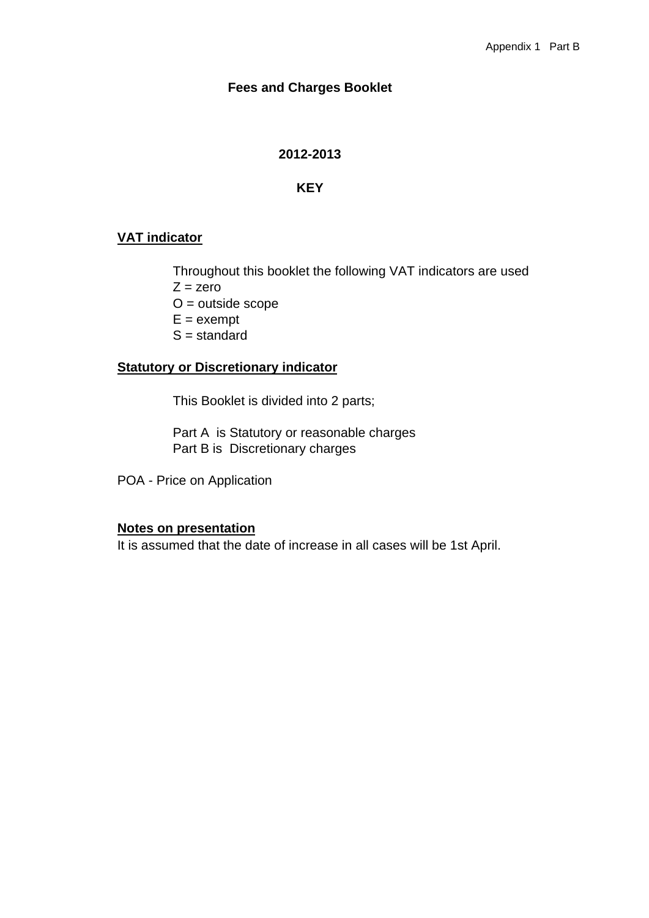## **2012-2013**

#### **KEY**

## **VAT indicator**

Throughout this booklet the following VAT indicators are used  $Z = zero$ O = outside scope  $E =$  exempt S = standard

#### **Statutory or Discretionary indicator**

This Booklet is divided into 2 parts;

Part A is Statutory or reasonable charges Part B is Discretionary charges

POA - Price on Application

## **Notes on presentation**

It is assumed that the date of increase in all cases will be 1st April.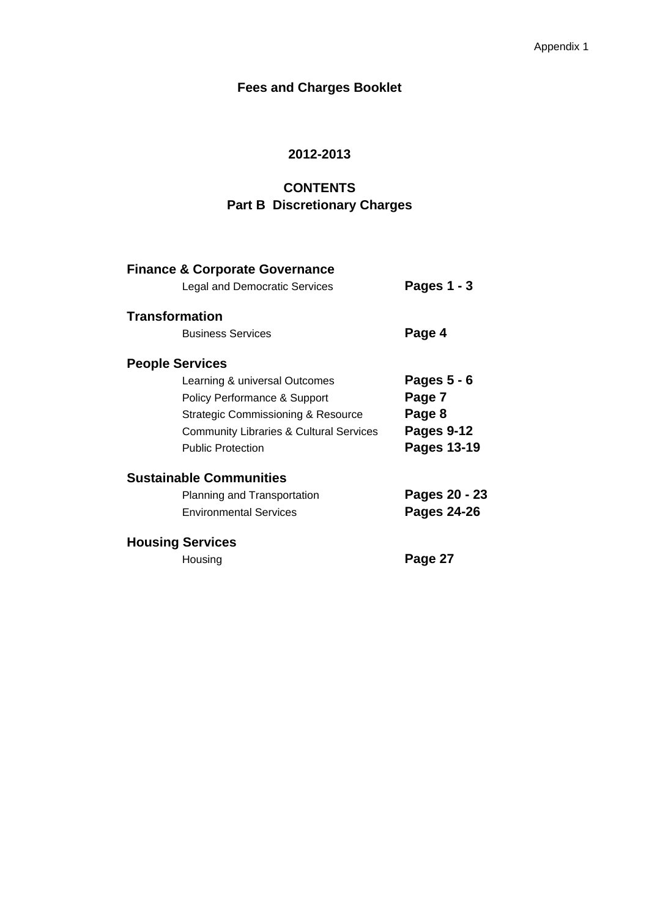## **2012-2013**

# **CONTENTS Part B Discretionary Charges**

|                         | <b>Finance &amp; Corporate Governance</b>          |                    |
|-------------------------|----------------------------------------------------|--------------------|
|                         | Legal and Democratic Services                      | Pages 1 - 3        |
| <b>Transformation</b>   |                                                    |                    |
|                         | <b>Business Services</b>                           | Page 4             |
| <b>People Services</b>  |                                                    |                    |
|                         | Learning & universal Outcomes                      | <b>Pages 5 - 6</b> |
|                         | Policy Performance & Support                       | Page 7             |
|                         | Strategic Commissioning & Resource                 | Page 8             |
|                         | <b>Community Libraries &amp; Cultural Services</b> | <b>Pages 9-12</b>  |
|                         | <b>Public Protection</b>                           | Pages 13-19        |
|                         | <b>Sustainable Communities</b>                     |                    |
|                         | Planning and Transportation                        | Pages 20 - 23      |
|                         | <b>Environmental Services</b>                      | <b>Pages 24-26</b> |
| <b>Housing Services</b> |                                                    |                    |
| Housing                 |                                                    | Page 27            |
|                         |                                                    |                    |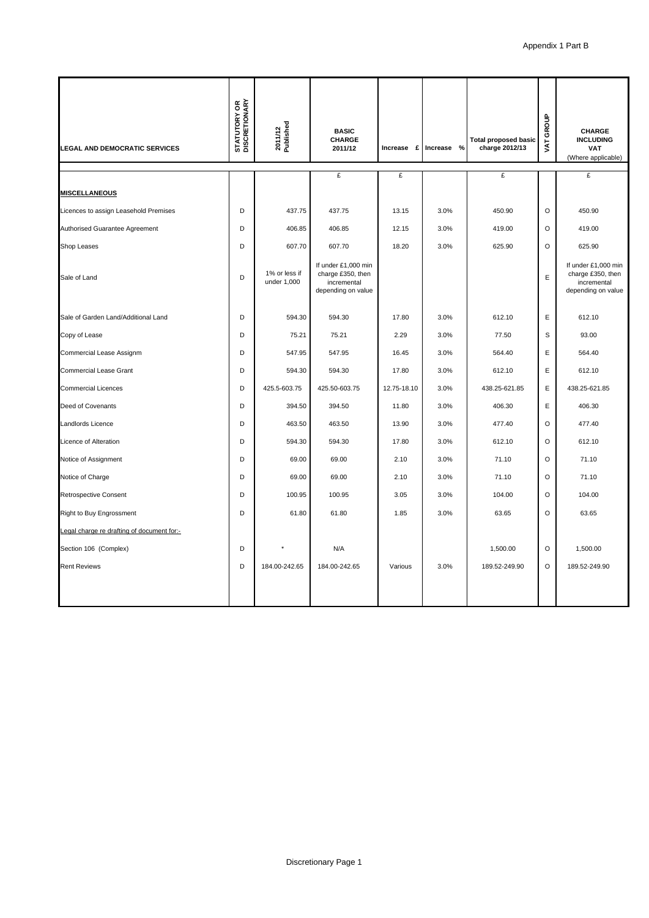| <b>LEGAL AND DEMOCRATIC SERVICES</b>       | <b>STATUTORY OR<br/>DISCRETIONARY</b> | 2011/12<br>Published         | <b>BASIC</b><br><b>CHARGE</b><br>2011/12                                      | £<br>Increase | Increase % | <b>Total proposed basic</b><br>charge 2012/13 | VAT GROUP | CHARGE<br><b>INCLUDING</b><br><b>VAT</b><br>(Where applicable)                |
|--------------------------------------------|---------------------------------------|------------------------------|-------------------------------------------------------------------------------|---------------|------------|-----------------------------------------------|-----------|-------------------------------------------------------------------------------|
|                                            |                                       |                              | £                                                                             | £             |            | £                                             |           | £                                                                             |
| <b>MISCELLANEOUS</b>                       |                                       |                              |                                                                               |               |            |                                               |           |                                                                               |
| Licences to assign Leasehold Premises      | D                                     | 437.75                       | 437.75                                                                        | 13.15         | 3.0%       | 450.90                                        | $\circ$   | 450.90                                                                        |
| Authorised Guarantee Agreement             | D                                     | 406.85                       | 406.85                                                                        | 12.15         | 3.0%       | 419.00                                        | O         | 419.00                                                                        |
| Shop Leases                                | D                                     | 607.70                       | 607.70                                                                        | 18.20         | 3.0%       | 625.90                                        | O         | 625.90                                                                        |
| Sale of Land                               | D                                     | 1% or less if<br>under 1,000 | If under £1,000 min<br>charge £350, then<br>incremental<br>depending on value |               |            |                                               | Ε         | If under £1,000 min<br>charge £350, then<br>incremental<br>depending on value |
| Sale of Garden Land/Additional Land        | D                                     | 594.30                       | 594.30                                                                        | 17.80         | 3.0%       | 612.10                                        | Е         | 612.10                                                                        |
| Copy of Lease                              | D                                     | 75.21                        | 75.21                                                                         | 2.29          | 3.0%       | 77.50                                         | S         | 93.00                                                                         |
| Commercial Lease Assignm                   | D                                     | 547.95                       | 547.95                                                                        | 16.45         | 3.0%       | 564.40                                        | Ε         | 564.40                                                                        |
| <b>Commercial Lease Grant</b>              | D                                     | 594.30                       | 594.30                                                                        | 17.80         | 3.0%       | 612.10                                        | Е         | 612.10                                                                        |
| <b>Commercial Licences</b>                 | D                                     | 425.5-603.75                 | 425.50-603.75                                                                 | 12.75-18.10   | 3.0%       | 438.25-621.85                                 | E         | 438.25-621.85                                                                 |
| Deed of Covenants                          | D                                     | 394.50                       | 394.50                                                                        | 11.80         | 3.0%       | 406.30                                        | Ε         | 406.30                                                                        |
| Landlords Licence                          | D                                     | 463.50                       | 463.50                                                                        | 13.90         | 3.0%       | 477.40                                        | $\circ$   | 477.40                                                                        |
| Licence of Alteration                      | D                                     | 594.30                       | 594.30                                                                        | 17.80         | 3.0%       | 612.10                                        | $\circ$   | 612.10                                                                        |
| Notice of Assignment                       | D                                     | 69.00                        | 69.00                                                                         | 2.10          | 3.0%       | 71.10                                         | O         | 71.10                                                                         |
| Notice of Charge                           | D                                     | 69.00                        | 69.00                                                                         | 2.10          | 3.0%       | 71.10                                         | $\circ$   | 71.10                                                                         |
| <b>Retrospective Consent</b>               | D                                     | 100.95                       | 100.95                                                                        | 3.05          | 3.0%       | 104.00                                        | $\circ$   | 104.00                                                                        |
| Right to Buy Engrossment                   | D                                     | 61.80                        | 61.80                                                                         | 1.85          | 3.0%       | 63.65                                         | $\circ$   | 63.65                                                                         |
| Legal charge re drafting of document for:- |                                       |                              |                                                                               |               |            |                                               |           |                                                                               |
| Section 106 (Complex)                      | D                                     |                              | N/A                                                                           |               |            | 1,500.00                                      | O         | 1,500.00                                                                      |
| <b>Rent Reviews</b>                        | D                                     | 184.00-242.65                | 184.00-242.65                                                                 | Various       | 3.0%       | 189.52-249.90                                 | $\circ$   | 189.52-249.90                                                                 |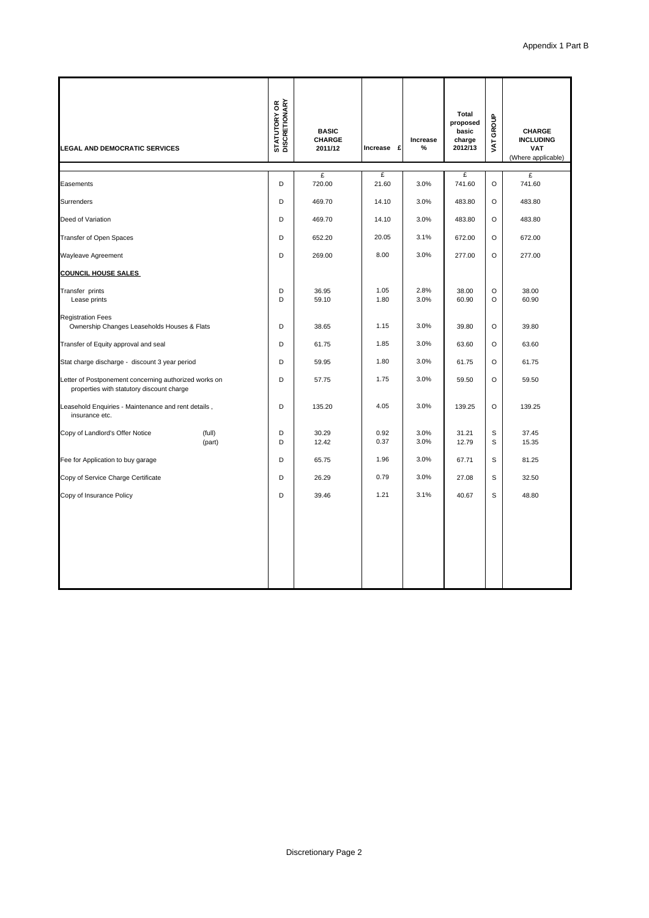| <b>LEGAL AND DEMOCRATIC SERVICES</b>                                                               | <b>STATUTORY OR<br/>DISCRETIONARY</b> | <b>BASIC</b><br><b>CHARGE</b><br>2011/12 | Increase £   | Increase<br>% | Total<br>proposed<br>basic<br>charge<br>2012/13 | GROUP<br><b>LYAT</b> | <b>CHARGE</b><br><b>INCLUDING</b><br><b>VAT</b><br>(Where applicable) |
|----------------------------------------------------------------------------------------------------|---------------------------------------|------------------------------------------|--------------|---------------|-------------------------------------------------|----------------------|-----------------------------------------------------------------------|
| Easements                                                                                          | D                                     | $\mathbf{f}$<br>720.00                   | £<br>21.60   | 3.0%          | £<br>741.60                                     | $\circ$              | £<br>741.60                                                           |
| Surrenders                                                                                         | D                                     | 469.70                                   | 14.10        | 3.0%          | 483.80                                          | $\circ$              | 483.80                                                                |
| Deed of Variation                                                                                  | D                                     | 469.70                                   | 14.10        | 3.0%          | 483.80                                          | O                    | 483.80                                                                |
| Transfer of Open Spaces                                                                            | D                                     | 652.20                                   | 20.05        | 3.1%          | 672.00                                          | $\circ$              | 672.00                                                                |
| Wayleave Agreement                                                                                 | D                                     | 269.00                                   | 8.00         | 3.0%          | 277.00                                          | O                    | 277.00                                                                |
| <b>COUNCIL HOUSE SALES</b>                                                                         |                                       |                                          |              |               |                                                 |                      |                                                                       |
| Transfer prints<br>Lease prints                                                                    | D<br>D                                | 36.95<br>59.10                           | 1.05<br>1.80 | 2.8%<br>3.0%  | 38.00<br>60.90                                  | O<br>O               | 38.00<br>60.90                                                        |
| <b>Registration Fees</b><br>Ownership Changes Leaseholds Houses & Flats                            | D                                     | 38.65                                    | 1.15         | 3.0%          | 39.80                                           | $\circ$              | 39.80                                                                 |
| Transfer of Equity approval and seal                                                               | D                                     | 61.75                                    | 1.85         | 3.0%          | 63.60                                           | O                    | 63.60                                                                 |
| Stat charge discharge - discount 3 year period                                                     | D                                     | 59.95                                    | 1.80         | 3.0%          | 61.75                                           | O                    | 61.75                                                                 |
| Letter of Postponement concerning authorized works on<br>properties with statutory discount charge | D                                     | 57.75                                    | 1.75         | 3.0%          | 59.50                                           | O                    | 59.50                                                                 |
| Leasehold Enquiries - Maintenance and rent details,<br>insurance etc.                              | D                                     | 135.20                                   | 4.05         | 3.0%          | 139.25                                          | O                    | 139.25                                                                |
| Copy of Landlord's Offer Notice<br>(full)<br>(part)                                                | D<br>D                                | 30.29<br>12.42                           | 0.92<br>0.37 | 3.0%<br>3.0%  | 31.21<br>12.79                                  | S<br>S               | 37.45<br>15.35                                                        |
| Fee for Application to buy garage                                                                  | D                                     | 65.75                                    | 1.96         | 3.0%          | 67.71                                           | S                    | 81.25                                                                 |
| Copy of Service Charge Certificate                                                                 | D                                     | 26.29                                    | 0.79         | 3.0%          | 27.08                                           | S                    | 32.50                                                                 |
| Copy of Insurance Policy                                                                           | D                                     | 39.46                                    | 1.21         | 3.1%          | 40.67                                           | S                    | 48.80                                                                 |
|                                                                                                    |                                       |                                          |              |               |                                                 |                      |                                                                       |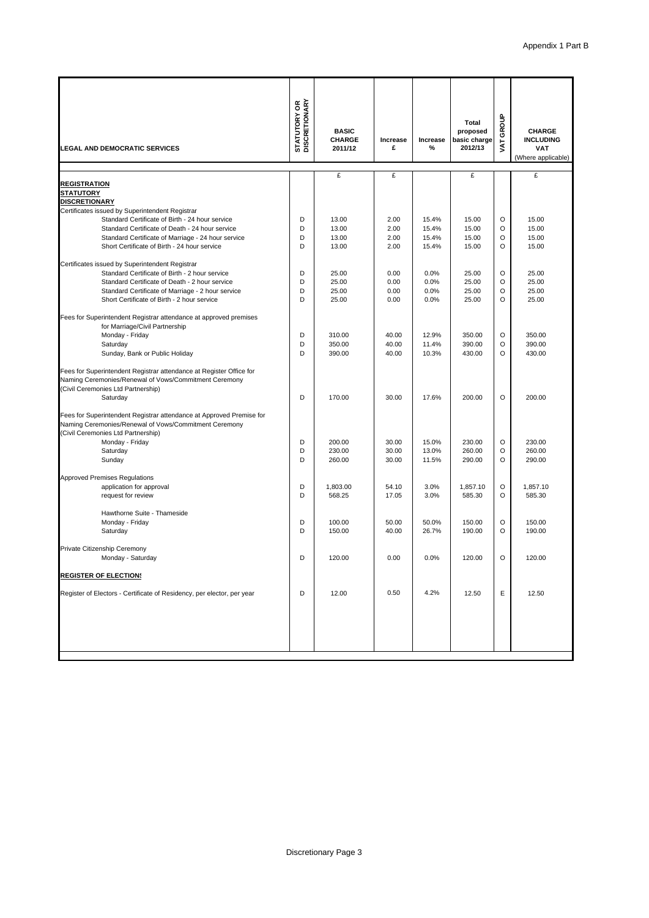|                                                                        | <b>STATUTORY OR<br/>DISCRETIONARY</b> |               |          |          |              |       |                    |
|------------------------------------------------------------------------|---------------------------------------|---------------|----------|----------|--------------|-------|--------------------|
|                                                                        |                                       |               |          |          |              |       |                    |
|                                                                        |                                       |               |          |          | Total        |       |                    |
|                                                                        |                                       | <b>BASIC</b>  |          |          | proposed     | GROUP | <b>CHARGE</b>      |
|                                                                        |                                       | <b>CHARGE</b> | Increase | Increase | basic charge |       | <b>INCLUDING</b>   |
| <b>LEGAL AND DEMOCRATIC SERVICES</b>                                   |                                       | 2011/12       | £        | %        | 2012/13      | JAT   | <b>VAT</b>         |
|                                                                        |                                       |               |          |          |              |       | (Where applicable) |
|                                                                        |                                       |               |          |          |              |       |                    |
|                                                                        |                                       | £             | £        |          | £            |       | £                  |
| <b>REGISTRATION</b>                                                    |                                       |               |          |          |              |       |                    |
| <b>STATUTORY</b>                                                       |                                       |               |          |          |              |       |                    |
| <b>DISCRETIONARY</b>                                                   |                                       |               |          |          |              |       |                    |
| Certificates issued by Superintendent Registrar                        |                                       |               |          |          |              |       |                    |
| Standard Certificate of Birth - 24 hour service                        | D                                     | 13.00         | 2.00     | 15.4%    | 15.00        | O     | 15.00              |
| Standard Certificate of Death - 24 hour service                        | D                                     | 13.00         | 2.00     | 15.4%    | 15.00        | O     | 15.00              |
| Standard Certificate of Marriage - 24 hour service                     | D                                     | 13.00         | 2.00     | 15.4%    | 15.00        | O     | 15.00              |
| Short Certificate of Birth - 24 hour service                           | D                                     | 13.00         | 2.00     | 15.4%    | 15.00        | O     | 15.00              |
|                                                                        |                                       |               |          |          |              |       |                    |
| Certificates issued by Superintendent Registrar                        |                                       |               |          |          |              |       |                    |
| Standard Certificate of Birth - 2 hour service                         | D                                     | 25.00         | 0.00     | 0.0%     | 25.00        | O     | 25.00              |
| Standard Certificate of Death - 2 hour service                         | D                                     | 25.00         | 0.00     | 0.0%     | 25.00        | O     | 25.00              |
| Standard Certificate of Marriage - 2 hour service                      | D                                     | 25.00         | 0.00     | 0.0%     | 25.00        | O     | 25.00              |
| Short Certificate of Birth - 2 hour service                            | D                                     | 25.00         | 0.00     | 0.0%     | 25.00        | O     | 25.00              |
|                                                                        |                                       |               |          |          |              |       |                    |
| Fees for Superintendent Registrar attendance at approved premises      |                                       |               |          |          |              |       |                    |
| for Marriage/Civil Partnership                                         |                                       |               |          |          |              |       |                    |
| Monday - Friday                                                        | D                                     | 310.00        | 40.00    | 12.9%    | 350.00       | O     | 350.00             |
| Saturday                                                               | D                                     | 350.00        | 40.00    | 11.4%    | 390.00       | O     | 390.00             |
| Sunday, Bank or Public Holiday                                         | D                                     | 390.00        | 40.00    | 10.3%    | 430.00       | O     | 430.00             |
|                                                                        |                                       |               |          |          |              |       |                    |
| Fees for Superintendent Registrar attendance at Register Office for    |                                       |               |          |          |              |       |                    |
| Naming Ceremonies/Renewal of Vows/Commitment Ceremony                  |                                       |               |          |          |              |       |                    |
| (Civil Ceremonies Ltd Partnership)                                     |                                       |               |          |          |              |       |                    |
| Saturday                                                               | D                                     | 170.00        | 30.00    | 17.6%    | 200.00       | O     | 200.00             |
|                                                                        |                                       |               |          |          |              |       |                    |
| Fees for Superintendent Registrar attendance at Approved Premise for   |                                       |               |          |          |              |       |                    |
| Naming Ceremonies/Renewal of Vows/Commitment Ceremony                  |                                       |               |          |          |              |       |                    |
| (Civil Ceremonies Ltd Partnership)                                     |                                       |               |          |          |              |       |                    |
| Monday - Friday                                                        | D                                     | 200.00        | 30.00    | 15.0%    | 230.00       | O     | 230.00             |
| Saturday                                                               | D                                     | 230.00        | 30.00    | 13.0%    | 260.00       | O     | 260.00             |
| Sunday                                                                 | D                                     | 260.00        | 30.00    | 11.5%    | 290.00       | O     | 290.00             |
|                                                                        |                                       |               |          |          |              |       |                    |
| <b>Approved Premises Regulations</b>                                   |                                       |               |          |          |              |       |                    |
| application for approval                                               | D                                     | 1,803.00      | 54.10    | 3.0%     | 1,857.10     | O     | 1,857.10           |
| request for review                                                     | D                                     | 568.25        | 17.05    | 3.0%     | 585.30       | O     | 585.30             |
|                                                                        |                                       |               |          |          |              |       |                    |
| Hawthorne Suite - Thameside                                            |                                       |               |          |          |              |       |                    |
| Monday - Friday                                                        | D                                     | 100.00        | 50.00    | 50.0%    | 150.00       | O     | 150.00             |
| Saturday                                                               | D                                     | 150.00        | 40.00    | 26.7%    | 190.00       | O     | 190.00             |
|                                                                        |                                       |               |          |          |              |       |                    |
| Private Citizenship Ceremony                                           |                                       |               |          |          |              |       |                    |
| Monday - Saturday                                                      | D                                     | 120.00        | 0.00     | 0.0%     | 120.00       | O     | 120.00             |
|                                                                        |                                       |               |          |          |              |       |                    |
| <b>REGISTER OF ELECTIONS</b>                                           |                                       |               |          |          |              |       |                    |
|                                                                        |                                       |               |          |          |              |       |                    |
| Register of Electors - Certificate of Residency, per elector, per year | D                                     | 12.00         | 0.50     | 4.2%     | 12.50        | Ε     | 12.50              |
|                                                                        |                                       |               |          |          |              |       |                    |
|                                                                        |                                       |               |          |          |              |       |                    |
|                                                                        |                                       |               |          |          |              |       |                    |
|                                                                        |                                       |               |          |          |              |       |                    |
|                                                                        |                                       |               |          |          |              |       |                    |
|                                                                        |                                       |               |          |          |              |       |                    |
|                                                                        |                                       |               |          |          |              |       |                    |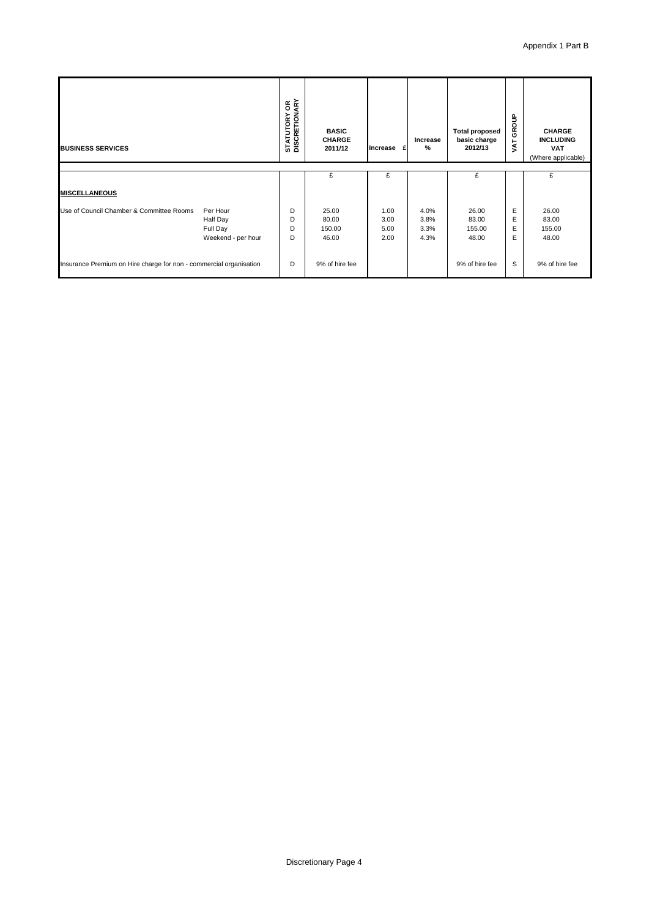| <b>BUSINESS SERVICES</b>                                           |                    | <b>STATUTORY OR<br/>DISCRETIONARY</b> | <b>BASIC</b><br><b>CHARGE</b><br>2011/12 | £<br>Increase | Increase<br>% | <b>Total proposed</b><br>basic charge<br>2012/13 | GROUP<br>VAT | <b>CHARGE</b><br><b>INCLUDING</b><br><b>VAT</b><br>(Where applicable) |
|--------------------------------------------------------------------|--------------------|---------------------------------------|------------------------------------------|---------------|---------------|--------------------------------------------------|--------------|-----------------------------------------------------------------------|
|                                                                    |                    |                                       | £                                        | £             |               | £                                                |              | £                                                                     |
|                                                                    |                    |                                       |                                          |               |               |                                                  |              |                                                                       |
| <b>MISCELLANEOUS</b>                                               |                    |                                       |                                          |               |               |                                                  |              |                                                                       |
| Use of Council Chamber & Committee Rooms                           | Per Hour           | D                                     | 25.00                                    | 1.00          | 4.0%          | 26.00                                            | Е            | 26.00                                                                 |
|                                                                    | Half Day           | D                                     | 80.00                                    | 3.00          | 3.8%          | 83.00                                            | E            | 83.00                                                                 |
|                                                                    | Full Day           | D                                     | 150.00                                   | 5.00          | 3.3%          | 155.00                                           | E            | 155.00                                                                |
|                                                                    | Weekend - per hour | D                                     | 46.00                                    | 2.00          | 4.3%          | 48.00                                            | E            | 48.00                                                                 |
| Insurance Premium on Hire charge for non - commercial organisation |                    | D                                     | 9% of hire fee                           |               |               | 9% of hire fee                                   | S            | 9% of hire fee                                                        |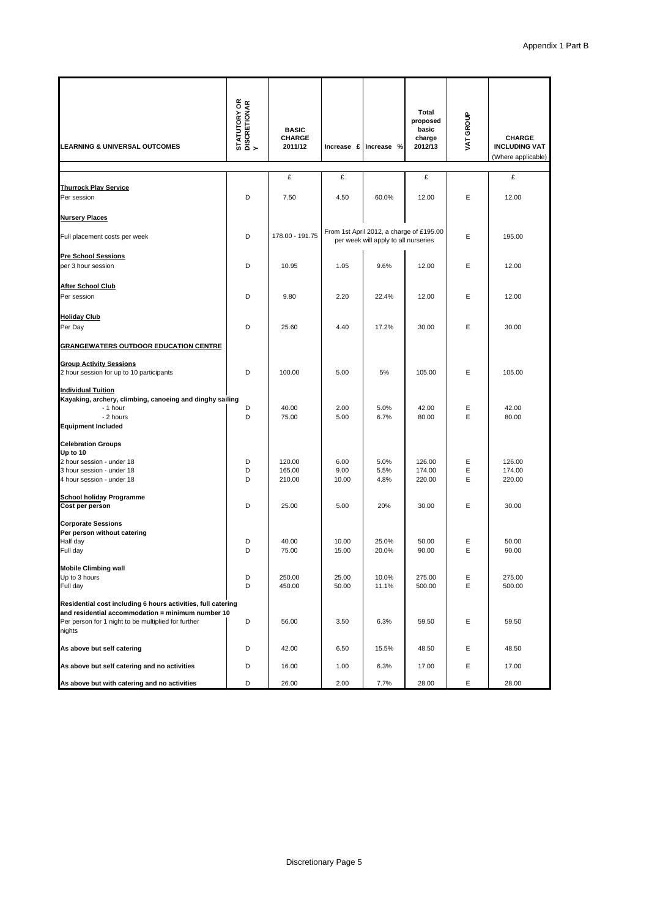| <b>LEARNING &amp; UNIVERSAL OUTCOMES</b>                                   | <b>STATUTORY OR</b><br>DISCRETIONAR<br>Y | <b>BASIC</b><br><b>CHARGE</b><br>2011/12 |                | Increase £ Increase %                                                            | Total<br>proposed<br>basic<br>charge<br>2012/13 | VAT GROUP | <b>CHARGE</b><br><b>INCLUDING VAT</b><br>(Where applicable) |
|----------------------------------------------------------------------------|------------------------------------------|------------------------------------------|----------------|----------------------------------------------------------------------------------|-------------------------------------------------|-----------|-------------------------------------------------------------|
|                                                                            |                                          |                                          |                |                                                                                  |                                                 |           |                                                             |
|                                                                            |                                          | £                                        | £              |                                                                                  | £                                               |           | £                                                           |
| <b>Thurrock Play Service</b><br>Per session                                | D                                        | 7.50                                     | 4.50           | 60.0%                                                                            | 12.00                                           | E         | 12.00                                                       |
| <b>Nursery Places</b>                                                      |                                          |                                          |                |                                                                                  |                                                 |           |                                                             |
| Full placement costs per week                                              | D                                        | 178.00 - 191.75                          |                | From 1st April 2012, a charge of £195.00<br>per week will apply to all nurseries |                                                 | Ε         | 195.00                                                      |
| <b>Pre School Sessions</b>                                                 |                                          |                                          |                |                                                                                  |                                                 |           |                                                             |
| per 3 hour session                                                         | D                                        | 10.95                                    | 1.05           | 9.6%                                                                             | 12.00                                           | E         | 12.00                                                       |
| <b>After School Club</b>                                                   |                                          |                                          |                |                                                                                  |                                                 |           |                                                             |
| Per session                                                                | D                                        | 9.80                                     | 2.20           | 22.4%                                                                            | 12.00                                           | Ε         | 12.00                                                       |
| <b>Holiday Club</b>                                                        |                                          |                                          |                |                                                                                  |                                                 |           |                                                             |
| Per Day                                                                    | D                                        | 25.60                                    | 4.40           | 17.2%                                                                            | 30.00                                           | Ε         | 30.00                                                       |
| <b>GRANGEWATERS OUTDOOR EDUCATION CENTRE</b>                               |                                          |                                          |                |                                                                                  |                                                 |           |                                                             |
| <b>Group Activity Sessions</b><br>2 hour session for up to 10 participants | D                                        | 100.00                                   | 5.00           | 5%                                                                               | 105.00                                          | E         | 105.00                                                      |
|                                                                            |                                          |                                          |                |                                                                                  |                                                 |           |                                                             |
| <b>Individual Tuition</b>                                                  |                                          |                                          |                |                                                                                  |                                                 |           |                                                             |
| Kayaking, archery, climbing, canoeing and dinghy sailing<br>- 1 hour       | D                                        | 40.00                                    | 2.00           | 5.0%                                                                             | 42.00                                           | Ε         | 42.00                                                       |
| - 2 hours                                                                  | D                                        | 75.00                                    | 5.00           | 6.7%                                                                             | 80.00                                           | E         | 80.00                                                       |
| <b>Equipment Included</b>                                                  |                                          |                                          |                |                                                                                  |                                                 |           |                                                             |
| <b>Celebration Groups</b>                                                  |                                          |                                          |                |                                                                                  |                                                 |           |                                                             |
| Up to 10<br>2 hour session - under 18                                      | D                                        | 120.00                                   | 6.00           | 5.0%                                                                             | 126.00                                          | Ε         | 126.00                                                      |
| 3 hour session - under 18                                                  | D                                        | 165.00                                   | 9.00           | 5.5%                                                                             | 174.00                                          | E         | 174.00                                                      |
| 4 hour session - under 18                                                  | D                                        | 210.00                                   | 10.00          | 4.8%                                                                             | 220.00                                          | Ε         | 220.00                                                      |
| <b>School holiday Programme</b>                                            |                                          |                                          |                |                                                                                  |                                                 |           |                                                             |
| Cost per person                                                            | D                                        | 25.00                                    | 5.00           | 20%                                                                              | 30.00                                           | Ε         | 30.00                                                       |
| <b>Corporate Sessions</b>                                                  |                                          |                                          |                |                                                                                  |                                                 |           |                                                             |
| Per person without catering                                                |                                          |                                          |                |                                                                                  |                                                 |           |                                                             |
| Half day<br>Full day                                                       | D<br>D                                   | 40.00<br>75.00                           | 10.00<br>15.00 | 25.0%<br>20.0%                                                                   | 50.00<br>90.00                                  | Ε<br>E    | 50.00<br>90.00                                              |
|                                                                            |                                          |                                          |                |                                                                                  |                                                 |           |                                                             |
| <b>Mobile Climbing wall</b><br>Up to 3 hours                               | D                                        | 250.00                                   | 25.00          | 10.0%                                                                            | 275.00                                          | Ε         | 275.00                                                      |
| Full day                                                                   | D                                        | 450.00                                   | 50.00          | 11.1%                                                                            | 500.00                                          | Ε         | 500.00                                                      |
| Residential cost including 6 hours activities, full catering               |                                          |                                          |                |                                                                                  |                                                 |           |                                                             |
| and residential accommodation = minimum number 10                          |                                          |                                          |                |                                                                                  |                                                 |           |                                                             |
| Per person for 1 night to be multiplied for further<br>nights              | D                                        | 56.00                                    | 3.50           | 6.3%                                                                             | 59.50                                           | Ε         | 59.50                                                       |
| As above but self catering                                                 | D                                        | 42.00                                    | 6.50           | 15.5%                                                                            | 48.50                                           | Ε         | 48.50                                                       |
| As above but self catering and no activities                               | D                                        | 16.00                                    | 1.00           | 6.3%                                                                             | 17.00                                           | Ε         | 17.00                                                       |
| As above but with catering and no activities                               | D                                        | 26.00                                    | 2.00           | 7.7%                                                                             | 28.00                                           | Ε         | 28.00                                                       |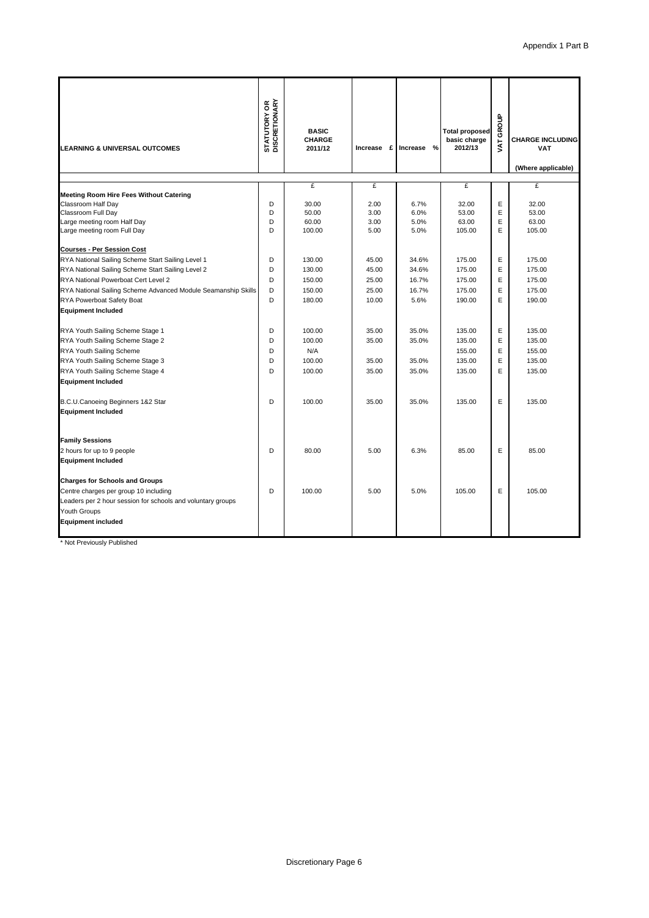| <b>LEARNING &amp; UNIVERSAL OUTCOMES</b>                                                                                                                      | <b>STATUTORY OR<br/>DISCRETIONARY</b> | <b>BASIC</b><br><b>CHARGE</b><br>2011/12 | Increase £ | $\%$<br>Increase | <b>Total proposed</b><br>basic charge<br>2012/13 | VAT GROUP | <b>CHARGE INCLUDING</b><br><b>VAT</b><br>(Where applicable) |
|---------------------------------------------------------------------------------------------------------------------------------------------------------------|---------------------------------------|------------------------------------------|------------|------------------|--------------------------------------------------|-----------|-------------------------------------------------------------|
|                                                                                                                                                               |                                       | £                                        | £          |                  | £                                                |           | £                                                           |
| <b>Meeting Room Hire Fees Without Catering</b>                                                                                                                |                                       |                                          |            |                  |                                                  |           |                                                             |
| Classroom Half Day                                                                                                                                            | D                                     | 30.00                                    | 2.00       | 6.7%             | 32.00                                            | Ε         | 32.00                                                       |
| Classroom Full Day                                                                                                                                            | D                                     | 50.00                                    | 3.00       | 6.0%             | 53.00                                            | E         | 53.00                                                       |
| Large meeting room Half Day                                                                                                                                   | D                                     | 60.00                                    | 3.00       | 5.0%             | 63.00                                            | E         | 63.00                                                       |
| Large meeting room Full Day                                                                                                                                   | D                                     | 100.00                                   | 5.00       | 5.0%             | 105.00                                           | E         | 105.00                                                      |
| <b>Courses - Per Session Cost</b>                                                                                                                             |                                       |                                          |            |                  |                                                  |           |                                                             |
| RYA National Sailing Scheme Start Sailing Level 1                                                                                                             | D                                     | 130.00                                   | 45.00      | 34.6%            | 175.00                                           | Ε         | 175.00                                                      |
| RYA National Sailing Scheme Start Sailing Level 2                                                                                                             | D                                     | 130.00                                   | 45.00      | 34.6%            | 175.00                                           | E         | 175.00                                                      |
| RYA National Powerboat Cert Level 2                                                                                                                           | D                                     | 150.00                                   | 25.00      | 16.7%            | 175.00                                           | Ε         | 175.00                                                      |
| RYA National Sailing Scheme Advanced Module Seamanship Skills                                                                                                 | D                                     | 150.00                                   | 25.00      | 16.7%            | 175.00                                           | E         | 175.00                                                      |
| RYA Powerboat Safety Boat                                                                                                                                     | D                                     | 180.00                                   | 10.00      | 5.6%             | 190.00                                           | E         | 190.00                                                      |
| <b>Equipment Included</b>                                                                                                                                     |                                       |                                          |            |                  |                                                  |           |                                                             |
| RYA Youth Sailing Scheme Stage 1                                                                                                                              | D                                     | 100.00                                   | 35.00      | 35.0%            | 135.00                                           | E         | 135.00                                                      |
| RYA Youth Sailing Scheme Stage 2                                                                                                                              | D                                     | 100.00                                   | 35.00      | 35.0%            | 135.00                                           | E         | 135.00                                                      |
| RYA Youth Sailing Scheme                                                                                                                                      | D                                     | N/A                                      |            |                  | 155.00                                           | Ε         | 155.00                                                      |
| RYA Youth Sailing Scheme Stage 3                                                                                                                              | D                                     | 100.00                                   | 35.00      | 35.0%            | 135.00                                           | E         | 135.00                                                      |
| RYA Youth Sailing Scheme Stage 4                                                                                                                              | D                                     | 100.00                                   | 35.00      | 35.0%            | 135.00                                           | E         | 135.00                                                      |
| <b>Equipment Included</b>                                                                                                                                     |                                       |                                          |            |                  |                                                  |           |                                                             |
| B.C.U.Canoeing Beginners 1&2 Star<br><b>Equipment Included</b>                                                                                                | D                                     | 100.00                                   | 35.00      | 35.0%            | 135.00                                           | Е         | 135.00                                                      |
| <b>Family Sessions</b>                                                                                                                                        |                                       |                                          |            |                  |                                                  |           |                                                             |
| 2 hours for up to 9 people                                                                                                                                    | D                                     | 80.00                                    | 5.00       | 6.3%             | 85.00                                            | E         | 85.00                                                       |
| <b>Equipment Included</b>                                                                                                                                     |                                       |                                          |            |                  |                                                  |           |                                                             |
| <b>Charges for Schools and Groups</b><br>Centre charges per group 10 including<br>Leaders per 2 hour session for schools and voluntary groups<br>Youth Groups | D                                     | 100.00                                   | 5.00       | 5.0%             | 105.00                                           | Ε         | 105.00                                                      |
| <b>Equipment included</b>                                                                                                                                     |                                       |                                          |            |                  |                                                  |           |                                                             |

\* Not Previously Published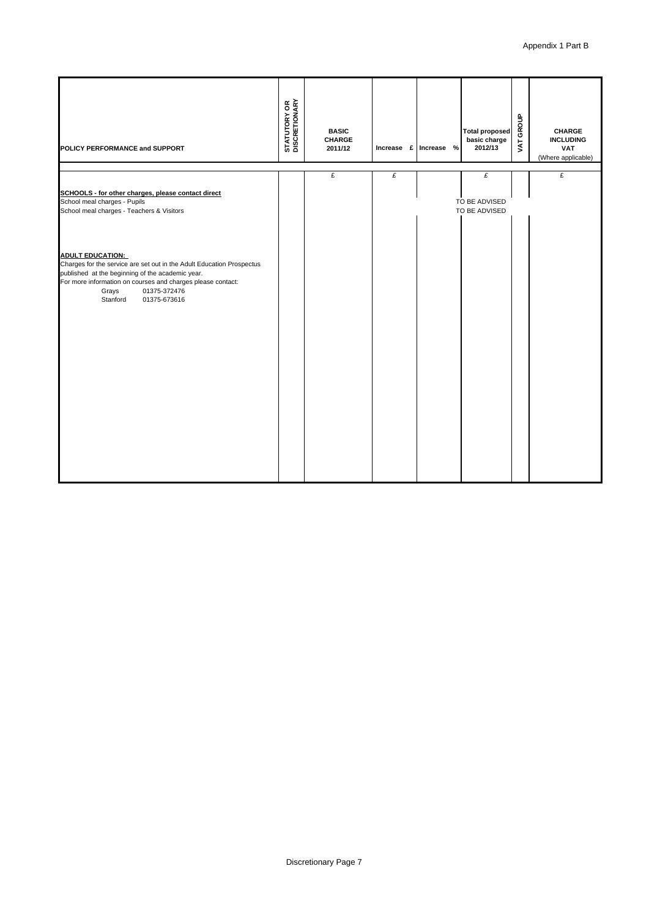| <b>POLICY PERFORMANCE and SUPPORT</b>                                                                                                                                                                                                                                                                                                                                                                       | <b>STATUTORY OR<br/>DISCRETIONARY</b> | <b>BASIC</b><br>CHARGE<br>2011/12 |   | Increase £ Increase % | <b>Total proposed</b><br>basic charge<br>2012/13 | GROUP<br>VAT | <b>CHARGE</b><br><b>INCLUDING</b><br><b>VAT</b><br>(Where applicable) |
|-------------------------------------------------------------------------------------------------------------------------------------------------------------------------------------------------------------------------------------------------------------------------------------------------------------------------------------------------------------------------------------------------------------|---------------------------------------|-----------------------------------|---|-----------------------|--------------------------------------------------|--------------|-----------------------------------------------------------------------|
| SCHOOLS - for other charges, please contact direct<br>School meal charges - Pupils<br>School meal charges - Teachers & Visitors<br><b>ADULT EDUCATION:</b><br>Charges for the service are set out in the Adult Education Prospectus<br>published at the beginning of the academic year.<br>For more information on courses and charges please contact:<br>01375-372476<br>Grays<br>Stanford<br>01375-673616 |                                       | $\mathbf{f}$                      | £ |                       | $\mathbf{f}$<br>TO BE ADVISED<br>TO BE ADVISED   |              | £                                                                     |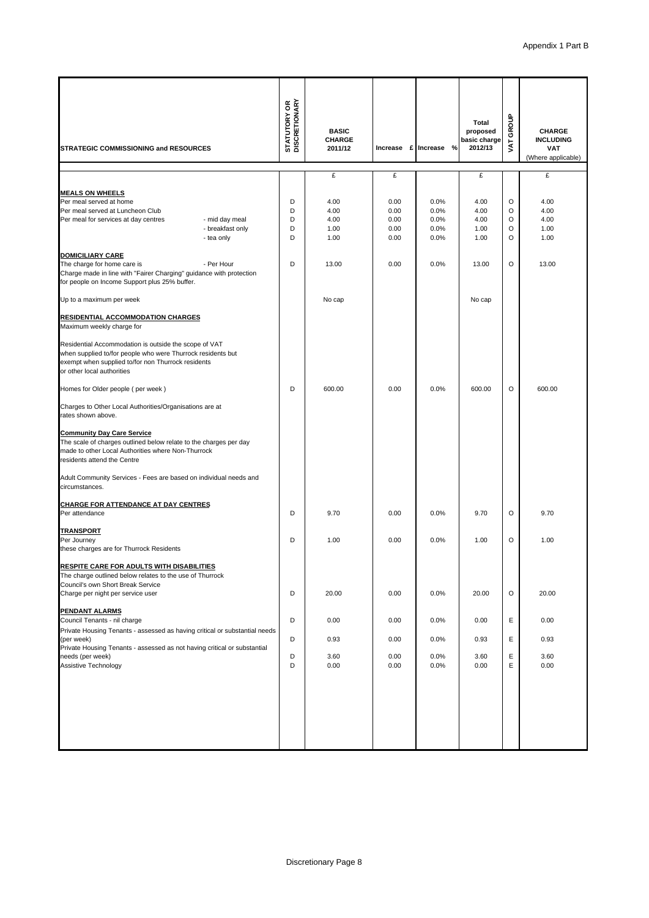| <b>STRATEGIC COMMISSIONING and RESOURCES</b>                                                                                                                                                                                                                                                                                                                                                                                                                                                                                                                                                           | <b>STATUTORY OR<br/>DISCRETIONARY</b> | <b>BASIC</b><br><b>CHARGE</b><br>2011/12 | Increase £ Increase                  | %                                    | Total<br>proposed<br>basic charge<br>2012/13 | VAT GROUP                         | <b>CHARGE</b><br><b>INCLUDING</b><br><b>VAT</b><br>(Where applicable) |
|--------------------------------------------------------------------------------------------------------------------------------------------------------------------------------------------------------------------------------------------------------------------------------------------------------------------------------------------------------------------------------------------------------------------------------------------------------------------------------------------------------------------------------------------------------------------------------------------------------|---------------------------------------|------------------------------------------|--------------------------------------|--------------------------------------|----------------------------------------------|-----------------------------------|-----------------------------------------------------------------------|
|                                                                                                                                                                                                                                                                                                                                                                                                                                                                                                                                                                                                        |                                       | £                                        | £                                    |                                      | £                                            |                                   | £                                                                     |
| <b>MEALS ON WHEELS</b><br>Per meal served at home<br>Per meal served at Luncheon Club<br>Per meal for services at day centres<br>- mid day meal<br>- breakfast only<br>- tea only                                                                                                                                                                                                                                                                                                                                                                                                                      | D<br>D<br>D<br>D<br>D                 | 4.00<br>4.00<br>4.00<br>1.00<br>1.00     | 0.00<br>0.00<br>0.00<br>0.00<br>0.00 | 0.0%<br>0.0%<br>0.0%<br>0.0%<br>0.0% | 4.00<br>4.00<br>4.00<br>1.00<br>1.00         | $\circ$<br>O<br>O<br>$\circ$<br>O | 4.00<br>4.00<br>4.00<br>1.00<br>1.00                                  |
| <b>DOMICILIARY CARE</b><br>- Per Hour<br>The charge for home care is<br>Charge made in line with "Fairer Charging" guidance with protection<br>for people on Income Support plus 25% buffer.                                                                                                                                                                                                                                                                                                                                                                                                           | D                                     | 13.00                                    | 0.00                                 | 0.0%                                 | 13.00                                        | O                                 | 13.00                                                                 |
| Up to a maximum per week                                                                                                                                                                                                                                                                                                                                                                                                                                                                                                                                                                               |                                       | No cap                                   |                                      |                                      | No cap                                       |                                   |                                                                       |
| <b>RESIDENTIAL ACCOMMODATION CHARGES</b><br>Maximum weekly charge for<br>Residential Accommodation is outside the scope of VAT<br>when supplied to/for people who were Thurrock residents but<br>exempt when supplied to/for non Thurrock residents<br>or other local authorities<br>Homes for Older people (per week)<br>Charges to Other Local Authorities/Organisations are at<br>rates shown above.<br><b>Community Day Care Service</b><br>The scale of charges outlined below relate to the charges per day<br>made to other Local Authorities where Non-Thurrock<br>residents attend the Centre | D                                     | 600.00                                   | 0.00                                 | 0.0%                                 | 600.00                                       | $\circ$                           | 600.00                                                                |
| Adult Community Services - Fees are based on individual needs and<br>circumstances.<br>CHARGE FOR ATTENDANCE AT DAY CENTRES<br>Per attendance                                                                                                                                                                                                                                                                                                                                                                                                                                                          | D                                     | 9.70                                     | 0.00                                 | 0.0%                                 | 9.70                                         | $\circ$                           | 9.70                                                                  |
| <b>TRANSPORT</b><br>Per Journey                                                                                                                                                                                                                                                                                                                                                                                                                                                                                                                                                                        | D                                     | 1.00                                     | 0.00                                 | 0.0%                                 | 1.00                                         | O                                 | 1.00                                                                  |
| these charges are for Thurrock Residents<br><u>RESPITE CARE FOR ADULTS WITH DISABILITIES</u><br>The charge outlined below relates to the use of Thurrock<br>Council's own Short Break Service<br>Charge per night per service user                                                                                                                                                                                                                                                                                                                                                                     | D                                     | 20.00                                    | 0.00                                 | 0.0%                                 | 20.00                                        | O                                 | 20.00                                                                 |
| <b>PENDANT ALARMS</b>                                                                                                                                                                                                                                                                                                                                                                                                                                                                                                                                                                                  |                                       |                                          |                                      |                                      |                                              |                                   |                                                                       |
| Council Tenants - nil charge<br>Private Housing Tenants - assessed as having critical or substantial needs                                                                                                                                                                                                                                                                                                                                                                                                                                                                                             | D                                     | 0.00                                     | 0.00                                 | 0.0%                                 | 0.00                                         | Ε                                 | 0.00                                                                  |
| (per week)<br>Private Housing Tenants - assessed as not having critical or substantial<br>needs (per week)<br>Assistive Technology                                                                                                                                                                                                                                                                                                                                                                                                                                                                     | D<br>D<br>D                           | 0.93<br>3.60<br>0.00                     | 0.00<br>0.00<br>0.00                 | 0.0%<br>0.0%<br>0.0%                 | 0.93<br>3.60<br>0.00                         | Ε<br>Ε<br>E                       | 0.93<br>3.60<br>0.00                                                  |
|                                                                                                                                                                                                                                                                                                                                                                                                                                                                                                                                                                                                        |                                       |                                          |                                      |                                      |                                              |                                   |                                                                       |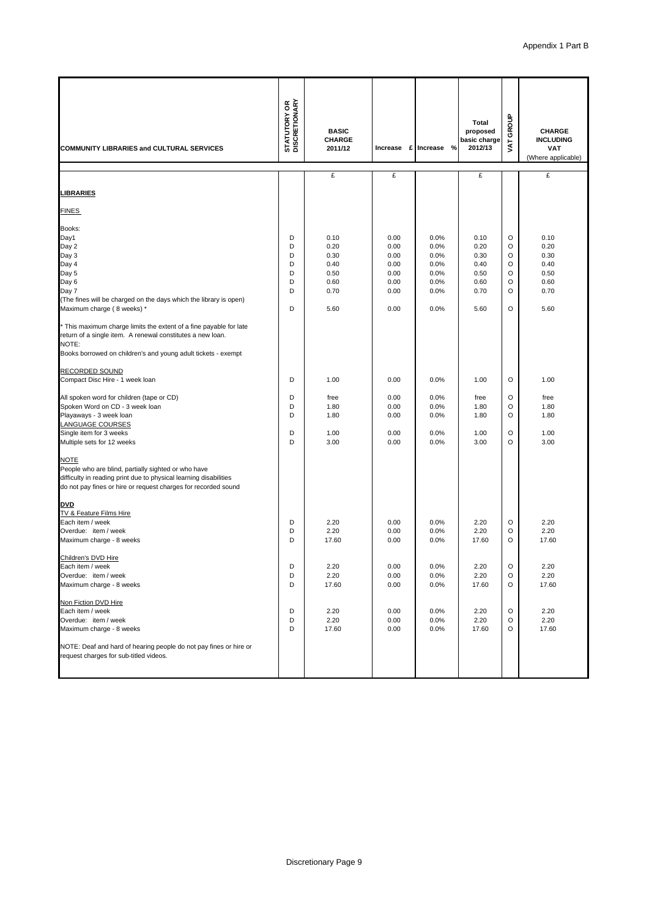| COMMUNITY LIBRARIES and CULTURAL SERVICES                                                                                                                                                                                                                                                                                                                                                                                                                                                                                                                                                                                                                       | <b>STATUTORY OR<br/>DISCRETIONARY</b>                         | <b>BASIC</b><br><b>CHARGE</b><br>2011/12                                                             | Increase £ Increase                                                                                  | %                                                                                                    | Total<br>proposed<br>basic charge<br>2012/13                                                         | GROUP<br>Š                                                                      | <b>CHARGE</b><br><b>INCLUDING</b><br>VAT<br>(Where applicable)                                       |
|-----------------------------------------------------------------------------------------------------------------------------------------------------------------------------------------------------------------------------------------------------------------------------------------------------------------------------------------------------------------------------------------------------------------------------------------------------------------------------------------------------------------------------------------------------------------------------------------------------------------------------------------------------------------|---------------------------------------------------------------|------------------------------------------------------------------------------------------------------|------------------------------------------------------------------------------------------------------|------------------------------------------------------------------------------------------------------|------------------------------------------------------------------------------------------------------|---------------------------------------------------------------------------------|------------------------------------------------------------------------------------------------------|
|                                                                                                                                                                                                                                                                                                                                                                                                                                                                                                                                                                                                                                                                 |                                                               | £                                                                                                    | £                                                                                                    |                                                                                                      | £                                                                                                    |                                                                                 | £                                                                                                    |
| <b>LIBRARIES</b>                                                                                                                                                                                                                                                                                                                                                                                                                                                                                                                                                                                                                                                |                                                               |                                                                                                      |                                                                                                      |                                                                                                      |                                                                                                      |                                                                                 |                                                                                                      |
| <b>FINES</b>                                                                                                                                                                                                                                                                                                                                                                                                                                                                                                                                                                                                                                                    |                                                               |                                                                                                      |                                                                                                      |                                                                                                      |                                                                                                      |                                                                                 |                                                                                                      |
| Books:<br>Day1<br>Day 2<br>Day 3<br>Day 4<br>Day 5<br>Day 6<br>Day 7<br>(The fines will be charged on the days which the library is open)<br>Maximum charge (8 weeks)*<br>* This maximum charge limits the extent of a fine payable for late<br>return of a single item. A renewal constitutes a new loan.<br>NOTE:<br>Books borrowed on children's and young adult tickets - exempt<br><b>RECORDED SOUND</b><br>Compact Disc Hire - 1 week loan<br>All spoken word for children (tape or CD)<br>Spoken Word on CD - 3 week loan<br>Playaways - 3 week loan<br>LANGUAGE COURSES<br>Single item for 3 weeks                                                      | D<br>D<br>D<br>D<br>D<br>D<br>D<br>D<br>D<br>D<br>D<br>D<br>D | 0.10<br>0.20<br>0.30<br>0.40<br>0.50<br>0.60<br>0.70<br>5.60<br>1.00<br>free<br>1.80<br>1.80<br>1.00 | 0.00<br>0.00<br>0.00<br>0.00<br>0.00<br>0.00<br>0.00<br>0.00<br>0.00<br>0.00<br>0.00<br>0.00<br>0.00 | 0.0%<br>0.0%<br>0.0%<br>0.0%<br>0.0%<br>0.0%<br>0.0%<br>0.0%<br>0.0%<br>0.0%<br>0.0%<br>0.0%<br>0.0% | 0.10<br>0.20<br>0.30<br>0.40<br>0.50<br>0.60<br>0.70<br>5.60<br>1.00<br>free<br>1.80<br>1.80<br>1.00 | O<br>O<br>$\circ$<br>O<br>O<br>O<br>O<br>$\circ$<br>$\circ$<br>O<br>O<br>O<br>O | 0.10<br>0.20<br>0.30<br>0.40<br>0.50<br>0.60<br>0.70<br>5.60<br>1.00<br>free<br>1.80<br>1.80<br>1.00 |
| Multiple sets for 12 weeks<br>NOTE<br>People who are blind, partially sighted or who have<br>difficulty in reading print due to physical learning disabilities<br>do not pay fines or hire or request charges for recorded sound<br><b>DVD</b><br>TV & Feature Films Hire<br>Each item / week<br>Overdue: item / week<br>Maximum charge - 8 weeks<br>Children's DVD Hire<br>Each item / week<br>Overdue: item / week<br>Maximum charge - 8 weeks<br>Non Fiction DVD Hire<br>Each item / week<br>Overdue: item / week<br>Maximum charge - 8 weeks<br>NOTE: Deaf and hard of hearing people do not pay fines or hire or<br>request charges for sub-titled videos. | D<br>D<br>D<br>D<br>D<br>D<br>D<br>D<br>D<br>D                | 3.00<br>2.20<br>2.20<br>17.60<br>2.20<br>2.20<br>17.60<br>2.20<br>2.20<br>17.60                      | 0.00<br>0.00<br>0.00<br>0.00<br>0.00<br>0.00<br>0.00<br>0.00<br>0.00<br>0.00                         | 0.0%<br>0.0%<br>0.0%<br>0.0%<br>0.0%<br>0.0%<br>0.0%<br>0.0%<br>0.0%<br>0.0%                         | 3.00<br>2.20<br>2.20<br>17.60<br>2.20<br>2.20<br>17.60<br>2.20<br>2.20<br>17.60                      | O<br>O<br>O<br>O<br>O<br>O<br>O<br>O<br>O<br>O                                  | 3.00<br>2.20<br>2.20<br>17.60<br>2.20<br>2.20<br>17.60<br>2.20<br>2.20<br>17.60                      |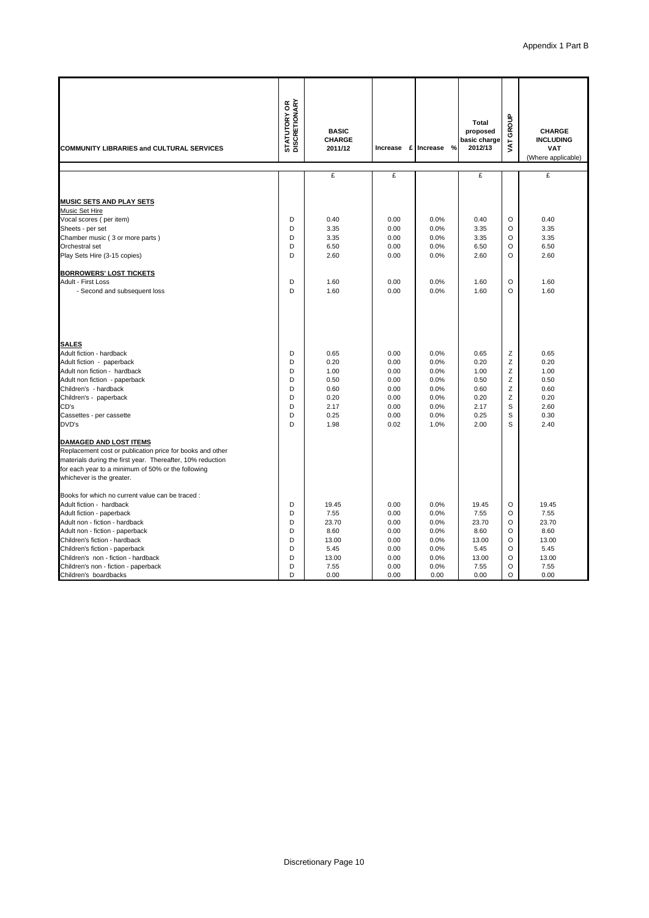| COMMUNITY LIBRARIES and CULTURAL SERVICES                                                                                                                                                                                                   | <b>STATUTORY OR<br/>DISCRETIONARY</b> | <b>BASIC</b><br><b>CHARGE</b><br>2011/12 | Increase £ Increase | $\%$         | <b>Total</b><br>proposed<br>basic charge<br>2012/13 | GROUP<br>VAT | <b>CHARGE</b><br><b>INCLUDING</b><br><b>VAT</b> |
|---------------------------------------------------------------------------------------------------------------------------------------------------------------------------------------------------------------------------------------------|---------------------------------------|------------------------------------------|---------------------|--------------|-----------------------------------------------------|--------------|-------------------------------------------------|
|                                                                                                                                                                                                                                             |                                       |                                          |                     |              |                                                     |              | (Where applicable)                              |
|                                                                                                                                                                                                                                             |                                       | $\overline{f}$                           | $\mathbf{f}$        |              | £                                                   |              | $\mathbf{f}$                                    |
|                                                                                                                                                                                                                                             |                                       |                                          |                     |              |                                                     |              |                                                 |
|                                                                                                                                                                                                                                             |                                       |                                          |                     |              |                                                     |              |                                                 |
| <b>MUSIC SETS AND PLAY SETS</b>                                                                                                                                                                                                             |                                       |                                          |                     |              |                                                     |              |                                                 |
| Music Set Hire                                                                                                                                                                                                                              |                                       |                                          |                     |              |                                                     |              |                                                 |
| Vocal scores (per item)                                                                                                                                                                                                                     | D                                     | 0.40                                     | 0.00                | 0.0%         | 0.40                                                | O            | 0.40                                            |
| Sheets - per set                                                                                                                                                                                                                            | D                                     | 3.35                                     | 0.00                | 0.0%         | 3.35                                                | $\circ$      | 3.35                                            |
| Chamber music (3 or more parts)                                                                                                                                                                                                             | D                                     | 3.35                                     | 0.00                | 0.0%         | 3.35                                                | O            | 3.35                                            |
| Orchestral set                                                                                                                                                                                                                              | D                                     | 6.50                                     | 0.00                | 0.0%         | 6.50                                                | O            | 6.50                                            |
| Play Sets Hire (3-15 copies)                                                                                                                                                                                                                | D                                     | 2.60                                     | 0.00                | 0.0%         | 2.60                                                | O            | 2.60                                            |
|                                                                                                                                                                                                                                             |                                       |                                          |                     |              |                                                     |              |                                                 |
| <b>BORROWERS' LOST TICKETS</b>                                                                                                                                                                                                              |                                       |                                          |                     |              |                                                     |              |                                                 |
| Adult - First Loss                                                                                                                                                                                                                          | D                                     | 1.60                                     | 0.00                | 0.0%         | 1.60                                                | $\circ$      | 1.60                                            |
| - Second and subsequent loss                                                                                                                                                                                                                | D                                     | 1.60                                     | 0.00                | 0.0%         | 1.60                                                | $\circ$      | 1.60                                            |
|                                                                                                                                                                                                                                             |                                       |                                          |                     |              |                                                     |              |                                                 |
| <b>SALES</b>                                                                                                                                                                                                                                |                                       |                                          |                     |              |                                                     |              |                                                 |
| Adult fiction - hardback                                                                                                                                                                                                                    | D                                     | 0.65                                     | 0.00                | 0.0%         | 0.65                                                | Ζ            | 0.65                                            |
| Adult fiction - paperback                                                                                                                                                                                                                   | D                                     | 0.20                                     | 0.00                | 0.0%         | 0.20                                                | Z            | 0.20                                            |
| Adult non fiction - hardback                                                                                                                                                                                                                | D                                     | 1.00                                     | 0.00                | 0.0%         | 1.00                                                | Z            | 1.00                                            |
| Adult non fiction - paperback                                                                                                                                                                                                               | D                                     | 0.50                                     | 0.00                | 0.0%         | 0.50                                                | Z            | 0.50                                            |
| Children's - hardback                                                                                                                                                                                                                       | D                                     | 0.60                                     | 0.00                | 0.0%         | 0.60                                                | Z            | 0.60                                            |
| Children's - paperback                                                                                                                                                                                                                      | D                                     | 0.20                                     | 0.00                | 0.0%         | 0.20                                                | Z            | 0.20                                            |
| CD's                                                                                                                                                                                                                                        | D                                     | 2.17                                     | 0.00                | 0.0%         | 2.17                                                | S            | 2.60                                            |
| Cassettes - per cassette                                                                                                                                                                                                                    | D                                     | 0.25                                     | 0.00                | 0.0%         | 0.25                                                | S            | 0.30                                            |
| DVD's                                                                                                                                                                                                                                       | D                                     | 1.98                                     | 0.02                | 1.0%         | 2.00                                                | S            | 2.40                                            |
| <b>DAMAGED AND LOST ITEMS</b><br>Replacement cost or publication price for books and other<br>materials during the first year. Thereafter, 10% reduction<br>for each year to a minimum of 50% or the following<br>whichever is the greater. |                                       |                                          |                     |              |                                                     |              |                                                 |
| Books for which no current value can be traced :                                                                                                                                                                                            |                                       |                                          |                     |              |                                                     |              |                                                 |
| Adult fiction - hardback                                                                                                                                                                                                                    | D                                     | 19.45                                    | 0.00                | 0.0%         | 19.45                                               | $\circ$      | 19.45                                           |
| Adult fiction - paperback                                                                                                                                                                                                                   | D                                     | 7.55                                     | 0.00                | 0.0%         | 7.55                                                | O            | 7.55                                            |
|                                                                                                                                                                                                                                             | D                                     | 23.70                                    | 0.00                | 0.0%         | 23.70                                               | O            | 23.70                                           |
| Adult non - fiction - hardback<br>Adult non - fiction - paperback                                                                                                                                                                           | D                                     | 8.60                                     | 0.00                | 0.0%         | 8.60                                                | O            | 8.60                                            |
|                                                                                                                                                                                                                                             | D                                     |                                          |                     | 0.0%         |                                                     | O            | 13.00                                           |
| Children's fiction - hardback                                                                                                                                                                                                               | D                                     | 13.00                                    | 0.00                |              | 13.00                                               | $\circ$      |                                                 |
| Children's fiction - paperback                                                                                                                                                                                                              |                                       | 5.45                                     | 0.00                | 0.0%         | 5.45                                                |              | 5.45                                            |
| Children's non - fiction - hardback                                                                                                                                                                                                         | D<br>D                                | 13.00                                    | 0.00                | 0.0%         | 13.00                                               | $\circ$      | 13.00                                           |
| Children's non - fiction - paperback<br>Children's boardbacks                                                                                                                                                                               | D                                     | 7.55<br>0.00                             | 0.00<br>0.00        | 0.0%<br>0.00 | 7.55<br>0.00                                        | O<br>$\circ$ | 7.55<br>0.00                                    |
|                                                                                                                                                                                                                                             |                                       |                                          |                     |              |                                                     |              |                                                 |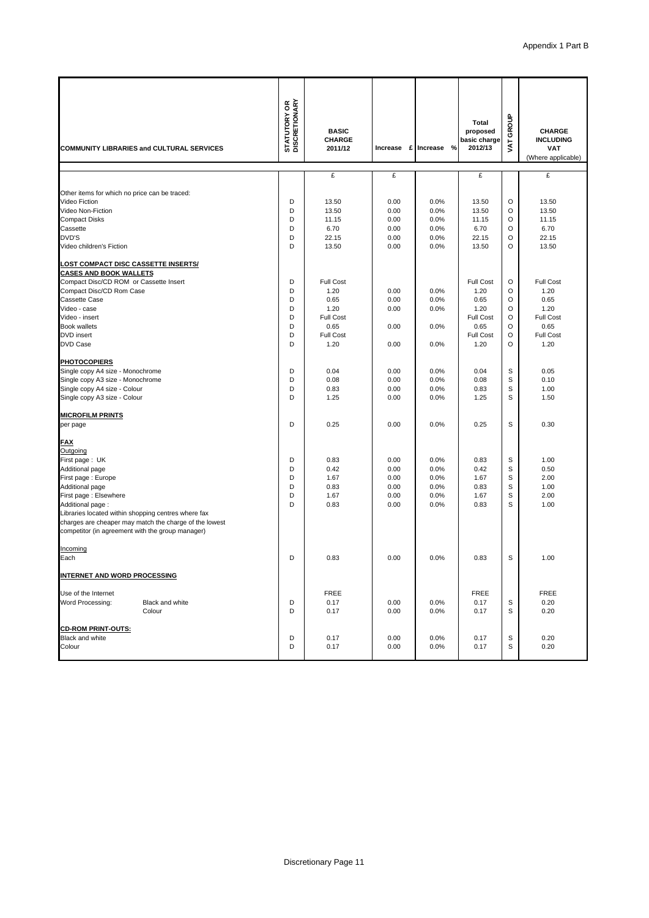|                                                                                                                                                                                                                                                                                                | <b>STATUTORY OR<br/>DISCRETIONARY</b> | <b>BASIC</b><br><b>CHARGE</b>                                                             |                                              |                                              | Total<br>proposed<br>basic charge                                           | GROUP                                                        | <b>CHARGE</b><br><b>INCLUDING</b>                                                         |
|------------------------------------------------------------------------------------------------------------------------------------------------------------------------------------------------------------------------------------------------------------------------------------------------|---------------------------------------|-------------------------------------------------------------------------------------------|----------------------------------------------|----------------------------------------------|-----------------------------------------------------------------------------|--------------------------------------------------------------|-------------------------------------------------------------------------------------------|
| <b>COMMUNITY LIBRARIES and CULTURAL SERVICES</b>                                                                                                                                                                                                                                               |                                       | 2011/12                                                                                   | Increase £ Increase                          | %                                            | 2012/13                                                                     | VAT.                                                         | <b>VAT</b><br>(Where applicable)                                                          |
|                                                                                                                                                                                                                                                                                                |                                       | £                                                                                         | £                                            |                                              | £                                                                           |                                                              | £                                                                                         |
| Other items for which no price can be traced:<br>Video Fiction<br>Video Non-Fiction<br><b>Compact Disks</b><br>Cassette<br>DVD'S<br>Video children's Fiction                                                                                                                                   | D<br>D<br>D<br>D<br>D<br>D            | 13.50<br>13.50<br>11.15<br>6.70<br>22.15<br>13.50                                         | 0.00<br>0.00<br>0.00<br>0.00<br>0.00<br>0.00 | 0.0%<br>0.0%<br>0.0%<br>0.0%<br>0.0%<br>0.0% | 13.50<br>13.50<br>11.15<br>6.70<br>22.15<br>13.50                           | O<br>O<br>O<br>O<br>$\circ$<br>$\circ$                       | 13.50<br>13.50<br>11.15<br>6.70<br>22.15<br>13.50                                         |
| <b>LOST COMPACT DISC CASSETTE INSERTS/</b>                                                                                                                                                                                                                                                     |                                       |                                                                                           |                                              |                                              |                                                                             |                                                              |                                                                                           |
| <b>CASES AND BOOK WALLETS</b><br>Compact Disc/CD ROM or Cassette Insert<br>Compact Disc/CD Rom Case<br><b>Cassette Case</b><br>Video - case<br>Video - insert<br><b>Book wallets</b><br><b>DVD</b> insert<br><b>DVD Case</b>                                                                   | D<br>D<br>D<br>D<br>D<br>D<br>D<br>D  | <b>Full Cost</b><br>1.20<br>0.65<br>1.20<br>Full Cost<br>0.65<br><b>Full Cost</b><br>1.20 | 0.00<br>0.00<br>0.00<br>0.00<br>0.00         | 0.0%<br>0.0%<br>0.0%<br>0.0%<br>0.0%         | Full Cost<br>1.20<br>0.65<br>1.20<br>Full Cost<br>0.65<br>Full Cost<br>1.20 | O<br>$\circ$<br>O<br>O<br>O<br>$\circ$<br>$\circ$<br>$\circ$ | <b>Full Cost</b><br>1.20<br>0.65<br>1.20<br>Full Cost<br>0.65<br><b>Full Cost</b><br>1.20 |
| <b>PHOTOCOPIERS</b><br>Single copy A4 size - Monochrome<br>Single copy A3 size - Monochrome<br>Single copy A4 size - Colour<br>Single copy A3 size - Colour                                                                                                                                    | D<br>D<br>D<br>D                      | 0.04<br>0.08<br>0.83<br>1.25                                                              | 0.00<br>0.00<br>0.00<br>0.00                 | 0.0%<br>0.0%<br>0.0%<br>0.0%                 | 0.04<br>0.08<br>0.83<br>1.25                                                | S<br>S<br>S<br>S                                             | 0.05<br>0.10<br>1.00<br>1.50                                                              |
| <b>MICROFILM PRINTS</b><br>per page                                                                                                                                                                                                                                                            | D                                     | 0.25                                                                                      | 0.00                                         | 0.0%                                         | 0.25                                                                        | S                                                            | 0.30                                                                                      |
| <b>FAX</b><br>Outgoing                                                                                                                                                                                                                                                                         |                                       |                                                                                           |                                              |                                              |                                                                             |                                                              |                                                                                           |
| First page: UK<br>Additional page<br>First page : Europe<br>Additional page<br>First page : Elsewhere<br>Additional page:<br>Libraries located within shopping centres where fax<br>charges are cheaper may match the charge of the lowest<br>competitor (in agreement with the group manager) | D<br>D<br>D<br>D<br>D<br>D            | 0.83<br>0.42<br>1.67<br>0.83<br>1.67<br>0.83                                              | 0.00<br>0.00<br>0.00<br>0.00<br>0.00<br>0.00 | 0.0%<br>0.0%<br>0.0%<br>0.0%<br>0.0%<br>0.0% | 0.83<br>0.42<br>1.67<br>0.83<br>1.67<br>0.83                                | S<br>S<br>S<br>S<br>S<br>S                                   | 1.00<br>0.50<br>2.00<br>1.00<br>2.00<br>1.00                                              |
| Incoming<br>Each                                                                                                                                                                                                                                                                               | D                                     | 0.83                                                                                      | 0.00                                         | 0.0%                                         | 0.83                                                                        | S                                                            | 1.00                                                                                      |
| INTERNET AND WORD PROCESSING                                                                                                                                                                                                                                                                   |                                       |                                                                                           |                                              |                                              |                                                                             |                                                              |                                                                                           |
| Use of the Internet<br>Word Processing:<br>Black and white<br>Colour                                                                                                                                                                                                                           | D<br>D                                | <b>FREE</b><br>0.17<br>0.17                                                               | 0.00<br>0.00                                 | 0.0%<br>0.0%                                 | FREE<br>0.17<br>0.17                                                        | S<br>S                                                       | <b>FREE</b><br>0.20<br>0.20                                                               |
| <b>CD-ROM PRINT-OUTS:</b><br>Black and white<br>Colour                                                                                                                                                                                                                                         | D<br>D                                | 0.17<br>0.17                                                                              | 0.00<br>0.00                                 | 0.0%<br>0.0%                                 | 0.17<br>0.17                                                                | S<br>S                                                       | 0.20<br>0.20                                                                              |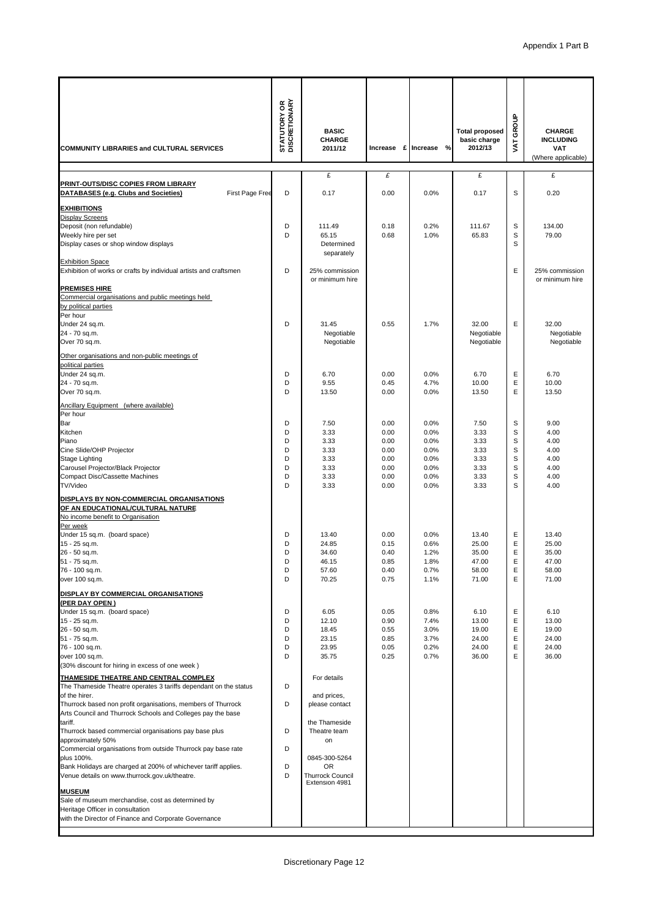| COMMUNITY LIBRARIES and CULTURAL SERVICES                                                                                                                                                                                   | <b>STATUTORY OR<br/>DISCRETIONARY</b> | <b>BASIC</b><br><b>CHARGE</b><br>2011/12                                      | Increase £ Increase                                          | %                                                            | <b>Total proposed</b><br>basic charge<br>2012/13             | GROUP<br><b>TYA</b>                  | <b>CHARGE</b><br><b>INCLUDING</b><br><b>VAT</b><br>(Where applicable) |
|-----------------------------------------------------------------------------------------------------------------------------------------------------------------------------------------------------------------------------|---------------------------------------|-------------------------------------------------------------------------------|--------------------------------------------------------------|--------------------------------------------------------------|--------------------------------------------------------------|--------------------------------------|-----------------------------------------------------------------------|
|                                                                                                                                                                                                                             |                                       | £                                                                             | £                                                            |                                                              | £                                                            |                                      | £                                                                     |
| PRINT-OUTS/DISC COPIES FROM LIBRARY<br>DATABASES (e.g. Clubs and Societies)<br>First Page Free                                                                                                                              | D                                     | 0.17                                                                          | 0.00                                                         | 0.0%                                                         | 0.17                                                         | S                                    | 0.20                                                                  |
| <b>EXHIBITIONS</b><br><b>Display Screens</b><br>Deposit (non refundable)<br>Weekly hire per set<br>Display cases or shop window displays                                                                                    | D<br>D                                | 111.49<br>65.15<br>Determined<br>separately                                   | 0.18<br>0.68                                                 | 0.2%<br>1.0%                                                 | 111.67<br>65.83                                              | S<br>S<br>S                          | 134.00<br>79.00                                                       |
| <b>Exhibition Space</b><br>Exhibition of works or crafts by individual artists and craftsmen                                                                                                                                | D                                     | 25% commission<br>or minimum hire                                             |                                                              |                                                              |                                                              | E                                    | 25% commission<br>or minimum hire                                     |
| <b>PREMISES HIRE</b><br>Commercial organisations and public meetings held<br>by political parties<br>Per hour<br>Under 24 sq.m.<br>24 - 70 sq.m.<br>Over 70 sq.m.                                                           | D                                     | 31.45<br>Negotiable<br>Negotiable                                             | 0.55                                                         | 1.7%                                                         | 32.00<br>Negotiable<br>Negotiable                            | E                                    | 32.00<br>Negotiable<br>Negotiable                                     |
| Other organisations and non-public meetings of                                                                                                                                                                              |                                       |                                                                               |                                                              |                                                              |                                                              |                                      |                                                                       |
| political parties<br>Under 24 sq.m.<br>24 - 70 sq.m.<br>Over 70 sq.m.                                                                                                                                                       | D<br>D<br>D                           | 6.70<br>9.55<br>13.50                                                         | 0.00<br>0.45<br>0.00                                         | 0.0%<br>4.7%<br>0.0%                                         | 6.70<br>10.00<br>13.50                                       | Ε<br>Ε<br>E                          | 6.70<br>10.00<br>13.50                                                |
| Ancillary Equipment (where available)                                                                                                                                                                                       |                                       |                                                                               |                                                              |                                                              |                                                              |                                      |                                                                       |
| Per hour<br>Bar<br>Kitchen<br>Piano<br>Cine Slide/OHP Projector<br>Stage Lighting<br>Carousel Projector/Black Projector<br><b>Compact Disc/Cassette Machines</b><br><b>TV/Video</b>                                         | D<br>D<br>D<br>D<br>D<br>D<br>D<br>D  | 7.50<br>3.33<br>3.33<br>3.33<br>3.33<br>3.33<br>3.33<br>3.33                  | 0.00<br>0.00<br>0.00<br>0.00<br>0.00<br>0.00<br>0.00<br>0.00 | 0.0%<br>0.0%<br>0.0%<br>0.0%<br>0.0%<br>0.0%<br>0.0%<br>0.0% | 7.50<br>3.33<br>3.33<br>3.33<br>3.33<br>3.33<br>3.33<br>3.33 | S<br>S<br>S<br>S<br>S<br>S<br>S<br>S | 9.00<br>4.00<br>4.00<br>4.00<br>4.00<br>4.00<br>4.00<br>4.00          |
| DISPLAYS BY NON-COMMERCIAL ORGANISATIONS                                                                                                                                                                                    |                                       |                                                                               |                                                              |                                                              |                                                              |                                      |                                                                       |
| OF AN EDUCATIONAL/CULTURAL NATURE<br>No income benefit to Organisation                                                                                                                                                      |                                       |                                                                               |                                                              |                                                              |                                                              |                                      |                                                                       |
| Per week<br>Under 15 sq.m. (board space)<br>15 - 25 sq.m.<br>26 - 50 sq.m.<br>51 - 75 sq.m.<br>76 - 100 sq.m.<br>over 100 sq.m.                                                                                             | D<br>D<br>D<br>D<br>D<br>D            | 13.40<br>24.85<br>34.60<br>46.15<br>57.60<br>70.25                            | 0.00<br>0.15<br>0.40<br>0.85<br>0.40<br>0.75                 | 0.0%<br>0.6%<br>1.2%<br>1.8%<br>0.7%<br>1.1%                 | 13.40<br>25.00<br>35.00<br>47.00<br>58.00<br>71.00           | Ε<br>E<br>E<br>E<br>Ε<br>Е           | 13.40<br>25.00<br>35.00<br>47.00<br>58.00<br>71.00                    |
| DISPLAY BY COMMERCIAL ORGANISATIONS                                                                                                                                                                                         |                                       |                                                                               |                                                              |                                                              |                                                              |                                      |                                                                       |
| (PER DAY OPEN)<br>Under 15 sq.m. (board space)<br>15 - 25 sq.m.<br>26 - 50 sq.m.<br>51 - 75 sq.m.<br>76 - 100 sq.m.<br>over 100 sq.m.<br>(30% discount for hiring in excess of one week)                                    | D<br>D<br>D<br>D<br>D<br>D            | 6.05<br>12.10<br>18.45<br>23.15<br>23.95<br>35.75                             | 0.05<br>0.90<br>0.55<br>0.85<br>0.05<br>0.25                 | 0.8%<br>7.4%<br>3.0%<br>3.7%<br>0.2%<br>0.7%                 | 6.10<br>13.00<br>19.00<br>24.00<br>24.00<br>36.00            | Ε<br>E<br>Ε<br>Ε<br>Ε<br>Е           | 6.10<br>13.00<br>19.00<br>24.00<br>24.00<br>36.00                     |
| THAMESIDE THEATRE AND CENTRAL COMPLEX                                                                                                                                                                                       |                                       | For details                                                                   |                                                              |                                                              |                                                              |                                      |                                                                       |
| The Thameside Theatre operates 3 tariffs dependant on the status<br>of the hirer.<br>Thurrock based non profit organisations, members of Thurrock<br>Arts Council and Thurrock Schools and Colleges pay the base<br>tariff. | D<br>D                                | and prices,<br>please contact<br>the Thameside                                |                                                              |                                                              |                                                              |                                      |                                                                       |
| Thurrock based commercial organisations pay base plus                                                                                                                                                                       | D                                     | Theatre team                                                                  |                                                              |                                                              |                                                              |                                      |                                                                       |
| approximately 50%<br>Commercial organisations from outside Thurrock pay base rate<br>plus 100%.<br>Bank Holidays are charged at 200% of whichever tariff applies.<br>Venue details on www.thurrock.gov.uk/theatre.          | D<br>D<br>D                           | on<br>0845-300-5264<br><b>OR</b><br><b>Thurrock Council</b><br>Extension 4981 |                                                              |                                                              |                                                              |                                      |                                                                       |
| <b>MUSEUM</b><br>Sale of museum merchandise, cost as determined by<br>Heritage Officer in consultation<br>with the Director of Finance and Corporate Governance                                                             |                                       |                                                                               |                                                              |                                                              |                                                              |                                      |                                                                       |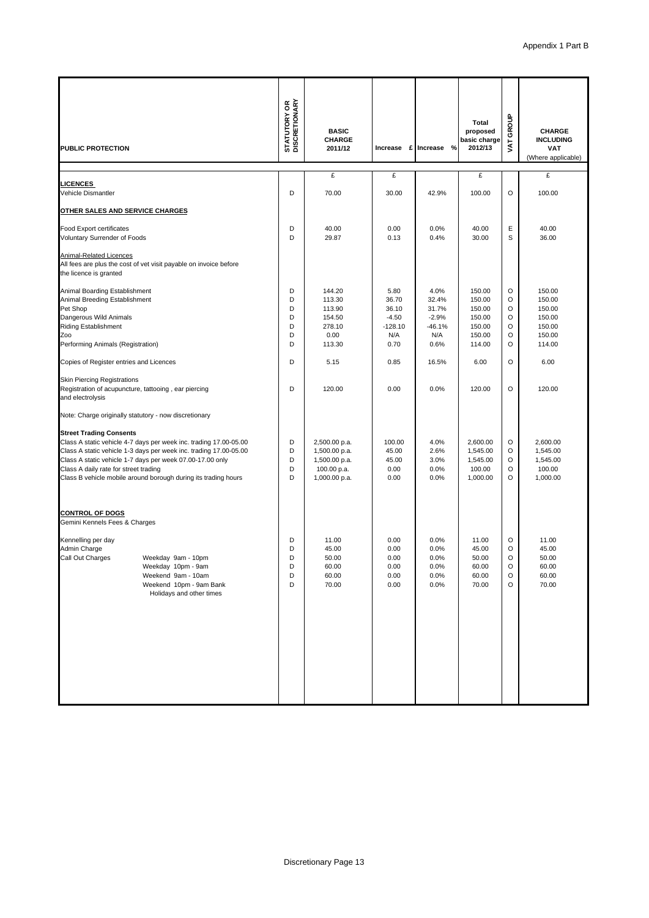| <b>STATUTORY OR<br/>DISCRETIONARY</b>                                                                                                                                                                                                                                                                                                                                                             | <b>BASIC</b><br>CHARGE<br>2011/12                                               | Increase £ Increase                                   | %                                                    | Total<br>proposed<br>basic charge<br>2012/13             | GROUP<br><b>TYV</b>                    | <b>CHARGE</b><br><b>INCLUDING</b><br><b>VAT</b><br>(Where applicable) |
|---------------------------------------------------------------------------------------------------------------------------------------------------------------------------------------------------------------------------------------------------------------------------------------------------------------------------------------------------------------------------------------------------|---------------------------------------------------------------------------------|-------------------------------------------------------|------------------------------------------------------|----------------------------------------------------------|----------------------------------------|-----------------------------------------------------------------------|
|                                                                                                                                                                                                                                                                                                                                                                                                   |                                                                                 |                                                       |                                                      |                                                          |                                        | £                                                                     |
| D                                                                                                                                                                                                                                                                                                                                                                                                 | 70.00                                                                           | 30.00                                                 | 42.9%                                                | 100.00                                                   | O                                      | 100.00                                                                |
|                                                                                                                                                                                                                                                                                                                                                                                                   |                                                                                 |                                                       |                                                      |                                                          |                                        |                                                                       |
| D<br>D                                                                                                                                                                                                                                                                                                                                                                                            | 40.00<br>29.87                                                                  | 0.00<br>0.13                                          | 0.0%<br>0.4%                                         | 40.00<br>30.00                                           | E<br>S                                 | 40.00<br>36.00                                                        |
|                                                                                                                                                                                                                                                                                                                                                                                                   |                                                                                 |                                                       |                                                      |                                                          |                                        |                                                                       |
| D<br>D<br>D<br>D<br>D<br>D                                                                                                                                                                                                                                                                                                                                                                        | 144.20<br>113.30<br>113.90<br>154.50<br>278.10<br>0.00                          | 5.80<br>36.70<br>36.10<br>$-4.50$<br>$-128.10$<br>N/A | 4.0%<br>32.4%<br>31.7%<br>$-2.9%$<br>$-46.1%$<br>N/A | 150.00<br>150.00<br>150.00<br>150.00<br>150.00<br>150.00 | O<br>O<br>$\circ$<br>O<br>$\circ$<br>O | 150.00<br>150.00<br>150.00<br>150.00<br>150.00<br>150.00<br>114.00    |
|                                                                                                                                                                                                                                                                                                                                                                                                   |                                                                                 |                                                       |                                                      |                                                          |                                        | 6.00                                                                  |
| D                                                                                                                                                                                                                                                                                                                                                                                                 | 120.00                                                                          | 0.00                                                  | 0.0%                                                 | 120.00                                                   | $\circ$                                | 120.00                                                                |
|                                                                                                                                                                                                                                                                                                                                                                                                   |                                                                                 |                                                       |                                                      |                                                          |                                        |                                                                       |
| D<br>D<br>D<br>D<br>D                                                                                                                                                                                                                                                                                                                                                                             | 2,500.00 p.a.<br>1,500.00 p.a.<br>1,500.00 p.a.<br>100.00 p.a.<br>1,000.00 p.a. | 100.00<br>45.00<br>45.00<br>0.00<br>0.00              | 4.0%<br>2.6%<br>3.0%<br>0.0%<br>0.0%                 | 2,600.00<br>1,545.00<br>1,545.00<br>100.00<br>1,000.00   | O<br>O<br>O<br>O<br>$\circ$            | 2,600.00<br>1,545.00<br>1,545.00<br>100.00<br>1,000.00                |
|                                                                                                                                                                                                                                                                                                                                                                                                   |                                                                                 |                                                       |                                                      |                                                          |                                        |                                                                       |
| D<br>D<br>D<br>D<br>D<br>D                                                                                                                                                                                                                                                                                                                                                                        | 11.00<br>45.00<br>50.00<br>60.00<br>60.00<br>70.00                              | 0.00<br>0.00<br>0.00<br>0.00<br>0.00<br>0.00          | 0.0%<br>0.0%<br>0.0%<br>0.0%<br>0.0%<br>0.0%         | 11.00<br>45.00<br>50.00<br>60.00<br>60.00<br>70.00       | O<br>O<br>O<br>O<br>O<br>O             | 11.00<br>45.00<br>50.00<br>60.00<br>60.00<br>70.00                    |
| All fees are plus the cost of vet visit payable on invoice before<br>Class A static vehicle 4-7 days per week inc. trading 17.00-05.00<br>Class A static vehicle 1-3 days per week inc. trading 17.00-05.00<br>Class A static vehicle 1-7 days per week 07.00-17.00 only<br>Class B vehicle mobile around borough during its trading hours<br>Weekend 10pm - 9am Bank<br>Holidays and other times | D<br>D                                                                          | £<br>113.30<br>5.15                                   | £<br>0.70<br>0.85                                    | 0.6%<br>16.5%                                            | £<br>114.00<br>6.00                    | $\circ$<br>$\circ$                                                    |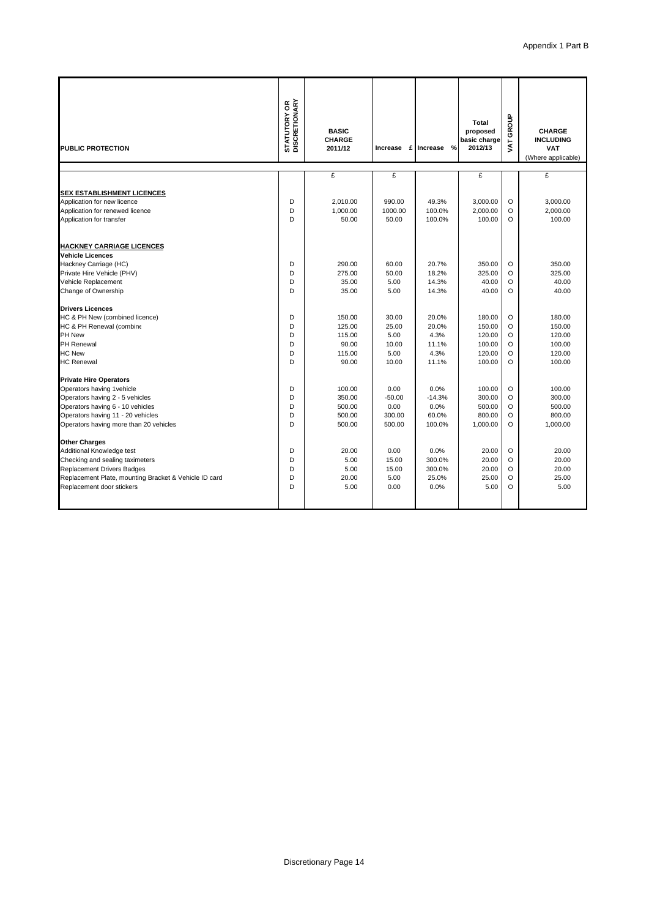| <b>PUBLIC PROTECTION</b>                                                                                                                                                                                          | <b>STATUTORY OR<br/>DISCRETIONARY</b> | <b>BASIC</b><br><b>CHARGE</b><br>2011/12               | £<br>Increase                                    | %<br>Increase                                    | <b>Total</b><br>proposed<br>basic charge<br>2012/13      | GROUP<br><b>TAT</b>                     | <b>CHARGE</b><br><b>INCLUDING</b><br><b>VAT</b><br>(Where applicable) |
|-------------------------------------------------------------------------------------------------------------------------------------------------------------------------------------------------------------------|---------------------------------------|--------------------------------------------------------|--------------------------------------------------|--------------------------------------------------|----------------------------------------------------------|-----------------------------------------|-----------------------------------------------------------------------|
|                                                                                                                                                                                                                   |                                       | £                                                      | £                                                |                                                  | £                                                        |                                         | £                                                                     |
| <b>SEX ESTABLISHMENT LICENCES</b><br>Application for new licence<br>Application for renewed licence<br>Application for transfer                                                                                   | D<br>D<br>D                           | 2.010.00<br>1,000.00<br>50.00                          | 990.00<br>1000.00<br>50.00                       | 49.3%<br>100.0%<br>100.0%                        | 3,000.00<br>2,000.00<br>100.00                           | O<br>O<br>O                             | 3.000.00<br>2,000.00<br>100.00                                        |
| <b>HACKNEY CARRIAGE LICENCES</b><br><b>Vehicle Licences</b><br>Hackney Carriage (HC)<br>Private Hire Vehicle (PHV)<br>Vehicle Replacement<br>Change of Ownership                                                  | D<br>D<br>D<br>D                      | 290.00<br>275.00<br>35.00<br>35.00                     | 60.00<br>50.00<br>5.00<br>5.00                   | 20.7%<br>18.2%<br>14.3%<br>14.3%                 | 350.00<br>325.00<br>40.00<br>40.00                       | $\circ$<br>$\circ$<br>O<br>O            | 350.00<br>325.00<br>40.00<br>40.00                                    |
| <b>Drivers Licences</b><br>HC & PH New (combined licence)<br>HC & PH Renewal (combine<br>PH New<br><b>PH Renewal</b><br><b>HC New</b><br><b>HC Renewal</b>                                                        | D<br>D<br>D<br>D<br>D<br>D            | 150.00<br>125.00<br>115.00<br>90.00<br>115.00<br>90.00 | 30.00<br>25.00<br>5.00<br>10.00<br>5.00<br>10.00 | 20.0%<br>20.0%<br>4.3%<br>11.1%<br>4.3%<br>11.1% | 180.00<br>150.00<br>120.00<br>100.00<br>120.00<br>100.00 | O<br>$\circ$<br>O<br>O<br>O<br>$\Omega$ | 180.00<br>150.00<br>120.00<br>100.00<br>120.00<br>100.00              |
| <b>Private Hire Operators</b><br>Operators having 1 vehicle<br>Operators having 2 - 5 vehicles<br>Operators having 6 - 10 vehicles<br>Operators having 11 - 20 vehicles<br>Operators having more than 20 vehicles | D<br>D<br>D<br>D<br>D                 | 100.00<br>350.00<br>500.00<br>500.00<br>500.00         | 0.00<br>$-50.00$<br>0.00<br>300.00<br>500.00     | 0.0%<br>$-14.3%$<br>0.0%<br>60.0%<br>100.0%      | 100.00<br>300.00<br>500.00<br>800.00<br>1,000.00         | O<br>$\circ$<br>O<br>O<br>O             | 100.00<br>300.00<br>500.00<br>800.00<br>1,000.00                      |
| <b>Other Charges</b><br>Additional Knowledge test<br>Checking and sealing taximeters<br><b>Replacement Drivers Badges</b><br>Replacement Plate, mounting Bracket & Vehicle ID card<br>Replacement door stickers   | D<br>D<br>D<br>D<br>D                 | 20.00<br>5.00<br>5.00<br>20.00<br>5.00                 | 0.00<br>15.00<br>15.00<br>5.00<br>0.00           | 0.0%<br>300.0%<br>300.0%<br>25.0%<br>0.0%        | 20.00<br>20.00<br>20.00<br>25.00<br>5.00                 | O<br>O<br>$\circ$<br>O<br>O             | 20.00<br>20.00<br>20.00<br>25.00<br>5.00                              |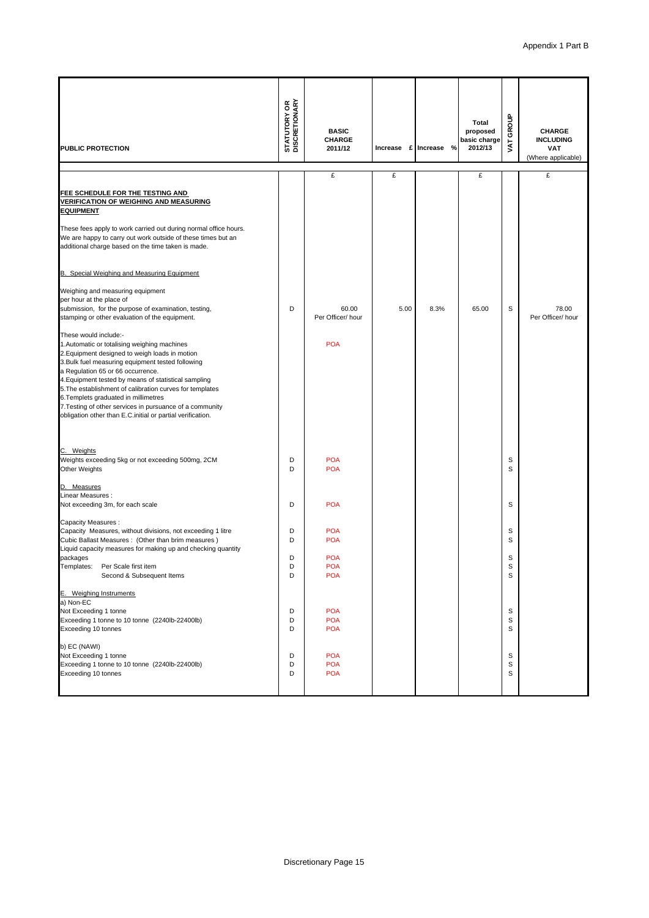| PUBLIC PROTECTION                                                                                                                                                                                                                                                                                                                                                                                                                                                                                       | <b>STATUTORY OR<br/>DISCRETIONARY</b> | <b>BASIC</b><br><b>CHARGE</b><br>2011/12 |      | Increase £ Increase % | Total<br>proposed<br>basic charge<br>2012/13 | GROUP<br>VAT          | <b>CHARGE</b><br><b>INCLUDING</b><br>VAT<br>(Where applicable) |
|---------------------------------------------------------------------------------------------------------------------------------------------------------------------------------------------------------------------------------------------------------------------------------------------------------------------------------------------------------------------------------------------------------------------------------------------------------------------------------------------------------|---------------------------------------|------------------------------------------|------|-----------------------|----------------------------------------------|-----------------------|----------------------------------------------------------------|
|                                                                                                                                                                                                                                                                                                                                                                                                                                                                                                         |                                       | £                                        | £    |                       | £                                            |                       | £                                                              |
| FEE SCHEDULE FOR THE TESTING AND<br><b>VERIFICATION OF WEIGHING AND MEASURING</b><br><b>EQUIPMENT</b><br>These fees apply to work carried out during normal office hours.<br>We are happy to carry out work outside of these times but an<br>additional charge based on the time taken is made.                                                                                                                                                                                                         |                                       |                                          |      |                       |                                              |                       |                                                                |
| B. Special Weighing and Measuring Equipment                                                                                                                                                                                                                                                                                                                                                                                                                                                             |                                       |                                          |      |                       |                                              |                       |                                                                |
| Weighing and measuring equipment<br>per hour at the place of<br>submission, for the purpose of examination, testing,<br>stamping or other evaluation of the equipment.                                                                                                                                                                                                                                                                                                                                  | D                                     | 60.00<br>Per Officer/ hour               | 5.00 | 8.3%                  | 65.00                                        | S                     | 78.00<br>Per Officer/ hour                                     |
| These would include:-<br>1. Automatic or totalising weighing machines<br>2. Equipment designed to weigh loads in motion<br>3. Bulk fuel measuring equipment tested following<br>a Regulation 65 or 66 occurrence.<br>4. Equipment tested by means of statistical sampling<br>5. The establishment of calibration curves for templates<br>6. Templets graduated in millimetres<br>7. Testing of other services in pursuance of a community<br>obligation other than E.C.initial or partial verification. |                                       | <b>POA</b>                               |      |                       |                                              |                       |                                                                |
| C. Weights<br>Weights exceeding 5kg or not exceeding 500mg, 2CM<br>Other Weights                                                                                                                                                                                                                                                                                                                                                                                                                        | D<br>D                                | <b>POA</b><br><b>POA</b>                 |      |                       |                                              | S<br>S                |                                                                |
| D. Measures<br>Linear Measures :                                                                                                                                                                                                                                                                                                                                                                                                                                                                        |                                       |                                          |      |                       |                                              |                       |                                                                |
| Not exceeding 3m, for each scale                                                                                                                                                                                                                                                                                                                                                                                                                                                                        | D                                     | <b>POA</b>                               |      |                       |                                              | S                     |                                                                |
| Capacity Measures:<br>Capacity Measures, without divisions, not exceeding 1 litre<br>Cubic Ballast Measures : (Other than brim measures)<br>Liquid capacity measures for making up and checking quantity                                                                                                                                                                                                                                                                                                | D<br>D                                | <b>POA</b><br><b>POA</b>                 |      |                       |                                              | S<br>S                |                                                                |
| packages<br>Templates: Per Scale first item<br>Second & Subsequent Items                                                                                                                                                                                                                                                                                                                                                                                                                                | D<br>D<br>D                           | <b>POA</b><br><b>POA</b><br><b>POA</b>   |      |                       |                                              | S<br>S<br>$\mathbf S$ |                                                                |
| E. Weighing Instruments<br>a) Non-EC<br>Not Exceeding 1 tonne                                                                                                                                                                                                                                                                                                                                                                                                                                           | D                                     | <b>POA</b>                               |      |                       |                                              | S                     |                                                                |
| Exceeding 1 tonne to 10 tonne (2240lb-22400lb)<br>Exceeding 10 tonnes                                                                                                                                                                                                                                                                                                                                                                                                                                   | D<br>D                                | <b>POA</b><br><b>POA</b>                 |      |                       |                                              | S<br>S                |                                                                |
| b) EC (NAWI)<br>Not Exceeding 1 tonne<br>Exceeding 1 tonne to 10 tonne (2240lb-22400lb)<br>Exceeding 10 tonnes                                                                                                                                                                                                                                                                                                                                                                                          | D<br>D<br>D                           | <b>POA</b><br><b>POA</b><br><b>POA</b>   |      |                       |                                              | S<br>S<br>S           |                                                                |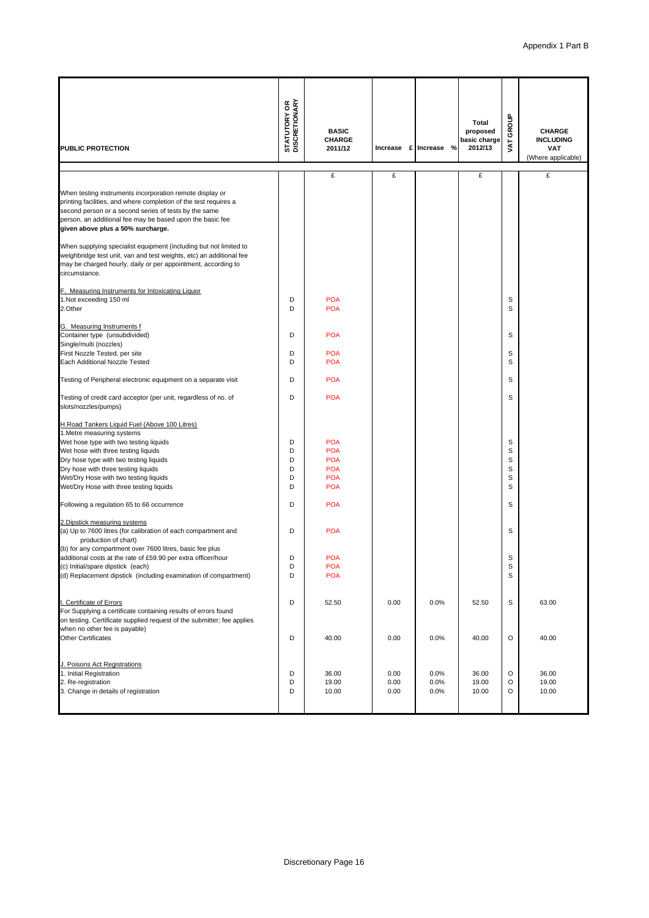| PUBLIC PROTECTION                                                                                                                                                                                                                                                                                                                                                                                                                   | <b>STATUTORY OR<br/>DISCRETIONARY</b> | <b>BASIC</b><br><b>CHARGE</b><br>2011/12 | Increase £ Increase | %            | Total<br>proposed<br>basic charge<br>2012/13 | GROUP<br>VAT | <b>CHARGE</b><br><b>INCLUDING</b><br>VAT<br>(Where applicable) |
|-------------------------------------------------------------------------------------------------------------------------------------------------------------------------------------------------------------------------------------------------------------------------------------------------------------------------------------------------------------------------------------------------------------------------------------|---------------------------------------|------------------------------------------|---------------------|--------------|----------------------------------------------|--------------|----------------------------------------------------------------|
|                                                                                                                                                                                                                                                                                                                                                                                                                                     |                                       | £                                        | £                   |              | £                                            |              | £                                                              |
| When testing instruments incorporation remote display or<br>printing facilities, and where completion of the test requires a<br>second person or a second series of tests by the same<br>person, an additional fee may be based upon the basic fee<br>given above plus a 50% surcharge.<br>When supplying specialist equipment (including but not limited to<br>weighbridge test unit, van and test weights, etc) an additional fee |                                       |                                          |                     |              |                                              |              |                                                                |
| may be charged hourly, daily or per appointment, according to                                                                                                                                                                                                                                                                                                                                                                       |                                       |                                          |                     |              |                                              |              |                                                                |
| circumstance.                                                                                                                                                                                                                                                                                                                                                                                                                       |                                       |                                          |                     |              |                                              |              |                                                                |
| F. Measuring Instruments for Intoxicating Liquor                                                                                                                                                                                                                                                                                                                                                                                    |                                       |                                          |                     |              |                                              |              |                                                                |
| 1.Not exceeding 150 ml<br>2.Other                                                                                                                                                                                                                                                                                                                                                                                                   | D<br>D                                | <b>POA</b><br><b>POA</b>                 |                     |              |                                              | S<br>S       |                                                                |
|                                                                                                                                                                                                                                                                                                                                                                                                                                     |                                       |                                          |                     |              |                                              |              |                                                                |
| G. Measuring Instruments f                                                                                                                                                                                                                                                                                                                                                                                                          |                                       |                                          |                     |              |                                              |              |                                                                |
| Container type (unsubdivided)<br>Single/multi (nozzles)                                                                                                                                                                                                                                                                                                                                                                             | D                                     | <b>POA</b>                               |                     |              |                                              | S            |                                                                |
| First Nozzle Tested, per site                                                                                                                                                                                                                                                                                                                                                                                                       | D                                     | <b>POA</b>                               |                     |              |                                              | S            |                                                                |
| Each Additional Nozzle Tested                                                                                                                                                                                                                                                                                                                                                                                                       | D                                     | <b>POA</b>                               |                     |              |                                              | S            |                                                                |
| Testing of Peripheral electronic equipment on a separate visit                                                                                                                                                                                                                                                                                                                                                                      | D                                     | <b>POA</b>                               |                     |              |                                              | S            |                                                                |
| Testing of credit card acceptor (per unit, regardless of no. of<br>slots/nozzles/pumps)                                                                                                                                                                                                                                                                                                                                             | D                                     | <b>POA</b>                               |                     |              |                                              | S            |                                                                |
| H.Road Tankers Liquid Fuel (Above 100 Litres)                                                                                                                                                                                                                                                                                                                                                                                       |                                       |                                          |                     |              |                                              |              |                                                                |
| 1. Metre measuring systems                                                                                                                                                                                                                                                                                                                                                                                                          |                                       |                                          |                     |              |                                              |              |                                                                |
| Wet hose type with two testing liquids                                                                                                                                                                                                                                                                                                                                                                                              | D                                     | <b>POA</b>                               |                     |              |                                              | S            |                                                                |
| Wet hose with three testing liquids<br>Dry hose type with two testing liquids                                                                                                                                                                                                                                                                                                                                                       | D<br>D                                | <b>POA</b><br><b>POA</b>                 |                     |              |                                              | S<br>S       |                                                                |
| Dry hose with three testing liquids                                                                                                                                                                                                                                                                                                                                                                                                 | D                                     | <b>POA</b>                               |                     |              |                                              | S            |                                                                |
| Wet/Dry Hose with two testing liquids                                                                                                                                                                                                                                                                                                                                                                                               | D                                     | <b>POA</b>                               |                     |              |                                              | S            |                                                                |
| Wet/Dry Hose with three testing liquids                                                                                                                                                                                                                                                                                                                                                                                             | D                                     | <b>POA</b>                               |                     |              |                                              | S            |                                                                |
| Following a regulation 65 to 66 occurrence                                                                                                                                                                                                                                                                                                                                                                                          | D                                     | <b>POA</b>                               |                     |              |                                              | S            |                                                                |
| 2. Dipstick measuring systems<br>(a) Up to 7600 litres (for calibration of each compartment and<br>production of chart)                                                                                                                                                                                                                                                                                                             | D                                     | <b>POA</b>                               |                     |              |                                              | S            |                                                                |
| (b) for any compartment over 7600 litres, basic fee plus                                                                                                                                                                                                                                                                                                                                                                            |                                       |                                          |                     |              |                                              |              |                                                                |
| additional costs at the rate of £59.90 per extra officer/hour                                                                                                                                                                                                                                                                                                                                                                       | D                                     | <b>POA</b>                               |                     |              |                                              | S            |                                                                |
| (c) Initial/spare dipstick (each)<br>(d) Replacement dipstick (including examination of compartment)                                                                                                                                                                                                                                                                                                                                | D<br>D                                | <b>POA</b><br><b>POA</b>                 |                     |              |                                              | S<br>S       |                                                                |
|                                                                                                                                                                                                                                                                                                                                                                                                                                     |                                       |                                          |                     |              |                                              |              |                                                                |
| Certificate of Errors<br>For Supplying a certificate containing results of errors found<br>on testing. Certificate supplied request of the submitter; fee applies                                                                                                                                                                                                                                                                   | D                                     | 52.50                                    | 0.00                | 0.0%         | 52.50                                        | S            | 63.00                                                          |
| when no other fee is payable)<br><b>Other Certificates</b>                                                                                                                                                                                                                                                                                                                                                                          | D                                     | 40.00                                    | 0.00                | 0.0%         | 40.00                                        | O            | 40.00                                                          |
|                                                                                                                                                                                                                                                                                                                                                                                                                                     |                                       |                                          |                     |              |                                              |              |                                                                |
| J. Poisons Act Registrations                                                                                                                                                                                                                                                                                                                                                                                                        |                                       |                                          |                     |              |                                              |              |                                                                |
| 1. Initial Registration                                                                                                                                                                                                                                                                                                                                                                                                             | D                                     | 36.00                                    | 0.00                | 0.0%         | 36.00                                        | O            | 36.00                                                          |
| 2. Re-registration<br>3. Change in details of registration                                                                                                                                                                                                                                                                                                                                                                          | D<br>D                                | 19.00<br>10.00                           | 0.00<br>0.00        | 0.0%<br>0.0% | 19.00<br>10.00                               | O<br>O       | 19.00<br>10.00                                                 |
|                                                                                                                                                                                                                                                                                                                                                                                                                                     |                                       |                                          |                     |              |                                              |              |                                                                |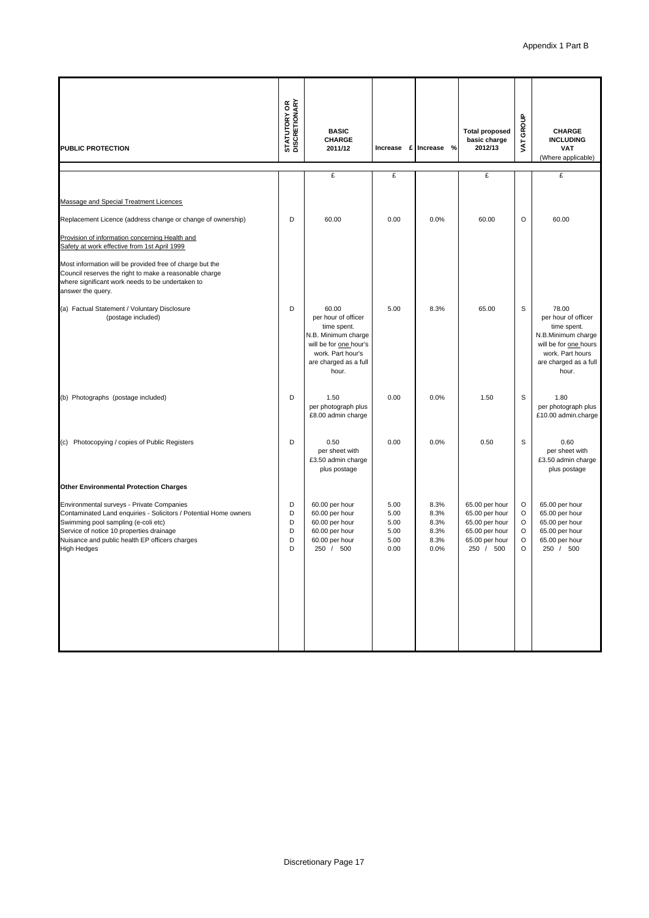| <b>PUBLIC PROTECTION</b>                                                                                                                                                                                                                                          | <b>STATUTORY OR<br/>DISCRETIONARY</b> | <b>BASIC</b><br><b>CHARGE</b><br>2011/12                                                                                                            |                                              | Increase £ Increase %                        | <b>Total proposed</b><br>basic charge<br>2012/13                                                    | GROUP<br><b>TYA</b>                                | <b>CHARGE</b><br><b>INCLUDING</b><br><b>VAT</b><br>(Where applicable)                                                                            |
|-------------------------------------------------------------------------------------------------------------------------------------------------------------------------------------------------------------------------------------------------------------------|---------------------------------------|-----------------------------------------------------------------------------------------------------------------------------------------------------|----------------------------------------------|----------------------------------------------|-----------------------------------------------------------------------------------------------------|----------------------------------------------------|--------------------------------------------------------------------------------------------------------------------------------------------------|
|                                                                                                                                                                                                                                                                   |                                       | £                                                                                                                                                   | £                                            |                                              | £                                                                                                   |                                                    | £                                                                                                                                                |
| Massage and Special Treatment Licences                                                                                                                                                                                                                            |                                       |                                                                                                                                                     |                                              |                                              |                                                                                                     |                                                    |                                                                                                                                                  |
| Replacement Licence (address change or change of ownership)                                                                                                                                                                                                       | D                                     | 60.00                                                                                                                                               | 0.00                                         | 0.0%                                         | 60.00                                                                                               | O                                                  | 60.00                                                                                                                                            |
| Provision of information concerning Health and<br>Safety at work effective from 1st April 1999                                                                                                                                                                    |                                       |                                                                                                                                                     |                                              |                                              |                                                                                                     |                                                    |                                                                                                                                                  |
| Most information will be provided free of charge but the<br>Council reserves the right to make a reasonable charge<br>where significant work needs to be undertaken to<br>answer the query.                                                                       |                                       |                                                                                                                                                     |                                              |                                              |                                                                                                     |                                                    |                                                                                                                                                  |
| (a) Factual Statement / Voluntary Disclosure<br>(postage included)                                                                                                                                                                                                | D                                     | 60.00<br>per hour of officer<br>time spent.<br>N.B. Minimum charge<br>will be for one hour's<br>work. Part hour's<br>are charged as a full<br>hour. | 5.00                                         | 8.3%                                         | 65.00                                                                                               | S                                                  | 78.00<br>per hour of officer<br>time spent.<br>N.B.Minimum charge<br>will be for one hours<br>work. Part hours<br>are charged as a full<br>hour. |
| (b) Photographs (postage included)                                                                                                                                                                                                                                | D                                     | 1.50<br>per photograph plus<br>£8.00 admin charge                                                                                                   | 0.00                                         | 0.0%                                         | 1.50                                                                                                | S                                                  | 1.80<br>per photograph plus<br>£10.00 admin.charge                                                                                               |
| (c) Photocopying / copies of Public Registers                                                                                                                                                                                                                     | D                                     | 0.50<br>per sheet with<br>£3.50 admin charge<br>plus postage                                                                                        | 0.00                                         | 0.0%                                         | 0.50                                                                                                | S                                                  | 0.60<br>per sheet with<br>£3.50 admin charge<br>plus postage                                                                                     |
| <b>Other Environmental Protection Charges</b>                                                                                                                                                                                                                     |                                       |                                                                                                                                                     |                                              |                                              |                                                                                                     |                                                    |                                                                                                                                                  |
| Environmental surveys - Private Companies<br>Contaminated Land enquiries - Solicitors / Potential Home owners<br>Swimming pool sampling (e-coli etc)<br>Service of notice 10 properties drainage<br>Nuisance and public health EP officers charges<br>High Hedges | D<br>D<br>D<br>D<br>D<br>D            | 60.00 per hour<br>60.00 per hour<br>60.00 per hour<br>60.00 per hour<br>60.00 per hour<br>250 / 500                                                 | 5.00<br>5.00<br>5.00<br>5.00<br>5.00<br>0.00 | 8.3%<br>8.3%<br>8.3%<br>8.3%<br>8.3%<br>0.0% | 65.00 per hour<br>65.00 per hour<br>65.00 per hour<br>65.00 per hour<br>65.00 per hour<br>250 / 500 | O<br>O<br>$\circ$<br>$\circ$<br>$\circ$<br>$\circ$ | 65.00 per hour<br>65.00 per hour<br>65.00 per hour<br>65.00 per hour<br>65.00 per hour<br>250 / 500                                              |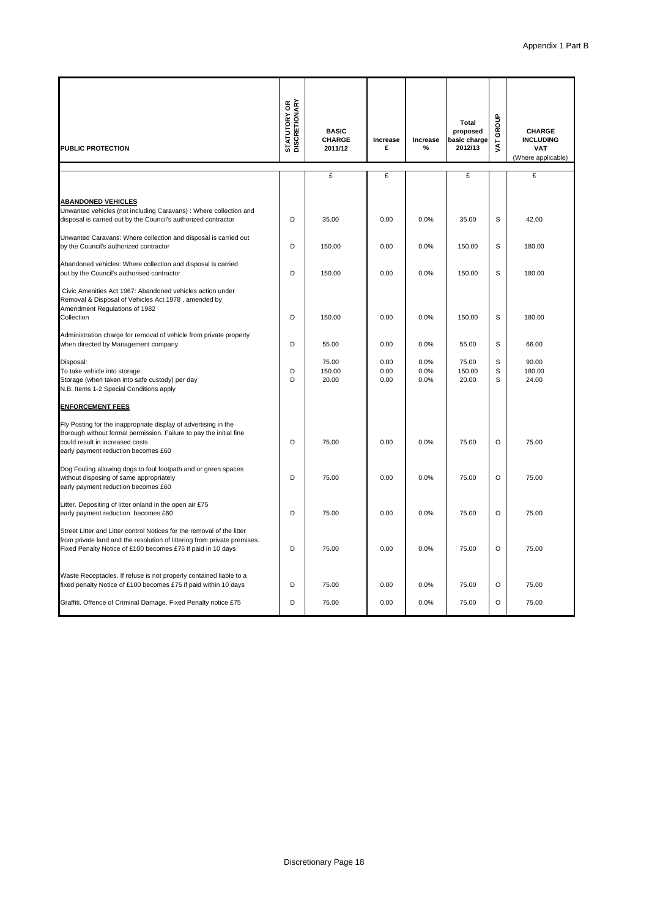| <b>PUBLIC PROTECTION</b>                                                                                                                                                                                          | <b>STATUTORY OR<br/>DISCRETIONARY</b> | <b>BASIC</b><br><b>CHARGE</b><br>2011/12 | Increase<br>£        | Increase<br>%        | <b>Total</b><br>proposed<br>basic charge<br>2012/13 | GROUP<br><b>AT</b> | <b>CHARGE</b><br><b>INCLUDING</b><br><b>VAT</b><br>(Where applicable) |
|-------------------------------------------------------------------------------------------------------------------------------------------------------------------------------------------------------------------|---------------------------------------|------------------------------------------|----------------------|----------------------|-----------------------------------------------------|--------------------|-----------------------------------------------------------------------|
|                                                                                                                                                                                                                   |                                       | £                                        | £                    |                      | £                                                   |                    | £                                                                     |
| <b>ABANDONED VEHICLES</b><br>Unwanted vehicles (not including Caravans) : Where collection and<br>disposal is carried out by the Council's authorized contractor                                                  | D                                     | 35.00                                    | 0.00                 | 0.0%                 | 35.00                                               | S                  | 42.00                                                                 |
| Unwanted Caravans: Where collection and disposal is carried out<br>by the Council's authorized contractor                                                                                                         | D                                     | 150.00                                   | 0.00                 | 0.0%                 | 150.00                                              | S                  | 180.00                                                                |
| Abandoned vehicles: Where collection and disposal is carried<br>out by the Council's authorised contractor                                                                                                        | D                                     | 150.00                                   | 0.00                 | 0.0%                 | 150.00                                              | S                  | 180.00                                                                |
| Civic Amenities Act 1967: Abandoned vehicles action under<br>Removal & Disposal of Vehicles Act 1978, amended by<br>Amendment Regulations of 1982<br>Collection                                                   | D                                     | 150.00                                   | 0.00                 | 0.0%                 | 150.00                                              | S                  | 180.00                                                                |
| Administration charge for removal of vehicle from private property<br>when directed by Management company                                                                                                         | D                                     | 55.00                                    | 0.00                 | 0.0%                 | 55.00                                               | S                  | 66.00                                                                 |
| Disposal:<br>To take vehicle into storage<br>Storage (when taken into safe custody) per day<br>N.B. Items 1-2 Special Conditions apply                                                                            | D<br>D                                | 75.00<br>150.00<br>20.00                 | 0.00<br>0.00<br>0.00 | 0.0%<br>0.0%<br>0.0% | 75.00<br>150.00<br>20.00                            | S<br>S<br>S        | 90.00<br>180.00<br>24.00                                              |
| <b>ENFORCEMENT FEES</b>                                                                                                                                                                                           |                                       |                                          |                      |                      |                                                     |                    |                                                                       |
| Fly Posting for the inappropriate display of advertising in the<br>Borough without formal permission. Failure to pay the initial fine<br>could result in increased costs<br>early payment reduction becomes £60   | D                                     | 75.00                                    | 0.00                 | 0.0%                 | 75.00                                               | O                  | 75.00                                                                 |
| Dog Fouling allowing dogs to foul footpath and or green spaces<br>without disposing of same appropriately<br>early payment reduction becomes £60                                                                  | D                                     | 75.00                                    | 0.00                 | 0.0%                 | 75.00                                               | $\Omega$           | 75.00                                                                 |
| Litter. Depositing of litter onland in the open air £75<br>early payment reduction becomes £60                                                                                                                    | D                                     | 75.00                                    | 0.00                 | 0.0%                 | 75.00                                               | O                  | 75.00                                                                 |
| Street Litter and Litter control Notices for the removal of the litter<br>from private land and the resolution of littering from private premises.<br>Fixed Penalty Notice of £100 becomes £75 if paid in 10 days | D                                     | 75.00                                    | 0.00                 | 0.0%                 | 75.00                                               | O                  | 75.00                                                                 |
| Waste Receptacles. If refuse is not properly contained liable to a<br>fixed penalty Notice of £100 becomes £75 if paid within 10 days                                                                             | D                                     | 75.00                                    | 0.00                 | 0.0%                 | 75.00                                               | O                  | 75.00                                                                 |
| Graffiti. Offence of Criminal Damage. Fixed Penalty notice £75                                                                                                                                                    | D                                     | 75.00                                    | 0.00                 | 0.0%                 | 75.00                                               | $\circ$            | 75.00                                                                 |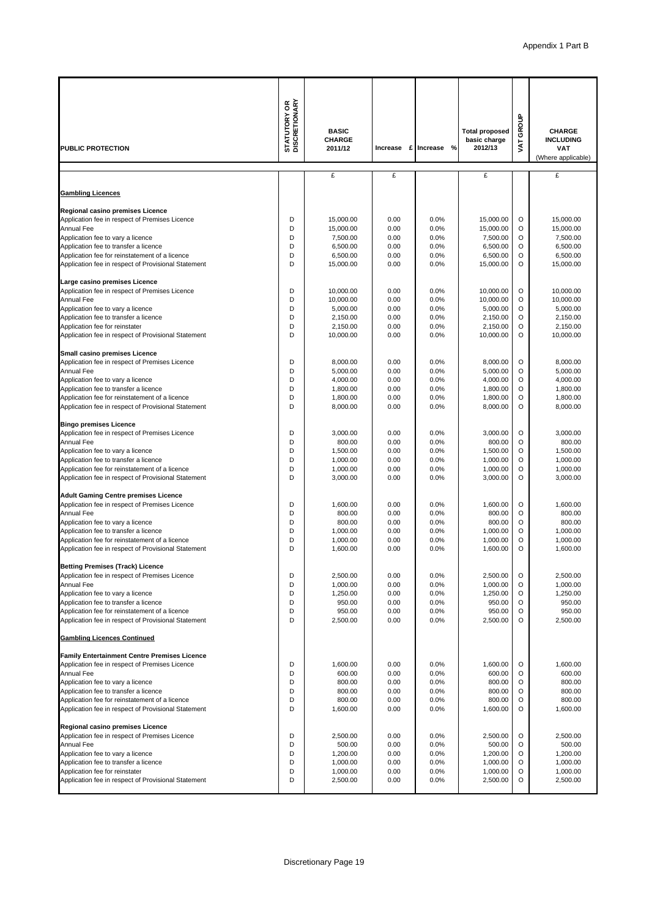|                                                                                                       | <b>STATUTORY OR<br/>DISCRETIONARY</b> |                               |               |               |                                       | ≞            |                                   |
|-------------------------------------------------------------------------------------------------------|---------------------------------------|-------------------------------|---------------|---------------|---------------------------------------|--------------|-----------------------------------|
|                                                                                                       |                                       | <b>BASIC</b><br><b>CHARGE</b> |               |               | <b>Total proposed</b><br>basic charge | GROU         | <b>CHARGE</b><br><b>INCLUDING</b> |
| <b>PUBLIC PROTECTION</b>                                                                              |                                       | 2011/12                       | £<br>Increase | Increase<br>% | 2012/13                               | <b>TAV</b>   | <b>VAT</b><br>(Where applicable)  |
|                                                                                                       |                                       |                               |               |               |                                       |              |                                   |
|                                                                                                       |                                       | £                             | £             |               | £                                     |              | £                                 |
| <b>Gambling Licences</b>                                                                              |                                       |                               |               |               |                                       |              |                                   |
| Regional casino premises Licence                                                                      |                                       |                               |               |               |                                       |              |                                   |
| Application fee in respect of Premises Licence<br><b>Annual Fee</b>                                   | D<br>D                                | 15,000.00<br>15,000.00        | 0.00<br>0.00  | 0.0%<br>0.0%  | 15,000.00<br>15,000.00                | O<br>O       | 15,000.00<br>15,000.00            |
| Application fee to vary a licence                                                                     | D                                     | 7,500.00                      | 0.00          | 0.0%          | 7,500.00                              | O            | 7,500.00                          |
| Application fee to transfer a licence                                                                 | D                                     | 6,500.00                      | 0.00          | 0.0%          | 6,500.00                              | O            | 6,500.00                          |
| Application fee for reinstatement of a licence<br>Application fee in respect of Provisional Statement | D<br>D                                | 6,500.00<br>15,000.00         | 0.00<br>0.00  | 0.0%<br>0.0%  | 6,500.00<br>15,000.00                 | O<br>O       | 6,500.00<br>15,000.00             |
|                                                                                                       |                                       |                               |               |               |                                       |              |                                   |
| Large casino premises Licence<br>Application fee in respect of Premises Licence                       | D                                     | 10.000.00                     | 0.00          | 0.0%          | 10,000.00                             | O            | 10,000.00                         |
| <b>Annual Fee</b>                                                                                     | D                                     | 10,000.00                     | 0.00          | 0.0%          | 10,000.00                             | O            | 10,000.00                         |
| Application fee to vary a licence<br>Application fee to transfer a licence                            | D<br>D                                | 5,000.00<br>2.150.00          | 0.00<br>0.00  | 0.0%<br>0.0%  | 5,000.00<br>2,150.00                  | O<br>O       | 5,000.00<br>2,150.00              |
| Application fee for reinstater                                                                        | D                                     | 2,150.00                      | 0.00          | 0.0%          | 2,150.00                              | O            | 2,150.00                          |
| Application fee in respect of Provisional Statement                                                   | D                                     | 10,000.00                     | 0.00          | 0.0%          | 10,000.00                             | $\circ$      | 10,000.00                         |
| Small casino premises Licence                                                                         |                                       |                               |               |               |                                       |              |                                   |
| Application fee in respect of Premises Licence                                                        | D                                     | 8,000.00                      | 0.00          | 0.0%          | 8,000.00                              | O            | 8.000.00                          |
| <b>Annual Fee</b><br>Application fee to vary a licence                                                | D<br>D                                | 5,000.00<br>4,000.00          | 0.00<br>0.00  | 0.0%<br>0.0%  | 5,000.00<br>4,000.00                  | O<br>O       | 5,000.00<br>4,000.00              |
| Application fee to transfer a licence                                                                 | D                                     | 1,800.00                      | 0.00          | 0.0%          | 1,800.00                              | O            | 1,800.00                          |
| Application fee for reinstatement of a licence                                                        | D                                     | 1,800.00                      | 0.00          | 0.0%          | 1,800.00                              | O            | 1,800.00                          |
| Application fee in respect of Provisional Statement                                                   | D                                     | 8,000.00                      | 0.00          | 0.0%          | 8,000.00                              | O            | 8,000.00                          |
| <b>Bingo premises Licence</b>                                                                         |                                       |                               |               |               |                                       |              |                                   |
| Application fee in respect of Premises Licence<br>Annual Fee                                          | D<br>D                                | 3,000.00<br>800.00            | 0.00<br>0.00  | 0.0%<br>0.0%  | 3,000.00<br>800.00                    | O<br>O       | 3,000.00<br>800.00                |
| Application fee to vary a licence                                                                     | D                                     | 1,500.00                      | 0.00          | 0.0%          | 1,500.00                              | O            | 1,500.00                          |
| Application fee to transfer a licence                                                                 | D                                     | 1,000.00                      | 0.00          | 0.0%          | 1,000.00                              | $\circ$      | 1,000.00                          |
| Application fee for reinstatement of a licence                                                        | D<br>D                                | 1,000.00                      | 0.00          | 0.0%          | 1,000.00                              | O<br>$\circ$ | 1,000.00                          |
| Application fee in respect of Provisional Statement                                                   |                                       | 3,000.00                      | 0.00          | 0.0%          | 3,000.00                              |              | 3,000.00                          |
| <b>Adult Gaming Centre premises Licence</b>                                                           | D                                     |                               | 0.00          |               |                                       |              |                                   |
| Application fee in respect of Premises Licence<br>Annual Fee                                          | D                                     | 1,600.00<br>800.00            | 0.00          | 0.0%<br>0.0%  | 1,600.00<br>800.00                    | O<br>O       | 1,600.00<br>800.00                |
| Application fee to vary a licence                                                                     | D                                     | 800.00                        | 0.00          | 0.0%          | 800.00                                | O            | 800.00                            |
| Application fee to transfer a licence                                                                 | D                                     | 1,000.00                      | 0.00          | 0.0%          | 1,000.00                              | O            | 1,000.00                          |
| Application fee for reinstatement of a licence<br>Application fee in respect of Provisional Statement | D<br>D                                | 1,000.00<br>1,600.00          | 0.00<br>0.00  | 0.0%<br>0.0%  | 1,000.00<br>1,600.00                  | O<br>O       | 1,000.00<br>1,600.00              |
|                                                                                                       |                                       |                               |               |               |                                       |              |                                   |
| <b>Betting Premises (Track) Licence</b><br>Application fee in respect of Premises Licence             | D                                     | 2,500.00                      | 0.00          | 0.0%          | 2,500.00                              | O            | 2,500.00                          |
| Annual Fee                                                                                            | D                                     | 1,000.00                      | 0.00          | 0.0%          | 1,000.00                              | O            | 1,000.00                          |
| Application fee to vary a licence                                                                     | D                                     | 1,250.00                      | 0.00          | 0.0%          | 1,250.00                              | O            | 1,250.00                          |
| Application fee to transfer a licence<br>Application fee for reinstatement of a licence               | D<br>D                                | 950.00<br>950.00              | 0.00<br>0.00  | 0.0%<br>0.0%  | 950.00<br>950.00                      | O<br>O       | 950.00<br>950.00                  |
| Application fee in respect of Provisional Statement                                                   | D                                     | 2,500.00                      | 0.00          | 0.0%          | 2,500.00                              | O            | 2,500.00                          |
| <b>Gambling Licences Continued</b>                                                                    |                                       |                               |               |               |                                       |              |                                   |
| <b>Family Entertainment Centre Premises Licence</b>                                                   |                                       |                               |               |               |                                       |              |                                   |
| Application fee in respect of Premises Licence                                                        | D<br>D                                | 1,600.00                      | 0.00          | 0.0%          | 1,600.00                              | O<br>O       | 1,600.00                          |
| <b>Annual Fee</b><br>Application fee to vary a licence                                                | D                                     | 600.00<br>800.00              | 0.00<br>0.00  | 0.0%<br>0.0%  | 600.00<br>800.00                      | O            | 600.00<br>800.00                  |
| Application fee to transfer a licence                                                                 | D                                     | 800.00                        | 0.00          | 0.0%          | 800.00                                | O            | 800.00                            |
| Application fee for reinstatement of a licence<br>Application fee in respect of Provisional Statement | D<br>D                                | 800.00<br>1,600.00            | 0.00<br>0.00  | 0.0%<br>0.0%  | 800.00<br>1,600.00                    | O<br>O       | 800.00<br>1,600.00                |
|                                                                                                       |                                       |                               |               |               |                                       |              |                                   |
| Regional casino premises Licence<br>Application fee in respect of Premises Licence                    | D                                     | 2,500.00                      | 0.00          | 0.0%          | 2,500.00                              | O            | 2,500.00                          |
| Annual Fee                                                                                            | D                                     | 500.00                        | 0.00          | 0.0%          | 500.00                                | O            | 500.00                            |
| Application fee to vary a licence<br>Application fee to transfer a licence                            | D<br>D                                | 1,200.00<br>1,000.00          | 0.00<br>0.00  | 0.0%<br>0.0%  | 1,200.00<br>1,000.00                  | O<br>O       | 1,200.00<br>1,000.00              |
| Application fee for reinstater                                                                        | D                                     | 1,000.00                      | 0.00          | 0.0%          | 1,000.00                              | O            | 1,000.00                          |
| Application fee in respect of Provisional Statement                                                   | D                                     | 2,500.00                      | 0.00          | 0.0%          | 2,500.00                              | O            | 2,500.00                          |
|                                                                                                       |                                       |                               |               |               |                                       |              |                                   |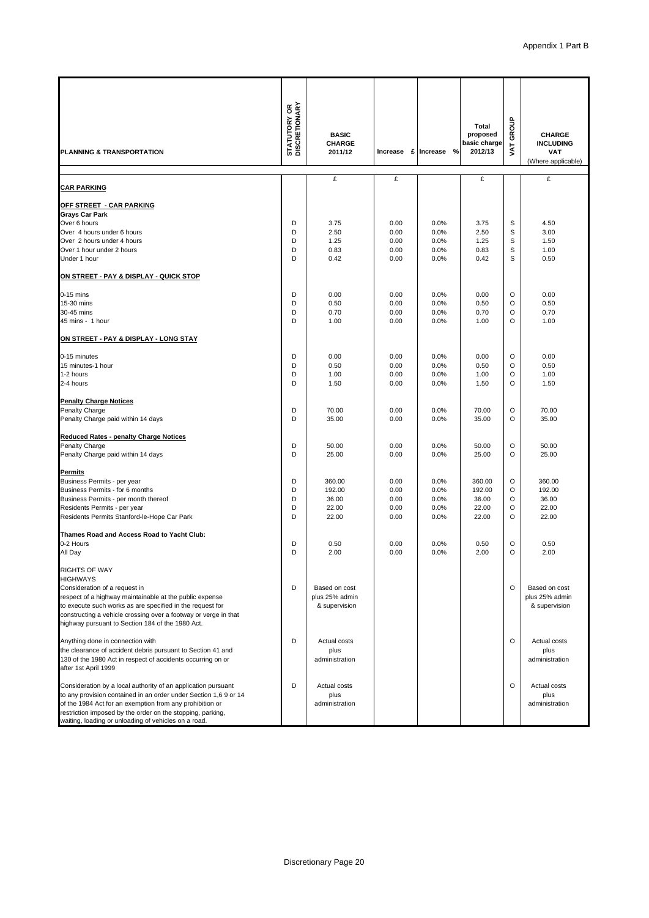| <b>PLANNING &amp; TRANSPORTATION</b>                                                                                                                                                                                                                                                                                    | <b>STATUTORY OR</b><br>DISCRETIONARY | <b>BASIC</b><br><b>CHARGE</b><br>2011/12         | Increase £ Increase                  | %                                    | Total<br>proposed<br>basic charge<br>2012/13 | GROUP<br>ŢΨ                 | CHARGE<br><b>INCLUDING</b><br><b>VAT</b><br>(Where applicable) |
|-------------------------------------------------------------------------------------------------------------------------------------------------------------------------------------------------------------------------------------------------------------------------------------------------------------------------|--------------------------------------|--------------------------------------------------|--------------------------------------|--------------------------------------|----------------------------------------------|-----------------------------|----------------------------------------------------------------|
|                                                                                                                                                                                                                                                                                                                         |                                      | £                                                | £                                    |                                      | £                                            |                             | £                                                              |
| <b>CAR PARKING</b>                                                                                                                                                                                                                                                                                                      |                                      |                                                  |                                      |                                      |                                              |                             |                                                                |
| OFF STREET - CAR PARKING<br><b>Grays Car Park</b><br>Over 6 hours<br>Over 4 hours under 6 hours<br>Over 2 hours under 4 hours<br>Over 1 hour under 2 hours<br>Under 1 hour                                                                                                                                              | D<br>D<br>D<br>D<br>D                | 3.75<br>2.50<br>1.25<br>0.83<br>0.42             | 0.00<br>0.00<br>0.00<br>0.00<br>0.00 | 0.0%<br>0.0%<br>0.0%<br>0.0%<br>0.0% | 3.75<br>2.50<br>1.25<br>0.83<br>0.42         | S<br>S<br>S<br>S<br>S       | 4.50<br>3.00<br>1.50<br>1.00<br>0.50                           |
| ON STREET - PAY & DISPLAY - QUICK STOP                                                                                                                                                                                                                                                                                  |                                      |                                                  |                                      |                                      |                                              |                             |                                                                |
| $0-15$ mins<br>15-30 mins<br>30-45 mins<br>45 mins - 1 hour                                                                                                                                                                                                                                                             | D<br>D<br>D<br>D                     | 0.00<br>0.50<br>0.70<br>1.00                     | 0.00<br>0.00<br>0.00<br>0.00         | 0.0%<br>0.0%<br>0.0%<br>0.0%         | 0.00<br>0.50<br>0.70<br>1.00                 | O<br>$\circ$<br>O<br>O      | 0.00<br>0.50<br>0.70<br>1.00                                   |
| ON STREET - PAY & DISPLAY - LONG STAY                                                                                                                                                                                                                                                                                   |                                      |                                                  |                                      |                                      |                                              |                             |                                                                |
| 0-15 minutes<br>15 minutes-1 hour<br>1-2 hours<br>2-4 hours                                                                                                                                                                                                                                                             | D<br>D<br>D<br>D                     | 0.00<br>0.50<br>1.00<br>1.50                     | 0.00<br>0.00<br>0.00<br>0.00         | 0.0%<br>0.0%<br>0.0%<br>0.0%         | 0.00<br>0.50<br>1.00<br>1.50                 | O<br>O<br>O<br>O            | 0.00<br>0.50<br>1.00<br>1.50                                   |
| <b>Penalty Charge Notices</b>                                                                                                                                                                                                                                                                                           |                                      |                                                  |                                      |                                      |                                              |                             |                                                                |
| Penalty Charge<br>Penalty Charge paid within 14 days                                                                                                                                                                                                                                                                    | D<br>D                               | 70.00<br>35.00                                   | 0.00<br>0.00                         | 0.0%<br>0.0%                         | 70.00<br>35.00                               | O<br>O                      | 70.00<br>35.00                                                 |
| <b>Reduced Rates - penalty Charge Notices</b><br>Penalty Charge<br>Penalty Charge paid within 14 days                                                                                                                                                                                                                   | D<br>D                               | 50.00<br>25.00                                   | 0.00<br>0.00                         | 0.0%<br>0.0%                         | 50.00<br>25.00                               | O<br>O                      | 50.00<br>25.00                                                 |
| <b>Permits</b><br>Business Permits - per year<br>Business Permits - for 6 months<br>Business Permits - per month thereof<br>Residents Permits - per year<br>Residents Permits Stanford-le-Hope Car Park                                                                                                                 | D<br>D<br>D<br>D<br>D                | 360.00<br>192.00<br>36.00<br>22.00<br>22.00      | 0.00<br>0.00<br>0.00<br>0.00<br>0.00 | 0.0%<br>0.0%<br>0.0%<br>0.0%<br>0.0% | 360.00<br>192.00<br>36.00<br>22.00<br>22.00  | O<br>$\circ$<br>O<br>O<br>O | 360.00<br>192.00<br>36.00<br>22.00<br>22.00                    |
| Thames Road and Access Road to Yacht Club:<br>0-2 Hours<br>All Day                                                                                                                                                                                                                                                      | D<br>D                               | 0.50<br>2.00                                     | 0.00<br>0.00                         | 0.0%<br>0.0%                         | 0.50<br>2.00                                 | O<br>O                      | 0.50<br>2.00                                                   |
| <b>RIGHTS OF WAY</b><br><b>HIGHWAYS</b><br>Consideration of a request in<br>respect of a highway maintainable at the public expense<br>to execute such works as are specified in the request for<br>constructing a vehicle crossing over a footway or verge in that<br>highway pursuant to Section 184 of the 1980 Act. | D                                    | Based on cost<br>plus 25% admin<br>& supervision |                                      |                                      |                                              | O                           | Based on cost<br>plus 25% admin<br>& supervision               |
| Anything done in connection with<br>the clearance of accident debris pursuant to Section 41 and<br>130 of the 1980 Act in respect of accidents occurring on or<br>after 1st April 1999                                                                                                                                  | D                                    | Actual costs<br>plus<br>administration           |                                      |                                      |                                              | O                           | Actual costs<br>plus<br>administration                         |
| Consideration by a local authority of an application pursuant<br>to any provision contained in an order under Section 1,6 9 or 14<br>of the 1984 Act for an exemption from any prohibition or<br>restriction imposed by the order on the stopping, parking,<br>waiting, loading or unloading of vehicles on a road.     | D                                    | Actual costs<br>plus<br>administration           |                                      |                                      |                                              | $\circ$                     | Actual costs<br>plus<br>administration                         |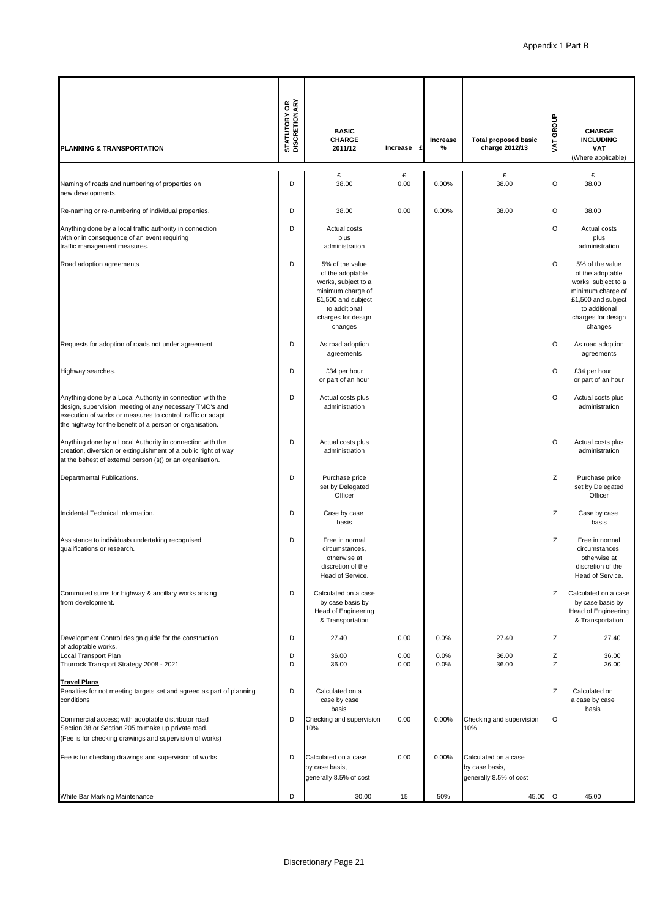| <b>PLANNING &amp; TRANSPORTATION</b>                                                                                                                                                                                                           | <b>STATUTORY OR<br/>DISCRETIONARY</b> | <b>BASIC</b><br><b>CHARGE</b><br>2011/12                                                                                                                | Increase £   | Increase<br>% | <b>Total proposed basic</b><br>charge 2012/13                    | GROUP<br>VAT. | CHARGE<br><b>INCLUDING</b><br>VAT                                                                                                                       |
|------------------------------------------------------------------------------------------------------------------------------------------------------------------------------------------------------------------------------------------------|---------------------------------------|---------------------------------------------------------------------------------------------------------------------------------------------------------|--------------|---------------|------------------------------------------------------------------|---------------|---------------------------------------------------------------------------------------------------------------------------------------------------------|
|                                                                                                                                                                                                                                                |                                       |                                                                                                                                                         |              |               |                                                                  |               | (Where applicable)                                                                                                                                      |
| Naming of roads and numbering of properties on<br>new developments.                                                                                                                                                                            | D                                     | £<br>38.00                                                                                                                                              | £<br>0.00    | 0.00%         | £<br>38.00                                                       | O             | £<br>38.00                                                                                                                                              |
| Re-naming or re-numbering of individual properties.                                                                                                                                                                                            | D                                     | 38.00                                                                                                                                                   | 0.00         | 0.00%         | 38.00                                                            | O             | 38.00                                                                                                                                                   |
| Anything done by a local traffic authority in connection<br>with or in consequence of an event requiring<br>traffic management measures.                                                                                                       | D                                     | Actual costs<br>plus<br>administration                                                                                                                  |              |               |                                                                  | O             | Actual costs<br>plus<br>administration                                                                                                                  |
| Road adoption agreements                                                                                                                                                                                                                       | D                                     | 5% of the value<br>of the adoptable<br>works, subject to a<br>minimum charge of<br>£1,500 and subject<br>to additional<br>charges for design<br>changes |              |               |                                                                  | $\circ$       | 5% of the value<br>of the adoptable<br>works, subject to a<br>minimum charge of<br>£1,500 and subject<br>to additional<br>charges for design<br>changes |
| Requests for adoption of roads not under agreement.                                                                                                                                                                                            | D                                     | As road adoption<br>agreements                                                                                                                          |              |               |                                                                  | O             | As road adoption<br>agreements                                                                                                                          |
| Highway searches.                                                                                                                                                                                                                              | D                                     | £34 per hour<br>or part of an hour                                                                                                                      |              |               |                                                                  | $\circ$       | £34 per hour<br>or part of an hour                                                                                                                      |
| Anything done by a Local Authority in connection with the<br>design, supervision, meeting of any necessary TMO's and<br>execution of works or measures to control traffic or adapt<br>the highway for the benefit of a person or organisation. | D                                     | Actual costs plus<br>administration                                                                                                                     |              |               |                                                                  | $\circ$       | Actual costs plus<br>administration                                                                                                                     |
| Anything done by a Local Authority in connection with the<br>creation, diversion or extinguishment of a public right of way<br>at the behest of external person (s)) or an organisation.                                                       | D                                     | Actual costs plus<br>administration                                                                                                                     |              |               |                                                                  | O             | Actual costs plus<br>administration                                                                                                                     |
| Departmental Publications.                                                                                                                                                                                                                     | D                                     | Purchase price<br>set by Delegated<br>Officer                                                                                                           |              |               |                                                                  | Z             | Purchase price<br>set by Delegated<br>Officer                                                                                                           |
| Incidental Technical Information.                                                                                                                                                                                                              | D                                     | Case by case<br>basis                                                                                                                                   |              |               |                                                                  | Ζ             | Case by case<br>basis                                                                                                                                   |
| Assistance to individuals undertaking recognised<br>qualifications or research.                                                                                                                                                                | D                                     | Free in normal<br>circumstances,<br>otherwise at<br>discretion of the<br>Head of Service.                                                               |              |               |                                                                  | Z             | Free in normal<br>circumstances.<br>otherwise at<br>discretion of the<br>Head of Service.                                                               |
| Commuted sums for highway & ancillary works arising<br>from development.                                                                                                                                                                       | D                                     | Calculated on a case<br>by case basis by<br>Head of Engineering<br>& Transportation                                                                     |              |               |                                                                  | Ζ             | Calculated on a case<br>by case basis by<br>Head of Engineering<br>& Transportation                                                                     |
| Development Control design guide for the construction<br>of adoptable works.                                                                                                                                                                   | D                                     | 27.40                                                                                                                                                   | 0.00         | 0.0%          | 27.40                                                            | Ζ             | 27.40                                                                                                                                                   |
| Local Transport Plan<br>Thurrock Transport Strategy 2008 - 2021                                                                                                                                                                                | D<br>D                                | 36.00<br>36.00                                                                                                                                          | 0.00<br>0.00 | 0.0%<br>0.0%  | 36.00<br>36.00                                                   | Ζ<br>Ζ        | 36.00<br>36.00                                                                                                                                          |
| <b>Travel Plans</b><br>Penalties for not meeting targets set and agreed as part of planning<br>conditions                                                                                                                                      | D                                     | Calculated on a<br>case by case<br>basis                                                                                                                |              |               |                                                                  | Z             | Calculated on<br>a case by case<br>basis                                                                                                                |
| Commercial access; with adoptable distributor road<br>Section 38 or Section 205 to make up private road.<br>(Fee is for checking drawings and supervision of works)                                                                            | D                                     | Checking and supervision<br>10%                                                                                                                         | 0.00         | 0.00%         | Checking and supervision<br>10%                                  | $\circ$       |                                                                                                                                                         |
| Fee is for checking drawings and supervision of works                                                                                                                                                                                          | D                                     | Calculated on a case<br>by case basis,<br>generally 8.5% of cost                                                                                        | 0.00         | 0.00%         | Calculated on a case<br>by case basis,<br>generally 8.5% of cost |               |                                                                                                                                                         |
| White Bar Marking Maintenance                                                                                                                                                                                                                  | D                                     | 30.00                                                                                                                                                   | 15           | 50%           | 45.00                                                            | $\circ$       | 45.00                                                                                                                                                   |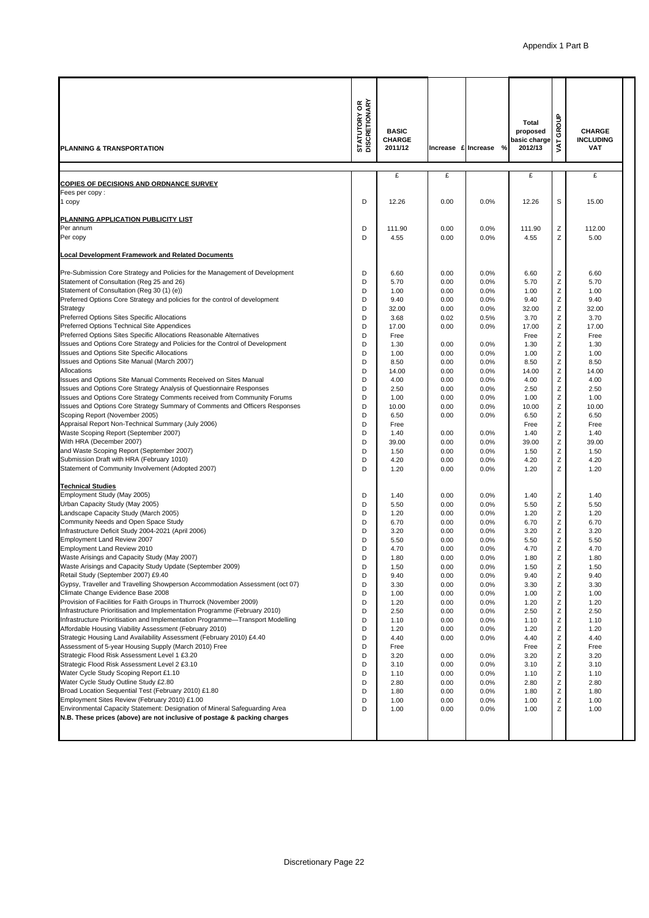| <b>PLANNING &amp; TRANSPORTATION</b>                                                                                                                         | <b>STATUTORY OR<br/>DISCRETIONARY</b> | <b>BASIC</b><br><b>CHARGE</b><br>2011/12 | Increase £ Increase | %            | Total<br>proposed<br>basic charge<br>2012/13 | GROUP<br><b>TY</b> | <b>CHARGE</b><br><b>INCLUDING</b><br><b>VAT</b> |
|--------------------------------------------------------------------------------------------------------------------------------------------------------------|---------------------------------------|------------------------------------------|---------------------|--------------|----------------------------------------------|--------------------|-------------------------------------------------|
|                                                                                                                                                              |                                       | £                                        | £                   |              | £                                            |                    | £                                               |
| <b>COPIES OF DECISIONS AND ORDNANCE SURVEY</b><br>Fees per copy :                                                                                            |                                       |                                          |                     |              |                                              |                    |                                                 |
| 1 copy                                                                                                                                                       | D                                     | 12.26                                    | 0.00                | 0.0%         | 12.26                                        | S                  | 15.00                                           |
|                                                                                                                                                              |                                       |                                          |                     |              |                                              |                    |                                                 |
| PLANNING APPLICATION PUBLICITY LIST<br>Per annum                                                                                                             | D                                     | 111.90                                   | 0.00                | 0.0%         | 111.90                                       | Ζ                  | 112.00                                          |
| Per copy                                                                                                                                                     | D                                     | 4.55                                     | 0.00                | 0.0%         | 4.55                                         | Ζ                  | 5.00                                            |
| <b>Local Development Framework and Related Documents</b>                                                                                                     |                                       |                                          |                     |              |                                              |                    |                                                 |
| Pre-Submission Core Strategy and Policies for the Management of Development                                                                                  | D                                     | 6.60                                     | 0.00                | 0.0%         | 6.60                                         | Ζ                  | 6.60                                            |
| Statement of Consultation (Reg 25 and 26)                                                                                                                    | D                                     | 5.70                                     | 0.00                | 0.0%         | 5.70                                         | Z                  | 5.70                                            |
| Statement of Consultation (Reg 30 (1) (e))                                                                                                                   | D                                     | 1.00                                     | 0.00                | 0.0%         | 1.00                                         | Z                  | 1.00                                            |
| Preferred Options Core Strategy and policies for the control of development                                                                                  | D                                     | 9.40                                     | 0.00                | 0.0%         | 9.40                                         | Z                  | 9.40                                            |
| Strategy                                                                                                                                                     | D                                     | 32.00                                    | 0.00                | 0.0%         | 32.00                                        | Z                  | 32.00                                           |
| Preferred Options Sites Specific Allocations<br>Preferred Options Technical Site Appendices                                                                  | D<br>D                                | 3.68<br>17.00                            | 0.02<br>0.00        | 0.5%<br>0.0% | 3.70<br>17.00                                | Z<br>Z             | 3.70<br>17.00                                   |
| Preferred Options Sites Specific Allocations Reasonable Alternatives                                                                                         | D                                     | Free                                     |                     |              | Free                                         | Ζ                  | Free                                            |
| Issues and Options Core Strategy and Policies for the Control of Development                                                                                 | D                                     | 1.30                                     | 0.00                | 0.0%         | 1.30                                         | Ζ                  | 1.30                                            |
| <b>Issues and Options Site Specific Allocations</b>                                                                                                          | D                                     | 1.00                                     | 0.00                | 0.0%         | 1.00                                         | Z                  | 1.00                                            |
| Issues and Options Site Manual (March 2007)                                                                                                                  | D                                     | 8.50                                     | 0.00                | 0.0%         | 8.50                                         | Z                  | 8.50                                            |
| Allocations                                                                                                                                                  | D<br>D                                | 14.00                                    | 0.00                | 0.0%         | 14.00                                        | Z<br>Z             | 14.00                                           |
| Issues and Options Site Manual Comments Received on Sites Manual<br>Issues and Options Core Strategy Analysis of Questionnaire Responses                     | D                                     | 4.00<br>2.50                             | 0.00<br>0.00        | 0.0%<br>0.0% | 4.00<br>2.50                                 | Z                  | 4.00<br>2.50                                    |
| Issues and Options Core Strategy Comments received from Community Forums                                                                                     | D                                     | 1.00                                     | 0.00                | 0.0%         | 1.00                                         | Z                  | 1.00                                            |
| Issues and Options Core Strategy Summary of Comments and Officers Responses                                                                                  | D                                     | 10.00                                    | 0.00                | 0.0%         | 10.00                                        | Z                  | 10.00                                           |
| Scoping Report (November 2005)                                                                                                                               | D                                     | 6.50                                     | 0.00                | 0.0%         | 6.50                                         | Z                  | 6.50                                            |
| Appraisal Report Non-Technical Summary (July 2006)                                                                                                           | D                                     | Free                                     |                     |              | Free                                         | Z                  | Free                                            |
| Waste Scoping Report (September 2007)<br>With HRA (December 2007)                                                                                            | D<br>D                                | 1.40<br>39.00                            | 0.00<br>0.00        | 0.0%<br>0.0% | 1.40<br>39.00                                | Z<br>Z             | 1.40<br>39.00                                   |
| and Waste Scoping Report (September 2007)                                                                                                                    | D                                     | 1.50                                     | 0.00                | 0.0%         | 1.50                                         | Z                  | 1.50                                            |
| Submission Draft with HRA (February 1010)                                                                                                                    | D                                     | 4.20                                     | 0.00                | 0.0%         | 4.20                                         | Ζ                  | 4.20                                            |
| Statement of Community Involvement (Adopted 2007)                                                                                                            | D                                     | 1.20                                     | 0.00                | 0.0%         | 1.20                                         | Z                  | 1.20                                            |
| <b>Technical Studies</b>                                                                                                                                     |                                       |                                          |                     |              |                                              |                    |                                                 |
| Employment Study (May 2005)<br>Urban Capacity Study (May 2005)                                                                                               | D<br>D                                | 1.40<br>5.50                             | 0.00<br>0.00        | 0.0%<br>0.0% | 1.40<br>5.50                                 | Z<br>Z             | 1.40<br>5.50                                    |
| Landscape Capacity Study (March 2005)                                                                                                                        | D                                     | 1.20                                     | 0.00                | 0.0%         | 1.20                                         | Z                  | 1.20                                            |
| Community Needs and Open Space Study                                                                                                                         | D                                     | 6.70                                     | 0.00                | 0.0%         | 6.70                                         | Z                  | 6.70                                            |
| Infrastructure Deficit Study 2004-2021 (April 2006)                                                                                                          | D                                     | 3.20                                     | 0.00                | 0.0%         | 3.20                                         | Z                  | 3.20                                            |
| Employment Land Review 2007                                                                                                                                  | D                                     | 5.50                                     | 0.00                | 0.0%         | 5.50                                         | Z                  | 5.50                                            |
| <b>Employment Land Review 2010</b><br>Waste Arisings and Capacity Study (May 2007)                                                                           | D<br>D                                | 4.70                                     | 0.00<br>0.00        | 0.0%<br>0.0% | 4.70<br>1.80                                 | Z<br>Z             | 4.70                                            |
| Waste Arisings and Capacity Study Update (September 2009)                                                                                                    | D                                     | 1.80<br>1.50                             | 0.00                | $0.0\%$      | 1.50                                         | z                  | 1.80<br>1.50                                    |
| Retail Study (September 2007) £9.40                                                                                                                          | D                                     | 9.40                                     | 0.00                | 0.0%         | 9.40                                         | Z                  | 9.40                                            |
| Gypsy, Traveller and Travelling Showperson Accommodation Assessment (oct 07)                                                                                 | D                                     | 3.30                                     | 0.00                | 0.0%         | 3.30                                         | Ζ                  | 3.30                                            |
| Climate Change Evidence Base 2008                                                                                                                            | D                                     | 1.00                                     | 0.00                | 0.0%         | 1.00                                         | Ζ                  | 1.00                                            |
| Provision of Facilities for Faith Groups in Thurrock (November 2009)                                                                                         | D                                     | 1.20                                     | 0.00                | 0.0%         | 1.20                                         | Ζ                  | 1.20                                            |
| Infrastructure Prioritisation and Implementation Programme (February 2010)<br>Infrastructure Prioritisation and Implementation Programme-Transport Modelling | D<br>D                                | 2.50<br>1.10                             | 0.00<br>0.00        | 0.0%<br>0.0% | 2.50<br>1.10                                 | Ζ<br>Ζ             | 2.50<br>1.10                                    |
| Affordable Housing Viability Assessment (February 2010)                                                                                                      | D                                     | 1.20                                     | 0.00                | 0.0%         | 1.20                                         | Ζ                  | 1.20                                            |
| Strategic Housing Land Availability Assessment (February 2010) £4.40                                                                                         | D                                     | 4.40                                     | 0.00                | 0.0%         | 4.40                                         | Ζ                  | 4.40                                            |
| Assessment of 5-year Housing Supply (March 2010) Free                                                                                                        | D                                     | Free                                     |                     |              | Free                                         | Ζ                  | Free                                            |
| Strategic Flood Risk Assessment Level 1 £3.20                                                                                                                | D                                     | 3.20                                     | 0.00                | 0.0%         | 3.20                                         | Ζ                  | 3.20                                            |
| Strategic Flood Risk Assessment Level 2 £3.10<br>Water Cycle Study Scoping Report £1.10                                                                      | D<br>D                                | 3.10<br>1.10                             | 0.00<br>0.00        | 0.0%<br>0.0% | 3.10<br>1.10                                 | Ζ<br>Z             | 3.10<br>1.10                                    |
| Water Cycle Study Outline Study £2.80                                                                                                                        | D                                     | 2.80                                     | 0.00                | 0.0%         | 2.80                                         | Ζ                  | 2.80                                            |
| Broad Location Sequential Test (February 2010) £1.80                                                                                                         | D                                     | 1.80                                     | 0.00                | 0.0%         | 1.80                                         | Ζ                  | 1.80                                            |
| Employment Sites Review (February 2010) £1.00                                                                                                                | D                                     | 1.00                                     | 0.00                | 0.0%         | 1.00                                         | Ζ                  | 1.00                                            |
| Environmental Capacity Statement: Designation of Mineral Safeguarding Area                                                                                   | D                                     | 1.00                                     | 0.00                | 0.0%         | 1.00                                         | Z                  | 1.00                                            |
| N.B. These prices (above) are not inclusive of postage & packing charges                                                                                     |                                       |                                          |                     |              |                                              |                    |                                                 |
|                                                                                                                                                              |                                       |                                          |                     |              |                                              |                    |                                                 |
|                                                                                                                                                              |                                       |                                          |                     |              |                                              |                    |                                                 |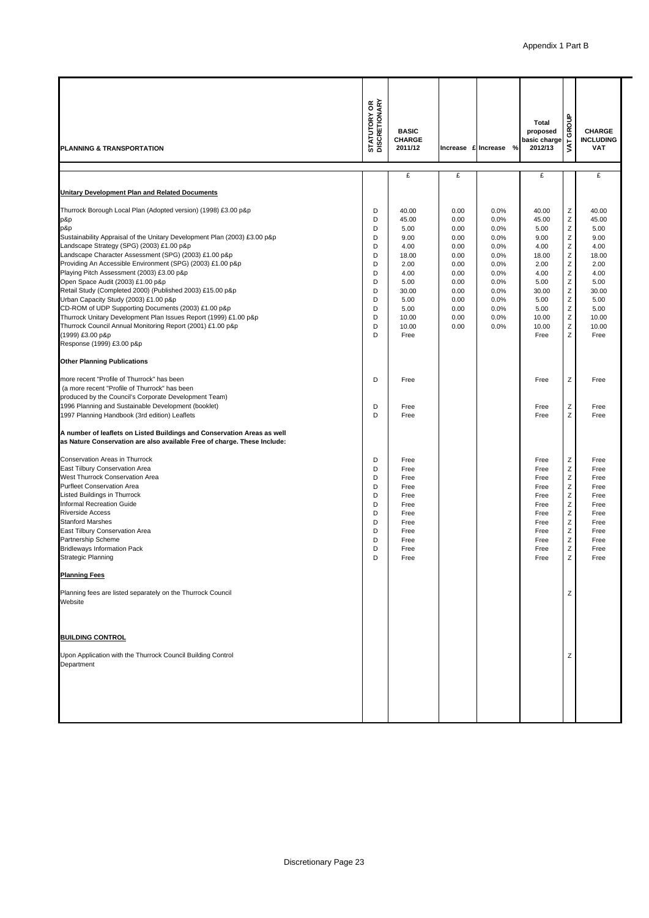|                                                                                                                                                     | <b>STATUTORY OR<br/>DISCRETIONARY</b> |               |                     |      |              |           |                  |
|-----------------------------------------------------------------------------------------------------------------------------------------------------|---------------------------------------|---------------|---------------------|------|--------------|-----------|------------------|
|                                                                                                                                                     |                                       |               |                     |      | Total        |           |                  |
|                                                                                                                                                     |                                       | <b>BASIC</b>  |                     |      | proposed     |           | <b>CHARGE</b>    |
|                                                                                                                                                     |                                       | <b>CHARGE</b> |                     |      | basic charge | VAT GROUP | <b>INCLUDING</b> |
| PLANNING & TRANSPORTATION                                                                                                                           |                                       | 2011/12       | Increase £ Increase | %    | 2012/13      |           | VAT              |
|                                                                                                                                                     |                                       |               |                     |      |              |           |                  |
|                                                                                                                                                     |                                       | £             | £                   |      | £            |           | £                |
| Unitary Development Plan and Related Documents                                                                                                      |                                       |               |                     |      |              |           |                  |
| Thurrock Borough Local Plan (Adopted version) (1998) £3.00 p&p                                                                                      | D                                     | 40.00         | 0.00                | 0.0% | 40.00        | Ζ         | 40.00            |
| p&p                                                                                                                                                 | D                                     | 45.00         | 0.00                | 0.0% | 45.00        | Ζ         | 45.00            |
| p&p                                                                                                                                                 | D                                     | 5.00          | 0.00                | 0.0% | 5.00         | Z         | 5.00             |
| Sustainability Appraisal of the Unitary Development Plan (2003) £3.00 p&p                                                                           | D                                     | 9.00          | 0.00                | 0.0% | 9.00         | Z         | 9.00             |
| Landscape Strategy (SPG) (2003) £1.00 p&p                                                                                                           | D                                     | 4.00          | 0.00                | 0.0% | 4.00         | Ζ         | 4.00             |
| Landscape Character Assessment (SPG) (2003) £1.00 p&p                                                                                               | D                                     | 18.00         | 0.00                | 0.0% | 18.00        | Z         | 18.00            |
| Providing An Accessible Environment (SPG) (2003) £1.00 p&p                                                                                          | D                                     | 2.00          | 0.00                | 0.0% | 2.00         | Ζ         | 2.00             |
| Playing Pitch Assessment (2003) £3.00 p&p                                                                                                           | D                                     | 4.00          | 0.00                | 0.0% | 4.00         | Z         | 4.00             |
| Open Space Audit (2003) £1.00 p&p                                                                                                                   | D                                     | 5.00          | 0.00                | 0.0% | 5.00         | Ζ         | 5.00             |
| Retail Study (Completed 2000) (Published 2003) £15.00 p&p                                                                                           | D                                     | 30.00         | 0.00                | 0.0% | 30.00        | Z         | 30.00            |
| Urban Capacity Study (2003) £1.00 p&p                                                                                                               | D                                     | 5.00          | 0.00                | 0.0% | 5.00         | Ζ         | 5.00             |
| CD-ROM of UDP Supporting Documents (2003) £1.00 p&p                                                                                                 | D                                     | 5.00          | 0.00                | 0.0% | 5.00         | Z         | 5.00             |
| Thurrock Unitary Development Plan Issues Report (1999) £1.00 p&p                                                                                    | D                                     | 10.00         | 0.00                | 0.0% | 10.00        | Ζ         | 10.00            |
| Thurrock Council Annual Monitoring Report (2001) £1.00 p&p                                                                                          | D                                     | 10.00         | 0.00                | 0.0% | 10.00        | Z         | 10.00            |
| (1999) £3.00 p&p                                                                                                                                    | D                                     | Free          |                     |      | Free         | Ζ         | Free             |
| Response (1999) £3.00 p&p                                                                                                                           |                                       |               |                     |      |              |           |                  |
| <b>Other Planning Publications</b>                                                                                                                  |                                       |               |                     |      |              |           |                  |
| more recent "Profile of Thurrock" has been                                                                                                          | D                                     | Free          |                     |      | Free         | Z         | Free             |
| (a more recent "Profile of Thurrock" has been                                                                                                       |                                       |               |                     |      |              |           |                  |
| produced by the Council's Corporate Development Team)                                                                                               |                                       |               |                     |      |              |           |                  |
| 1996 Planning and Sustainable Development (booklet)                                                                                                 | D                                     | Free          |                     |      | Free         | Ζ         | Free             |
| 1997 Planning Handbook (3rd edition) Leaflets                                                                                                       | D                                     | Free          |                     |      | Free         | Z         | Free             |
| A number of leaflets on Listed Buildings and Conservation Areas as well<br>as Nature Conservation are also available Free of charge. These Include: |                                       |               |                     |      |              |           |                  |
| Conservation Areas in Thurrock                                                                                                                      | D                                     | Free          |                     |      | Free         | Z         | Free             |
| East Tilbury Conservation Area                                                                                                                      | D                                     | Free          |                     |      | Free         | Ζ         | Free             |
| West Thurrock Conservation Area                                                                                                                     | D                                     | Free          |                     |      | Free         | Z         | Free             |
| <b>Purfleet Conservation Area</b>                                                                                                                   | D                                     | Free          |                     |      | Free         | Z         | Free             |
| Listed Buildings in Thurrock                                                                                                                        | D                                     | Free          |                     |      | Free         | Z         | Free             |
| Informal Recreation Guide                                                                                                                           | D                                     | Free          |                     |      | Free         | Ζ         | Free             |
| <b>Riverside Access</b>                                                                                                                             | D                                     | Free          |                     |      | Free         | Z         | Free             |
| <b>Stanford Marshes</b>                                                                                                                             | D                                     | Free          |                     |      | Free         | Ζ         | Free             |
| East Tilbury Conservation Area                                                                                                                      | D                                     | Free          |                     |      | Free         | Ζ         | Free             |
| Partnership Scheme                                                                                                                                  | D                                     | Free          |                     |      | Free         | Z         | Free             |
| <b>Bridleways Information Pack</b>                                                                                                                  | D                                     | Free          |                     |      | Free         | Z         | Free             |
| <b>Strategic Planning</b>                                                                                                                           | D                                     | Free          |                     |      | Free         | Z         | Free             |
| <b>Planning Fees</b>                                                                                                                                |                                       |               |                     |      |              |           |                  |
| Planning fees are listed separately on the Thurrock Council                                                                                         |                                       |               |                     |      |              | Ζ         |                  |
| Website                                                                                                                                             |                                       |               |                     |      |              |           |                  |
|                                                                                                                                                     |                                       |               |                     |      |              |           |                  |
| <b>BUILDING CONTROL</b>                                                                                                                             |                                       |               |                     |      |              |           |                  |
| Upon Application with the Thurrock Council Building Control                                                                                         |                                       |               |                     |      |              | Ζ         |                  |
| Department                                                                                                                                          |                                       |               |                     |      |              |           |                  |
|                                                                                                                                                     |                                       |               |                     |      |              |           |                  |
|                                                                                                                                                     |                                       |               |                     |      |              |           |                  |
|                                                                                                                                                     |                                       |               |                     |      |              |           |                  |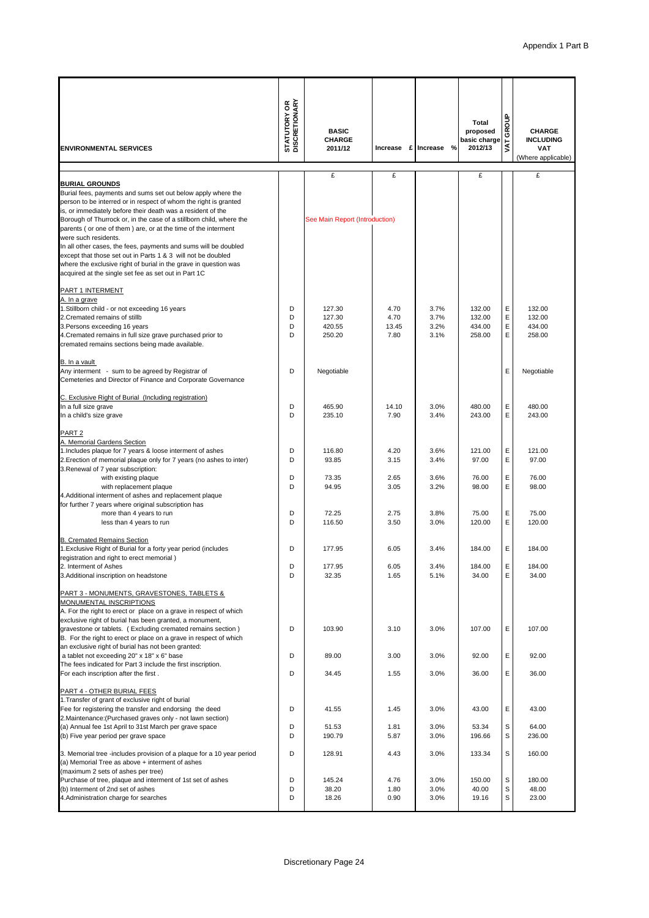| <b>ENVIRONMENTAL SERVICES</b>                                                                                                                                                                                                                                                                                                                                                                                                                                                                                                                                                                                                                           | <b>STATUTORY OR<br/>DISCRETIONARY</b> | <b>BASIC</b><br><b>CHARGE</b><br>2011/12 | Increase      | £ Increase<br>% | Total<br>proposed<br>basic charge<br>2012/13 | GROUP<br>Š | CHARGE<br><b>INCLUDING</b><br><b>VAT</b><br>(Where applicable) |
|---------------------------------------------------------------------------------------------------------------------------------------------------------------------------------------------------------------------------------------------------------------------------------------------------------------------------------------------------------------------------------------------------------------------------------------------------------------------------------------------------------------------------------------------------------------------------------------------------------------------------------------------------------|---------------------------------------|------------------------------------------|---------------|-----------------|----------------------------------------------|------------|----------------------------------------------------------------|
|                                                                                                                                                                                                                                                                                                                                                                                                                                                                                                                                                                                                                                                         |                                       | £                                        | £             |                 | £                                            |            | £                                                              |
| <b>BURIAL GROUNDS</b><br>Burial fees, payments and sums set out below apply where the<br>person to be interred or in respect of whom the right is granted<br>is, or immediately before their death was a resident of the<br>Borough of Thurrock or, in the case of a stillborn child, where the<br>parents (or one of them) are, or at the time of the interment<br>were such residents.<br>In all other cases, the fees, payments and sums will be doubled<br>except that those set out in Parts 1 & 3 will not be doubled<br>where the exclusive right of burial in the grave in question was<br>acquired at the single set fee as set out in Part 1C |                                       | See Main Report (Introduction)           |               |                 |                                              |            |                                                                |
| <b>PART 1 INTERMENT</b>                                                                                                                                                                                                                                                                                                                                                                                                                                                                                                                                                                                                                                 |                                       |                                          |               |                 |                                              |            |                                                                |
| A. In a grave<br>1. Stillborn child - or not exceeding 16 years                                                                                                                                                                                                                                                                                                                                                                                                                                                                                                                                                                                         | D                                     | 127.30                                   | 4.70          | 3.7%            | 132.00                                       | Ε          | 132.00                                                         |
| 2. Cremated remains of stillb                                                                                                                                                                                                                                                                                                                                                                                                                                                                                                                                                                                                                           | D                                     | 127.30                                   | 4.70          | 3.7%            | 132.00                                       | Ε          | 132.00                                                         |
| 3. Persons exceeding 16 years<br>4. Cremated remains in full size grave purchased prior to<br>cremated remains sections being made available.                                                                                                                                                                                                                                                                                                                                                                                                                                                                                                           | D<br>D                                | 420.55<br>250.20                         | 13.45<br>7.80 | 3.2%<br>3.1%    | 434.00<br>258.00                             | E<br>E     | 434.00<br>258.00                                               |
| B. In a vault                                                                                                                                                                                                                                                                                                                                                                                                                                                                                                                                                                                                                                           |                                       |                                          |               |                 |                                              |            |                                                                |
| Any interment - sum to be agreed by Registrar of<br>Cemeteries and Director of Finance and Corporate Governance                                                                                                                                                                                                                                                                                                                                                                                                                                                                                                                                         | D                                     | Negotiable                               |               |                 |                                              | Ε          | Negotiable                                                     |
| C. Exclusive Right of Burial (Including registration)                                                                                                                                                                                                                                                                                                                                                                                                                                                                                                                                                                                                   |                                       |                                          |               |                 |                                              |            |                                                                |
| In a full size grave<br>In a child's size grave                                                                                                                                                                                                                                                                                                                                                                                                                                                                                                                                                                                                         | D<br>D                                | 465.90<br>235.10                         | 14.10<br>7.90 | 3.0%<br>3.4%    | 480.00<br>243.00                             | Ε<br>E     | 480.00<br>243.00                                               |
| PART <sub>2</sub>                                                                                                                                                                                                                                                                                                                                                                                                                                                                                                                                                                                                                                       |                                       |                                          |               |                 |                                              |            |                                                                |
| A. Memorial Gardens Section<br>1. Includes plaque for 7 years & loose interment of ashes                                                                                                                                                                                                                                                                                                                                                                                                                                                                                                                                                                | D                                     | 116.80                                   | 4.20          | 3.6%            | 121.00                                       | Ε          | 121.00                                                         |
| 2. Erection of memorial plaque only for 7 years (no ashes to inter)                                                                                                                                                                                                                                                                                                                                                                                                                                                                                                                                                                                     | D                                     | 93.85                                    | 3.15          | 3.4%            | 97.00                                        | Е          | 97.00                                                          |
| 3. Renewal of 7 year subscription:                                                                                                                                                                                                                                                                                                                                                                                                                                                                                                                                                                                                                      |                                       |                                          |               |                 |                                              |            |                                                                |
| with existing plaque<br>with replacement plaque                                                                                                                                                                                                                                                                                                                                                                                                                                                                                                                                                                                                         | D<br>D                                | 73.35<br>94.95                           | 2.65<br>3.05  | 3.6%<br>3.2%    | 76.00<br>98.00                               | Ε<br>E     | 76.00<br>98.00                                                 |
| 4. Additional interment of ashes and replacement plaque                                                                                                                                                                                                                                                                                                                                                                                                                                                                                                                                                                                                 |                                       |                                          |               |                 |                                              |            |                                                                |
| for further 7 years where original subscription has                                                                                                                                                                                                                                                                                                                                                                                                                                                                                                                                                                                                     |                                       |                                          |               |                 |                                              |            |                                                                |
| more than 4 years to run<br>less than 4 years to run                                                                                                                                                                                                                                                                                                                                                                                                                                                                                                                                                                                                    | D<br>D                                | 72.25<br>116.50                          | 2.75<br>3.50  | 3.8%<br>3.0%    | 75.00<br>120.00                              | Ε<br>Ε     | 75.00<br>120.00                                                |
|                                                                                                                                                                                                                                                                                                                                                                                                                                                                                                                                                                                                                                                         |                                       |                                          |               |                 |                                              |            |                                                                |
| <b>B. Cremated Remains Section</b><br>1. Exclusive Right of Burial for a forty year period (includes                                                                                                                                                                                                                                                                                                                                                                                                                                                                                                                                                    | D                                     | 177.95                                   | 6.05          | 3.4%            | 184.00                                       | Е          | 184.00                                                         |
| registration and right to erect memorial)                                                                                                                                                                                                                                                                                                                                                                                                                                                                                                                                                                                                               |                                       |                                          |               |                 |                                              |            |                                                                |
| 2. Interment of Ashes                                                                                                                                                                                                                                                                                                                                                                                                                                                                                                                                                                                                                                   | D                                     | 177.95                                   | 6.05          | 3.4%            | 184.00                                       | Е          | 184.00                                                         |
| 3. Additional inscription on headstone                                                                                                                                                                                                                                                                                                                                                                                                                                                                                                                                                                                                                  | D                                     | 32.35                                    | 1.65          | 5.1%            | 34.00                                        | E          | 34.00                                                          |
| PART 3 - MONUMENTS, GRAVESTONES, TABLETS &<br>MONUMENTAL INSCRIPTIONS<br>A. For the right to erect or place on a grave in respect of which                                                                                                                                                                                                                                                                                                                                                                                                                                                                                                              |                                       |                                          |               |                 |                                              |            |                                                                |
| exclusive right of burial has been granted, a monument,<br>gravestone or tablets. (Excluding cremated remains section)<br>B. For the right to erect or place on a grave in respect of which                                                                                                                                                                                                                                                                                                                                                                                                                                                             | D                                     | 103.90                                   | 3.10          | 3.0%            | 107.00                                       | Ε          | 107.00                                                         |
| an exclusive right of burial has not been granted:<br>a tablet not exceeding 20" x 18" x 6" base                                                                                                                                                                                                                                                                                                                                                                                                                                                                                                                                                        | D                                     | 89.00                                    | 3.00          | 3.0%            | 92.00                                        | Е          | 92.00                                                          |
| The fees indicated for Part 3 include the first inscription.                                                                                                                                                                                                                                                                                                                                                                                                                                                                                                                                                                                            |                                       |                                          |               |                 |                                              |            |                                                                |
| For each inscription after the first.                                                                                                                                                                                                                                                                                                                                                                                                                                                                                                                                                                                                                   | D                                     | 34.45                                    | 1.55          | 3.0%            | 36.00                                        | Ε          | 36.00                                                          |
| PART 4 - OTHER BURIAL FEES<br>1. Transfer of grant of exclusive right of burial                                                                                                                                                                                                                                                                                                                                                                                                                                                                                                                                                                         |                                       |                                          |               |                 |                                              |            |                                                                |
| Fee for registering the transfer and endorsing the deed                                                                                                                                                                                                                                                                                                                                                                                                                                                                                                                                                                                                 | D                                     | 41.55                                    | 1.45          | 3.0%            | 43.00                                        | Ε          | 43.00                                                          |
| 2. Maintenance: (Purchased graves only - not lawn section)<br>(a) Annual fee 1st April to 31st March per grave space                                                                                                                                                                                                                                                                                                                                                                                                                                                                                                                                    | D                                     | 51.53                                    | 1.81          | 3.0%            | 53.34                                        | S          | 64.00                                                          |
| (b) Five year period per grave space                                                                                                                                                                                                                                                                                                                                                                                                                                                                                                                                                                                                                    | D                                     | 190.79                                   | 5.87          | 3.0%            | 196.66                                       | s          | 236.00                                                         |
| 3. Memorial tree -includes provision of a plaque for a 10 year period<br>(a) Memorial Tree as above + interment of ashes<br>(maximum 2 sets of ashes per tree)                                                                                                                                                                                                                                                                                                                                                                                                                                                                                          | D                                     | 128.91                                   | 4.43          | 3.0%            | 133.34                                       | S          | 160.00                                                         |
| Purchase of tree, plaque and interment of 1st set of ashes                                                                                                                                                                                                                                                                                                                                                                                                                                                                                                                                                                                              | D                                     | 145.24                                   | 4.76          | 3.0%            | 150.00                                       | S          | 180.00                                                         |
| (b) Interment of 2nd set of ashes                                                                                                                                                                                                                                                                                                                                                                                                                                                                                                                                                                                                                       | D                                     | 38.20                                    | 1.80          | 3.0%            | 40.00                                        | S          | 48.00                                                          |
| 4. Administration charge for searches                                                                                                                                                                                                                                                                                                                                                                                                                                                                                                                                                                                                                   | D                                     | 18.26                                    | 0.90          | 3.0%            | 19.16                                        | S          | 23.00                                                          |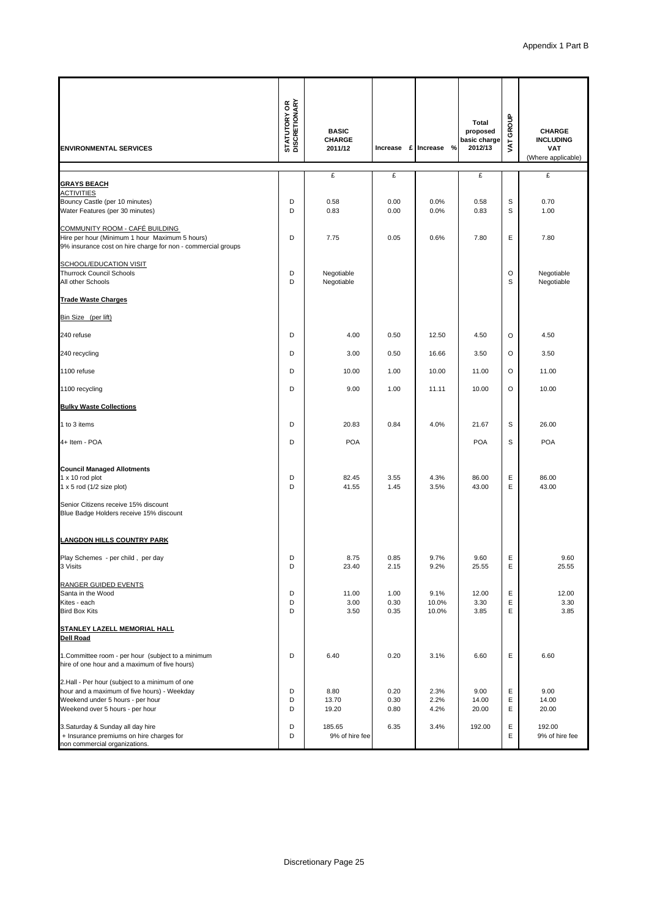| <b>ENVIRONMENTAL SERVICES</b>                                                                                                                    | <b>STATUTORY OR<br/>DISCRETIONARY</b> | <b>BASIC</b><br><b>CHARGE</b><br>2011/12 | Increase £ Increase  | %                      | Total<br>proposed<br>basic charge<br>2012/13 | GROUP<br><b>TYV</b> | CHARGE<br><b>INCLUDING</b><br>VAT<br>(Where applicable) |  |
|--------------------------------------------------------------------------------------------------------------------------------------------------|---------------------------------------|------------------------------------------|----------------------|------------------------|----------------------------------------------|---------------------|---------------------------------------------------------|--|
| <b>GRAYS BEACH</b>                                                                                                                               |                                       | £                                        | £                    |                        | £                                            |                     | £                                                       |  |
| <b>ACTIVITIES</b><br>Bouncy Castle (per 10 minutes)<br>Water Features (per 30 minutes)                                                           | D<br>D                                | 0.58<br>0.83                             | 0.00<br>0.00         | 0.0%<br>0.0%           | 0.58<br>0.83                                 | S<br>S              | 0.70<br>1.00                                            |  |
| COMMUNITY ROOM - CAFÉ BUILDING<br>Hire per hour (Minimum 1 hour Maximum 5 hours)<br>9% insurance cost on hire charge for non - commercial groups | D                                     | 7.75                                     | 0.05                 | 0.6%                   | 7.80                                         | Ε                   | 7.80                                                    |  |
| SCHOOL/EDUCATION VISIT<br><b>Thurrock Council Schools</b><br>All other Schools                                                                   | D<br>D                                | Negotiable<br>Negotiable                 |                      |                        |                                              | O<br>S              | Negotiable<br>Negotiable                                |  |
| <b>Trade Waste Charges</b>                                                                                                                       |                                       |                                          |                      |                        |                                              |                     |                                                         |  |
| Bin Size (per lift)                                                                                                                              |                                       |                                          |                      |                        |                                              |                     |                                                         |  |
| 240 refuse                                                                                                                                       | D                                     | 4.00                                     | 0.50                 | 12.50                  | 4.50                                         | O                   | 4.50                                                    |  |
| 240 recycling                                                                                                                                    | D                                     | 3.00                                     | 0.50                 | 16.66                  | 3.50                                         | O                   | 3.50                                                    |  |
| 1100 refuse                                                                                                                                      | D                                     | 10.00                                    | 1.00                 | 10.00                  | 11.00                                        | O                   | 11.00                                                   |  |
| 1100 recycling                                                                                                                                   | D                                     | 9.00                                     | 1.00                 | 11.11                  | 10.00                                        | O                   | 10.00                                                   |  |
| <b>Bulky Waste Collections</b>                                                                                                                   |                                       |                                          |                      |                        |                                              |                     |                                                         |  |
| 1 to 3 items                                                                                                                                     | D                                     | 20.83                                    | 0.84                 | 4.0%                   | 21.67                                        | S                   | 26.00                                                   |  |
| 4+ Item - POA                                                                                                                                    | D                                     | <b>POA</b>                               |                      |                        | <b>POA</b>                                   | S                   | <b>POA</b>                                              |  |
| <b>Council Managed Allotments</b><br>1 x 10 rod plot<br>$1 \times 5$ rod ( $1/2$ size plot)                                                      | D<br>D                                | 82.45<br>41.55                           | 3.55<br>1.45         | 4.3%<br>3.5%           | 86.00<br>43.00                               | Ε<br>Ε              | 86.00<br>43.00                                          |  |
| Senior Citizens receive 15% discount<br>Blue Badge Holders receive 15% discount                                                                  |                                       |                                          |                      |                        |                                              |                     |                                                         |  |
| <b>LANGDON HILLS COUNTRY PARK</b>                                                                                                                |                                       |                                          |                      |                        |                                              |                     |                                                         |  |
| Play Schemes - per child, per day<br>3 Visits                                                                                                    | D<br>D                                | 8.75<br>23.40                            | 0.85<br>2.15         | 9.7%<br>9.2%           | 9.60<br>25.55                                | Ε<br>Е              | 9.60<br>25.55                                           |  |
| RANGER GUIDED EVENTS<br>Santa in the Wood<br>Kites - each<br><b>Bird Box Kits</b>                                                                | D<br>D<br>D                           | 11.00<br>3.00<br>3.50                    | 1.00<br>0.30<br>0.35 | 9.1%<br>10.0%<br>10.0% | 12.00<br>3.30<br>3.85                        | Ε<br>Ε<br>Ε         | 12.00<br>3.30<br>3.85                                   |  |
| <b>STANLEY LAZELL MEMORIAL HALL</b><br><b>Dell Road</b>                                                                                          |                                       |                                          |                      |                        |                                              |                     |                                                         |  |
| 1. Committee room - per hour (subject to a minimum<br>hire of one hour and a maximum of five hours)                                              | D                                     | 6.40                                     | 0.20                 | 3.1%                   | 6.60                                         | Ε                   | 6.60                                                    |  |
| 2. Hall - Per hour (subject to a minimum of one                                                                                                  |                                       |                                          |                      |                        |                                              |                     |                                                         |  |
| hour and a maximum of five hours) - Weekday<br>Weekend under 5 hours - per hour                                                                  | D<br>D                                | 8.80<br>13.70                            | 0.20<br>0.30         | 2.3%<br>2.2%           | 9.00<br>14.00                                | Ε<br>Ε              | 9.00<br>14.00                                           |  |
| Weekend over 5 hours - per hour                                                                                                                  | D                                     | 19.20                                    | 0.80                 | 4.2%                   | 20.00                                        | Ε                   | 20.00                                                   |  |
| 3. Saturday & Sunday all day hire<br>+ Insurance premiums on hire charges for<br>non commercial organizations.                                   | D<br>D                                | 185.65<br>9% of hire fee                 | 6.35                 | 3.4%                   | 192.00                                       | Ε<br>Е              | 192.00<br>9% of hire fee                                |  |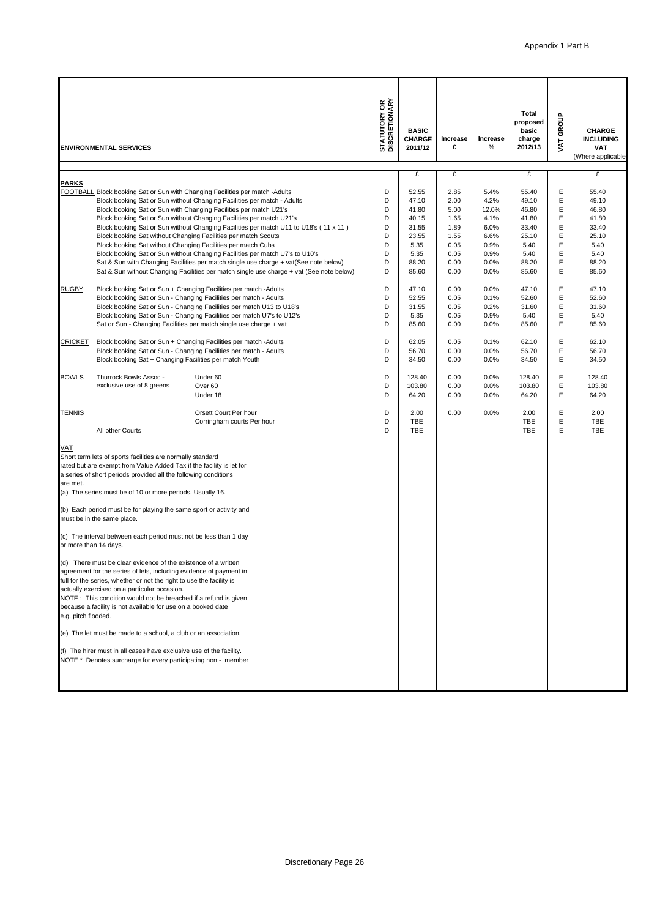|                     | <b>ENVIRONMENTAL SERVICES</b>                                                                                                        |                                                                                                                                        | <b>STATUTORY OR</b><br>DISCRETIONARY | <b>BASIC</b><br><b>CHARGE</b><br>2011/12 | Increase<br>£ | Increase<br>% | Total<br>proposed<br>basic<br>charge<br>2012/13 | VAT GROUP | <b>CHARGE</b><br><b>INCLUDING</b><br>VAT |
|---------------------|--------------------------------------------------------------------------------------------------------------------------------------|----------------------------------------------------------------------------------------------------------------------------------------|--------------------------------------|------------------------------------------|---------------|---------------|-------------------------------------------------|-----------|------------------------------------------|
|                     |                                                                                                                                      |                                                                                                                                        |                                      |                                          |               |               |                                                 |           | Where applicable                         |
|                     |                                                                                                                                      |                                                                                                                                        |                                      |                                          |               |               |                                                 |           |                                          |
| <b>PARKS</b>        |                                                                                                                                      |                                                                                                                                        |                                      | £                                        | £             |               | £                                               |           | £                                        |
|                     |                                                                                                                                      | FOOTBALL Block booking Sat or Sun with Changing Facilities per match -Adults                                                           | D                                    | 52.55                                    | 2.85          | 5.4%          | 55.40                                           | Ε         | 55.40                                    |
|                     |                                                                                                                                      | Block booking Sat or Sun without Changing Facilities per match - Adults                                                                | D                                    | 47.10                                    | 2.00          | 4.2%          | 49.10                                           | E         | 49.10                                    |
|                     |                                                                                                                                      | Block booking Sat or Sun with Changing Facilities per match U21's                                                                      | D                                    | 41.80                                    | 5.00          | 12.0%         | 46.80                                           | Ε         | 46.80                                    |
|                     |                                                                                                                                      | Block booking Sat or Sun without Changing Facilities per match U21's                                                                   | D                                    | 40.15                                    | 1.65          | 4.1%          | 41.80                                           | E         | 41.80                                    |
|                     |                                                                                                                                      | Block booking Sat or Sun without Changing Facilities per match U11 to U18's (11 x 11)                                                  | D                                    | 31.55                                    | 1.89          | 6.0%          | 33.40                                           | Ε         | 33.40                                    |
|                     |                                                                                                                                      | Block booking Sat without Changing Facilities per match Scouts                                                                         | D                                    | 23.55                                    | 1.55          | 6.6%          | 25.10                                           | Е         | 25.10                                    |
|                     |                                                                                                                                      | Block booking Sat without Changing Facilities per match Cubs                                                                           | D                                    | 5.35                                     | 0.05          | 0.9%          | 5.40                                            | E         | 5.40                                     |
|                     |                                                                                                                                      | Block booking Sat or Sun without Changing Facilities per match U7's to U10's                                                           | D                                    | 5.35                                     | 0.05          | 0.9%          | 5.40                                            | Ε         | 5.40                                     |
|                     |                                                                                                                                      | Sat & Sun with Changing Facilities per match single use charge + vat (See note below)                                                  | D                                    | 88.20                                    | 0.00          | 0.0%          | 88.20                                           | Ε         | 88.20                                    |
|                     |                                                                                                                                      | Sat & Sun without Changing Facilities per match single use charge + vat (See note below)                                               | D                                    | 85.60                                    | 0.00          | 0.0%          | 85.60                                           | Е         | 85.60                                    |
| <b>RUGBY</b>        |                                                                                                                                      | Block booking Sat or Sun + Changing Facilities per match - Adults                                                                      | D                                    | 47.10                                    | 0.00          | 0.0%          | 47.10                                           | Ε         | 47.10                                    |
|                     |                                                                                                                                      | Block booking Sat or Sun - Changing Facilities per match - Adults                                                                      | D                                    | 52.55                                    | 0.05          | 0.1%          | 52.60                                           | Ε         | 52.60                                    |
|                     |                                                                                                                                      | Block booking Sat or Sun - Changing Facilities per match U13 to U18's                                                                  | D                                    | 31.55                                    | 0.05          | 0.2%          | 31.60                                           | Ε         | 31.60                                    |
|                     |                                                                                                                                      | Block booking Sat or Sun - Changing Facilities per match U7's to U12's                                                                 | D                                    | 5.35                                     | 0.05          | 0.9%          | 5.40                                            | Ε         | 5.40                                     |
|                     |                                                                                                                                      | Sat or Sun - Changing Facilities per match single use charge + vat                                                                     | D                                    | 85.60                                    | 0.00          | 0.0%          | 85.60                                           | Е         | 85.60                                    |
|                     |                                                                                                                                      |                                                                                                                                        | D                                    | 62.05                                    | 0.05          | 0.1%          | 62.10                                           | Е         | 62.10                                    |
| <b>CRICKET</b>      |                                                                                                                                      | Block booking Sat or Sun + Changing Facilities per match - Adults<br>Block booking Sat or Sun - Changing Facilities per match - Adults | D                                    | 56.70                                    | 0.00          | 0.0%          | 56.70                                           | Ε         | 56.70                                    |
|                     | Block booking Sat + Changing Facilities per match Youth                                                                              |                                                                                                                                        | D                                    | 34.50                                    | 0.00          | 0.0%          | 34.50                                           | Е         | 34.50                                    |
|                     |                                                                                                                                      |                                                                                                                                        |                                      |                                          |               |               |                                                 |           |                                          |
| <b>BOWLS</b>        | Thurrock Bowls Assoc -                                                                                                               | Under 60                                                                                                                               | D                                    | 128.40                                   | 0.00          | 0.0%          | 128.40                                          | Ε         | 128.40                                   |
|                     | exclusive use of 8 greens                                                                                                            | Over 60                                                                                                                                | D                                    | 103.80                                   | 0.00          | 0.0%          | 103.80                                          | Ε         | 103.80                                   |
|                     |                                                                                                                                      | Under 18                                                                                                                               | D                                    | 64.20                                    | 0.00          | 0.0%          | 64.20                                           | E         | 64.20                                    |
| <b>TENNIS</b>       |                                                                                                                                      | Orsett Court Per hour                                                                                                                  | D                                    | 2.00                                     | 0.00          | 0.0%          | 2.00                                            | Ε         | 2.00                                     |
|                     |                                                                                                                                      | Corringham courts Per hour                                                                                                             | D                                    | TBE                                      |               |               | <b>TBE</b>                                      | Ε         | TBE                                      |
|                     | All other Courts                                                                                                                     |                                                                                                                                        | D                                    | <b>TBE</b>                               |               |               | TBE                                             | Е         | TBE                                      |
| VAT                 |                                                                                                                                      |                                                                                                                                        |                                      |                                          |               |               |                                                 |           |                                          |
|                     | Short term lets of sports facilities are normally standard                                                                           |                                                                                                                                        |                                      |                                          |               |               |                                                 |           |                                          |
|                     | rated but are exempt from Value Added Tax if the facility is let for                                                                 |                                                                                                                                        |                                      |                                          |               |               |                                                 |           |                                          |
|                     | a series of short periods provided all the following conditions                                                                      |                                                                                                                                        |                                      |                                          |               |               |                                                 |           |                                          |
| are met.            |                                                                                                                                      |                                                                                                                                        |                                      |                                          |               |               |                                                 |           |                                          |
|                     | (a) The series must be of 10 or more periods. Usually 16.                                                                            |                                                                                                                                        |                                      |                                          |               |               |                                                 |           |                                          |
|                     |                                                                                                                                      |                                                                                                                                        |                                      |                                          |               |               |                                                 |           |                                          |
|                     | (b) Each period must be for playing the same sport or activity and<br>must be in the same place.                                     |                                                                                                                                        |                                      |                                          |               |               |                                                 |           |                                          |
|                     |                                                                                                                                      |                                                                                                                                        |                                      |                                          |               |               |                                                 |           |                                          |
|                     | (c) The interval between each period must not be less than 1 day                                                                     |                                                                                                                                        |                                      |                                          |               |               |                                                 |           |                                          |
|                     | or more than 14 days.                                                                                                                |                                                                                                                                        |                                      |                                          |               |               |                                                 |           |                                          |
|                     |                                                                                                                                      |                                                                                                                                        |                                      |                                          |               |               |                                                 |           |                                          |
|                     | (d) There must be clear evidence of the existence of a written<br>agreement for the series of lets, including evidence of payment in |                                                                                                                                        |                                      |                                          |               |               |                                                 |           |                                          |
|                     | full for the series, whether or not the right to use the facility is                                                                 |                                                                                                                                        |                                      |                                          |               |               |                                                 |           |                                          |
|                     | actually exercised on a particular occasion.                                                                                         |                                                                                                                                        |                                      |                                          |               |               |                                                 |           |                                          |
|                     | NOTE: This condition would not be breached if a refund is given                                                                      |                                                                                                                                        |                                      |                                          |               |               |                                                 |           |                                          |
|                     | because a facility is not available for use on a booked date                                                                         |                                                                                                                                        |                                      |                                          |               |               |                                                 |           |                                          |
| e.g. pitch flooded. |                                                                                                                                      |                                                                                                                                        |                                      |                                          |               |               |                                                 |           |                                          |
|                     | (e) The let must be made to a school, a club or an association.                                                                      |                                                                                                                                        |                                      |                                          |               |               |                                                 |           |                                          |
|                     |                                                                                                                                      |                                                                                                                                        |                                      |                                          |               |               |                                                 |           |                                          |
|                     | (f) The hirer must in all cases have exclusive use of the facility.<br>NOTE * Denotes surcharge for every participating non - member |                                                                                                                                        |                                      |                                          |               |               |                                                 |           |                                          |
|                     |                                                                                                                                      |                                                                                                                                        |                                      |                                          |               |               |                                                 |           |                                          |
|                     |                                                                                                                                      |                                                                                                                                        |                                      |                                          |               |               |                                                 |           |                                          |
|                     |                                                                                                                                      |                                                                                                                                        |                                      |                                          |               |               |                                                 |           |                                          |